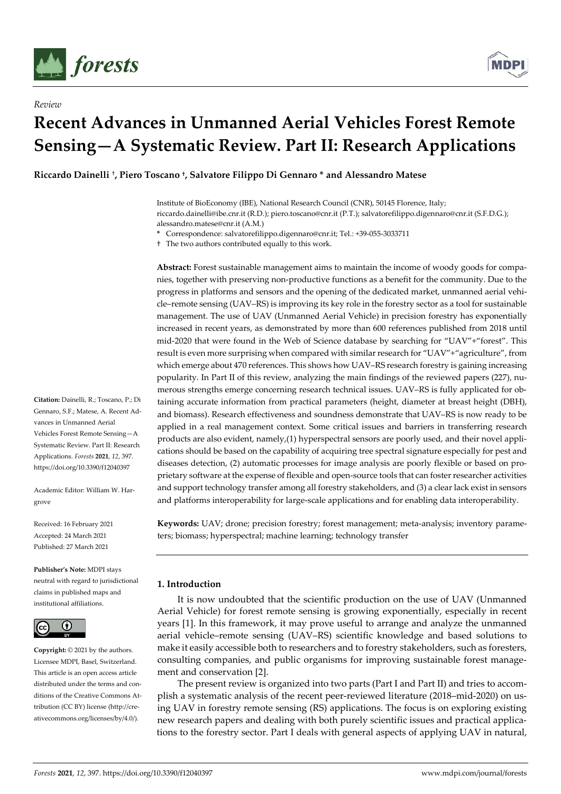

*Review*



# **Recent Advances in Unmanned Aerial Vehicles Forest Remote Sensing—A Systematic Review. Part II: Research Applications**

**Riccardo Dainelli** †**, Piero Toscano †, Salvatore Filippo Di Gennaro \* and Alessandro Matese**

Institute of BioEconomy (IBE), National Research Council (CNR), 50145 Florence, Italy; riccardo.dainelli@ibe.cnr.it (R.D.); piero.toscano@cnr.it (P.T.); salvatorefilippo.digennaro@cnr.it (S.F.D.G.); alessandro.matese@cnr.it (A.M.)

**\*** Correspondence: salvatorefilippo.digennaro@cnr.it; Tel.: +39-055-3033711

† The two authors contributed equally to this work.

**Abstract:** Forest sustainable management aims to maintain the income of woody goods for companies, together with preserving non-productive functions as a benefit for the community. Due to the progress in platforms and sensors and the opening of the dedicated market, unmanned aerial vehicle–remote sensing (UAV–RS) is improving its key role in the forestry sector as a tool for sustainable management. The use of UAV (Unmanned Aerial Vehicle) in precision forestry has exponentially increased in recent years, as demonstrated by more than 600 references published from 2018 until mid-2020 that were found in the Web of Science database by searching for "UAV"+"forest". This result is even more surprising when compared with similar research for "UAV"+"agriculture", from which emerge about 470 references. This shows how UAV–RS research forestry is gaining increasing popularity. In Part II of this review, analyzing the main findings of the reviewed papers (227), numerous strengths emerge concerning research technical issues. UAV–RS is fully applicated for obtaining accurate information from practical parameters (height, diameter at breast height (DBH), and biomass). Research effectiveness and soundness demonstrate that UAV–RS is now ready to be applied in a real management context. Some critical issues and barriers in transferring research products are also evident, namely,(1) hyperspectral sensors are poorly used, and their novel applications should be based on the capability of acquiring tree spectral signature especially for pest and diseases detection, (2) automatic processes for image analysis are poorly flexible or based on proprietary software at the expense of flexible and open-source tools that can foster researcher activities and support technology transfer among all forestry stakeholders, and (3) a clear lack exist in sensors and platforms interoperability for large-scale applications and for enabling data interoperability.

**Keywords:** UAV; drone; precision forestry; forest management; meta-analysis; inventory parameters; biomass; hyperspectral; machine learning; technology transfer

# **1. Introduction**

It is now undoubted that the scientific production on the use of UAV (Unmanned Aerial Vehicle) for forest remote sensing is growing exponentially, especially in recent years [1]. In this framework, it may prove useful to arrange and analyze the unmanned aerial vehicle–remote sensing (UAV–RS) scientific knowledge and based solutions to make it easily accessible both to researchers and to forestry stakeholders, such as foresters, consulting companies, and public organisms for improving sustainable forest management and conservation [2].

The present review is organized into two parts (Part I and Part II) and tries to accomplish a systematic analysis of the recent peer-reviewed literature (2018–mid-2020) on using UAV in forestry remote sensing (RS) applications. The focus is on exploring existing new research papers and dealing with both purely scientific issues and practical applications to the forestry sector. Part I deals with general aspects of applying UAV in natural,

**Citation:** Dainelli, R.; Toscano, P.; Di Gennaro, S.F.; Matese, A. Recent Advances in Unmanned Aerial Vehicles Forest Remote Sensing—A Systematic Review. Part II: Research Applications. *Forests* **2021**, *12*, 397. https://doi.org/10.3390/f12040397

Academic Editor: William W. Hargrove

Received: 16 February 2021 Accepted: 24 March 2021 Published: 27 March 2021

**Publisher's Note:** MDPI stays neutral with regard to jurisdictional claims in published maps and institutional affiliations.



**Copyright:** © 2021 by the authors. Licensee MDPI, Basel, Switzerland. This article is an open access article distributed under the terms and conditions of the Creative Commons Attribution (CC BY) license (http://creativecommons.org/licenses/by/4.0/).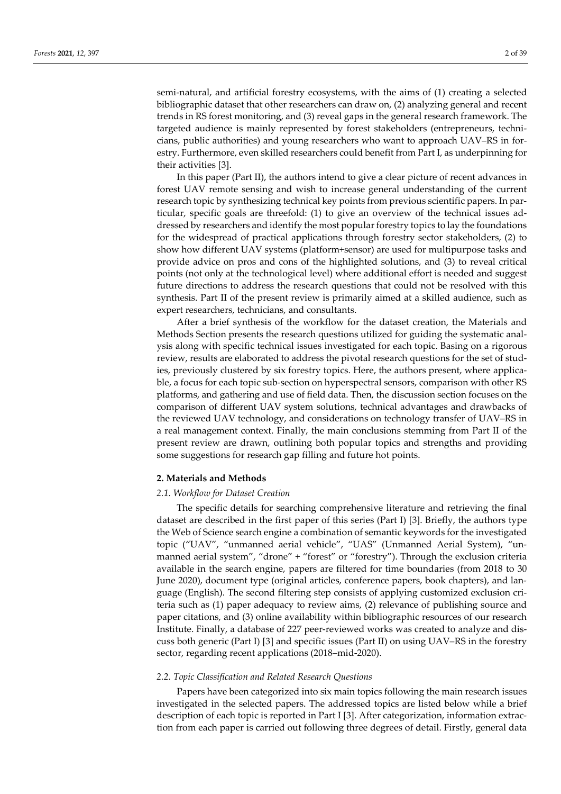bibliographic dataset that other researchers can draw on, (2) analyzing general and recent trends in RS forest monitoring, and (3) reveal gaps in the general research framework. The targeted audience is mainly represented by forest stakeholders (entrepreneurs, technicians, public authorities) and young researchers who want to approach UAV–RS in forestry. Furthermore, even skilled researchers could benefit from Part I, as underpinning for their activities [3].

In this paper (Part II), the authors intend to give a clear picture of recent advances in forest UAV remote sensing and wish to increase general understanding of the current research topic by synthesizing technical key points from previous scientific papers. In particular, specific goals are threefold: (1) to give an overview of the technical issues addressed by researchers and identify the most popular forestry topics to lay the foundations for the widespread of practical applications through forestry sector stakeholders, (2) to show how different UAV systems (platform+sensor) are used for multipurpose tasks and provide advice on pros and cons of the highlighted solutions, and (3) to reveal critical points (not only at the technological level) where additional effort is needed and suggest future directions to address the research questions that could not be resolved with this synthesis. Part II of the present review is primarily aimed at a skilled audience, such as expert researchers, technicians, and consultants.

After a brief synthesis of the workflow for the dataset creation, the Materials and Methods Section presents the research questions utilized for guiding the systematic analysis along with specific technical issues investigated for each topic. Basing on a rigorous review, results are elaborated to address the pivotal research questions for the set of studies, previously clustered by six forestry topics. Here, the authors present, where applicable, a focus for each topic sub-section on hyperspectral sensors, comparison with other RS platforms, and gathering and use of field data. Then, the discussion section focuses on the comparison of different UAV system solutions, technical advantages and drawbacks of the reviewed UAV technology, and considerations on technology transfer of UAV–RS in a real management context. Finally, the main conclusions stemming from Part II of the present review are drawn, outlining both popular topics and strengths and providing some suggestions for research gap filling and future hot points.

## **2. Materials and Methods**

## *2.1. Workflow for Dataset Creation*

The specific details for searching comprehensive literature and retrieving the final dataset are described in the first paper of this series (Part I) [3]. Briefly, the authors type the Web of Science search engine a combination of semantic keywords for the investigated topic ("UAV", "unmanned aerial vehicle", "UAS" (Unmanned Aerial System), "unmanned aerial system", "drone" + "forest" or "forestry"). Through the exclusion criteria available in the search engine, papers are filtered for time boundaries (from 2018 to 30 June 2020), document type (original articles, conference papers, book chapters), and language (English). The second filtering step consists of applying customized exclusion criteria such as (1) paper adequacy to review aims, (2) relevance of publishing source and paper citations, and (3) online availability within bibliographic resources of our research Institute. Finally, a database of 227 peer-reviewed works was created to analyze and discuss both generic (Part I) [3] and specific issues (Part II) on using UAV–RS in the forestry sector, regarding recent applications (2018–mid-2020).

#### *2.2. Topic Classification and Related Research Questions*

Papers have been categorized into six main topics following the main research issues investigated in the selected papers. The addressed topics are listed below while a brief description of each topic is reported in Part I [3]. After categorization, information extraction from each paper is carried out following three degrees of detail. Firstly, general data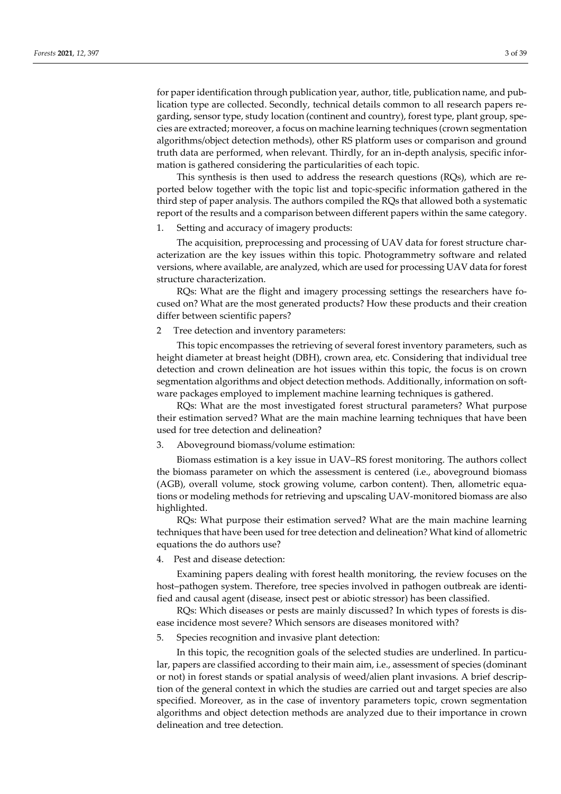for paper identification through publication year, author, title, publication name, and publication type are collected. Secondly, technical details common to all research papers regarding, sensor type, study location (continent and country), forest type, plant group, species are extracted; moreover, a focus on machine learning techniques (crown segmentation algorithms/object detection methods), other RS platform uses or comparison and ground truth data are performed, when relevant. Thirdly, for an in-depth analysis, specific information is gathered considering the particularities of each topic.

This synthesis is then used to address the research questions (RQs), which are reported below together with the topic list and topic-specific information gathered in the third step of paper analysis. The authors compiled the RQs that allowed both a systematic report of the results and a comparison between different papers within the same category.

1. Setting and accuracy of imagery products:

The acquisition, preprocessing and processing of UAV data for forest structure characterization are the key issues within this topic. Photogrammetry software and related versions, where available, are analyzed, which are used for processing UAV data for forest structure characterization.

RQs: What are the flight and imagery processing settings the researchers have focused on? What are the most generated products? How these products and their creation differ between scientific papers?

# 2 Tree detection and inventory parameters:

This topic encompasses the retrieving of several forest inventory parameters, such as height diameter at breast height (DBH), crown area, etc. Considering that individual tree detection and crown delineation are hot issues within this topic, the focus is on crown segmentation algorithms and object detection methods. Additionally, information on software packages employed to implement machine learning techniques is gathered.

RQs: What are the most investigated forest structural parameters? What purpose their estimation served? What are the main machine learning techniques that have been used for tree detection and delineation?

#### 3. Aboveground biomass/volume estimation:

Biomass estimation is a key issue in UAV–RS forest monitoring. The authors collect the biomass parameter on which the assessment is centered (i.e., aboveground biomass (AGB), overall volume, stock growing volume, carbon content). Then, allometric equations or modeling methods for retrieving and upscaling UAV-monitored biomass are also highlighted.

RQs: What purpose their estimation served? What are the main machine learning techniques that have been used for tree detection and delineation? What kind of allometric equations the do authors use?

4. Pest and disease detection:

Examining papers dealing with forest health monitoring, the review focuses on the host–pathogen system. Therefore, tree species involved in pathogen outbreak are identified and causal agent (disease, insect pest or abiotic stressor) has been classified.

RQs: Which diseases or pests are mainly discussed? In which types of forests is disease incidence most severe? Which sensors are diseases monitored with?

5. Species recognition and invasive plant detection:

In this topic, the recognition goals of the selected studies are underlined. In particular, papers are classified according to their main aim, i.e., assessment of species (dominant or not) in forest stands or spatial analysis of weed/alien plant invasions. A brief description of the general context in which the studies are carried out and target species are also specified. Moreover, as in the case of inventory parameters topic, crown segmentation algorithms and object detection methods are analyzed due to their importance in crown delineation and tree detection.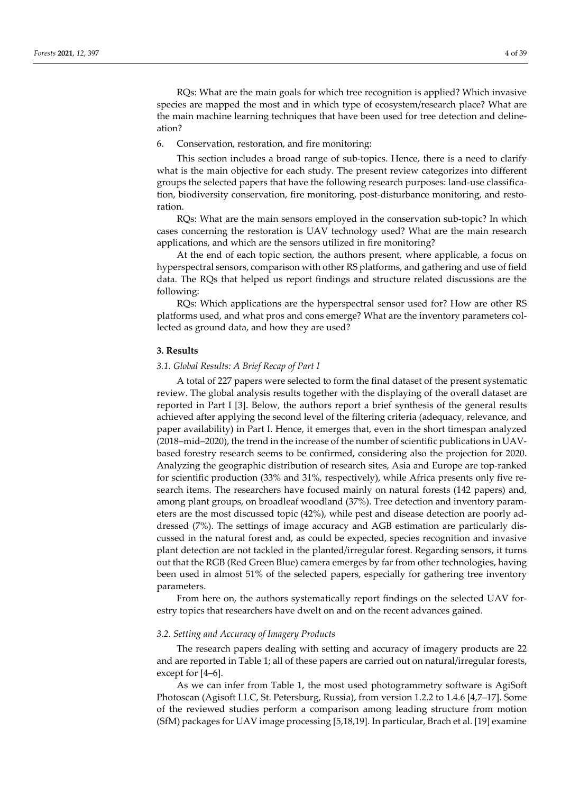RQs: What are the main goals for which tree recognition is applied? Which invasive species are mapped the most and in which type of ecosystem/research place? What are the main machine learning techniques that have been used for tree detection and delineation?

6. Conservation, restoration, and fire monitoring:

This section includes a broad range of sub-topics. Hence, there is a need to clarify what is the main objective for each study. The present review categorizes into different groups the selected papers that have the following research purposes: land-use classification, biodiversity conservation, fire monitoring, post-disturbance monitoring, and restoration.

RQs: What are the main sensors employed in the conservation sub-topic? In which cases concerning the restoration is UAV technology used? What are the main research applications, and which are the sensors utilized in fire monitoring?

At the end of each topic section, the authors present, where applicable, a focus on hyperspectral sensors, comparison with other RS platforms, and gathering and use of field data. The RQs that helped us report findings and structure related discussions are the following:

RQs: Which applications are the hyperspectral sensor used for? How are other RS platforms used, and what pros and cons emerge? What are the inventory parameters collected as ground data, and how they are used?

#### **3. Results**

## *3.1. Global Results: A Brief Recap of Part I*

A total of 227 papers were selected to form the final dataset of the present systematic review. The global analysis results together with the displaying of the overall dataset are reported in Part I [3]. Below, the authors report a brief synthesis of the general results achieved after applying the second level of the filtering criteria (adequacy, relevance, and paper availability) in Part I. Hence, it emerges that, even in the short timespan analyzed (2018–mid–2020), the trend in the increase of the number of scientific publications in UAVbased forestry research seems to be confirmed, considering also the projection for 2020. Analyzing the geographic distribution of research sites, Asia and Europe are top-ranked for scientific production (33% and 31%, respectively), while Africa presents only five research items. The researchers have focused mainly on natural forests (142 papers) and, among plant groups, on broadleaf woodland (37%). Tree detection and inventory parameters are the most discussed topic (42%), while pest and disease detection are poorly addressed (7%). The settings of image accuracy and AGB estimation are particularly discussed in the natural forest and, as could be expected, species recognition and invasive plant detection are not tackled in the planted/irregular forest. Regarding sensors, it turns out that the RGB (Red Green Blue) camera emerges by far from other technologies, having been used in almost 51% of the selected papers, especially for gathering tree inventory parameters.

From here on, the authors systematically report findings on the selected UAV forestry topics that researchers have dwelt on and on the recent advances gained.

## *3.2. Setting and Accuracy of Imagery Products*

The research papers dealing with setting and accuracy of imagery products are 22 and are reported in Table 1; all of these papers are carried out on natural/irregular forests, except for [4–6].

As we can infer from Table 1, the most used photogrammetry software is AgiSoft Photoscan (Agisoft LLC, St. Petersburg, Russia), from version 1.2.2 to 1.4.6 [4,7–17]. Some of the reviewed studies perform a comparison among leading structure from motion (SfM) packages for UAV image processing [5,18,19]. In particular, Brach et al. [19] examine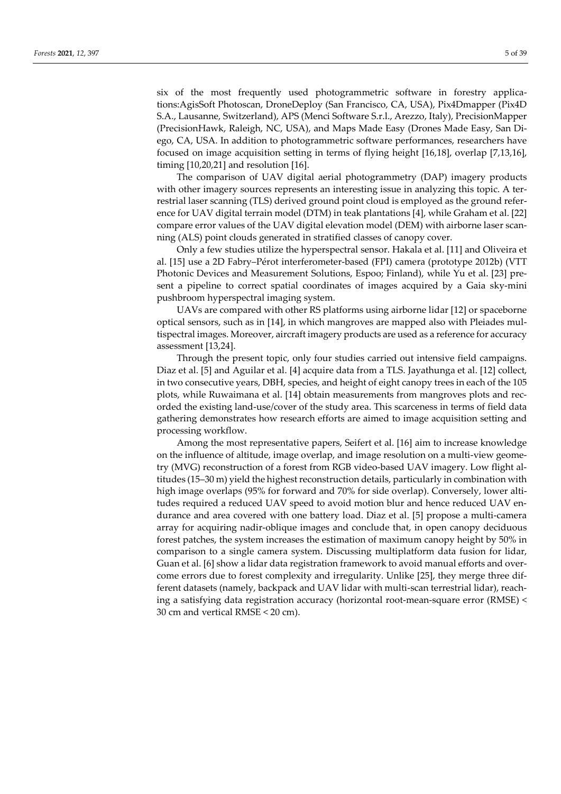six of the most frequently used photogrammetric software in forestry applications:AgisSoft Photoscan, DroneDeploy (San Francisco, CA, USA), Pix4Dmapper (Pix4D S.A., Lausanne, Switzerland), APS (Menci Software S.r.l., Arezzo, Italy), PrecisionMapper (PrecisionHawk, Raleigh, NC, USA), and Maps Made Easy (Drones Made Easy, San Diego, CA, USA. In addition to photogrammetric software performances, researchers have focused on image acquisition setting in terms of flying height [16,18], overlap [7,13,16], timing [10,20,21] and resolution [16].

The comparison of UAV digital aerial photogrammetry (DAP) imagery products with other imagery sources represents an interesting issue in analyzing this topic. A terrestrial laser scanning (TLS) derived ground point cloud is employed as the ground reference for UAV digital terrain model (DTM) in teak plantations [4], while Graham et al. [22] compare error values of the UAV digital elevation model (DEM) with airborne laser scanning (ALS) point clouds generated in stratified classes of canopy cover.

Only a few studies utilize the hyperspectral sensor. Hakala et al. [11] and Oliveira et al. [15] use a 2D Fabry–Pérot interferometer-based (FPI) camera (prototype 2012b) (VTT Photonic Devices and Measurement Solutions, Espoo; Finland), while Yu et al. [23] present a pipeline to correct spatial coordinates of images acquired by a Gaia sky-mini pushbroom hyperspectral imaging system.

UAVs are compared with other RS platforms using airborne lidar [12] or spaceborne optical sensors, such as in [14], in which mangroves are mapped also with Pleiades multispectral images. Moreover, aircraft imagery products are used as a reference for accuracy assessment [13,24].

Through the present topic, only four studies carried out intensive field campaigns. Diaz et al. [5] and Aguilar et al. [4] acquire data from a TLS. Jayathunga et al. [12] collect, in two consecutive years, DBH, species, and height of eight canopy trees in each of the 105 plots, while Ruwaimana et al. [14] obtain measurements from mangroves plots and recorded the existing land-use/cover of the study area. This scarceness in terms of field data gathering demonstrates how research efforts are aimed to image acquisition setting and processing workflow.

Among the most representative papers, Seifert et al. [16] aim to increase knowledge on the influence of altitude, image overlap, and image resolution on a multi-view geometry (MVG) reconstruction of a forest from RGB video-based UAV imagery. Low flight altitudes (15–30 m) yield the highest reconstruction details, particularly in combination with high image overlaps (95% for forward and 70% for side overlap). Conversely, lower altitudes required a reduced UAV speed to avoid motion blur and hence reduced UAV endurance and area covered with one battery load. Diaz et al. [5] propose a multi-camera array for acquiring nadir-oblique images and conclude that, in open canopy deciduous forest patches, the system increases the estimation of maximum canopy height by 50% in comparison to a single camera system. Discussing multiplatform data fusion for lidar, Guan et al. [6] show a lidar data registration framework to avoid manual efforts and overcome errors due to forest complexity and irregularity. Unlike [25], they merge three different datasets (namely, backpack and UAV lidar with multi-scan terrestrial lidar), reaching a satisfying data registration accuracy (horizontal root-mean-square error (RMSE) < 30 cm and vertical RMSE < 20 cm).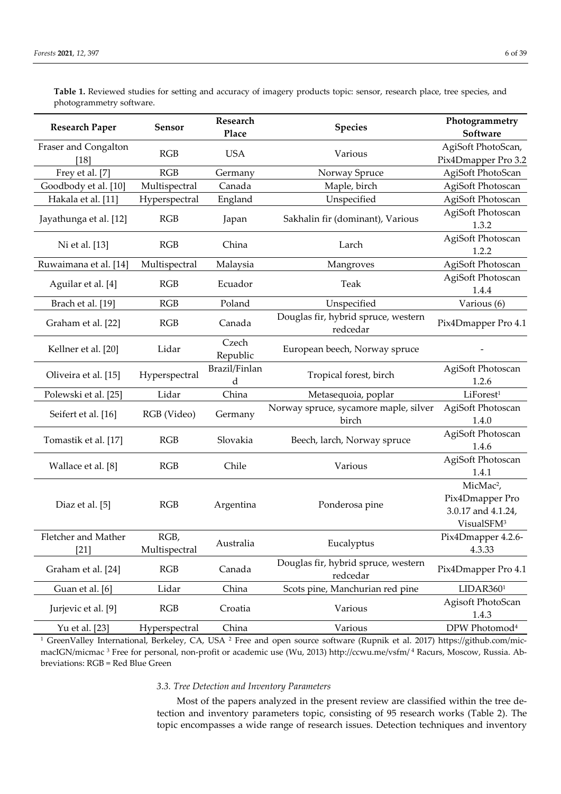**Table 1.** Reviewed studies for setting and accuracy of imagery products topic: sensor, research place, tree species, and photogrammetry software.

| <b>Research Paper</b>          | <b>Sensor</b>         | Research<br>Place  | <b>Species</b>                                  | Photogrammetry<br>Software                                                               |
|--------------------------------|-----------------------|--------------------|-------------------------------------------------|------------------------------------------------------------------------------------------|
| Fraser and Congalton<br>$[18]$ | RGB                   | <b>USA</b>         | Various                                         | AgiSoft PhotoScan,<br>Pix4Dmapper Pro 3.2                                                |
| Frey et al. [7]                | RGB                   | Germany            | Norway Spruce                                   | AgiSoft PhotoScan                                                                        |
| Goodbody et al. [10]           | Multispectral         | Canada             | Maple, birch                                    | AgiSoft Photoscan                                                                        |
| Hakala et al. [11]             | Hyperspectral         | England            | Unspecified                                     | AgiSoft Photoscan                                                                        |
| Jayathunga et al. [12]         | RGB                   | Japan              | Sakhalin fir (dominant), Various                | AgiSoft Photoscan<br>1.3.2                                                               |
| Ni et al. [13]                 | RGB                   | China              | Larch                                           | AgiSoft Photoscan<br>1.2.2                                                               |
| Ruwaimana et al. [14]          | Multispectral         | Malaysia           | Mangroves                                       | AgiSoft Photoscan                                                                        |
| Aguilar et al. [4]             | RGB                   | Ecuador            | Teak                                            | AgiSoft Photoscan<br>1.4.4                                                               |
| Brach et al. [19]              | RGB                   | Poland             | Unspecified                                     | Various (6)                                                                              |
| Graham et al. [22]             | RGB                   | Canada             | Douglas fir, hybrid spruce, western<br>redcedar | Pix4Dmapper Pro 4.1                                                                      |
| Kellner et al. [20]            | Lidar                 | Czech<br>Republic  | European beech, Norway spruce                   |                                                                                          |
| Oliveira et al. [15]           | Hyperspectral         | Brazil/Finlan<br>d | Tropical forest, birch                          | AgiSoft Photoscan<br>1.2.6                                                               |
| Polewski et al. [25]           | Lidar                 | China              | Metasequoia, poplar                             | LiForest <sup>1</sup>                                                                    |
| Seifert et al. [16]            | RGB (Video)           | Germany            | Norway spruce, sycamore maple, silver<br>birch  | AgiSoft Photoscan<br>1.4.0                                                               |
| Tomastik et al. [17]           | RGB                   | Slovakia           | Beech, larch, Norway spruce                     | AgiSoft Photoscan<br>1.4.6                                                               |
| Wallace et al. [8]             | RGB                   | Chile              | Various                                         | AgiSoft Photoscan<br>1.4.1                                                               |
| Diaz et al. [5]                | RGB                   | Argentina          | Ponderosa pine                                  | MicMac <sup>2</sup> ,<br>Pix4Dmapper Pro<br>3.0.17 and 4.1.24,<br>VisualSFM <sup>3</sup> |
| Fletcher and Mather<br>$[21]$  | RGB,<br>Multispectral | Australia          | Eucalyptus                                      | Pix4Dmapper 4.2.6-<br>4.3.33                                                             |
| Graham et al. [24]             | RGB                   | Canada             | Douglas fir, hybrid spruce, western<br>redcedar | Pix4Dmapper Pro 4.1                                                                      |
| Guan et al. [6]                | Lidar                 | China              | Scots pine, Manchurian red pine                 | LIDAR3601                                                                                |
| Jurjevic et al. [9]            | RGB                   | Croatia            | Various                                         | Agisoft PhotoScan<br>1.4.3                                                               |
| Yu et al. [23]                 | Hyperspectral         | China              | Various                                         | DPW Photomod <sup>4</sup>                                                                |

<sup>1</sup> GreenValley International, Berkeley, CA, USA<sup>2</sup> Free and open source software (Rupnik et al. 2017) https://github.com/micmacIGN/micmac 3 Free for personal, non-profit or academic use (Wu, 2013) http://ccwu.me/vsfm/ <sup>4</sup> Racurs, Moscow, Russia. Abbreviations: RGB = Red Blue Green

# *3.3. Tree Detection and Inventory Parameters*

Most of the papers analyzed in the present review are classified within the tree detection and inventory parameters topic, consisting of 95 research works (Table 2). The topic encompasses a wide range of research issues. Detection techniques and inventory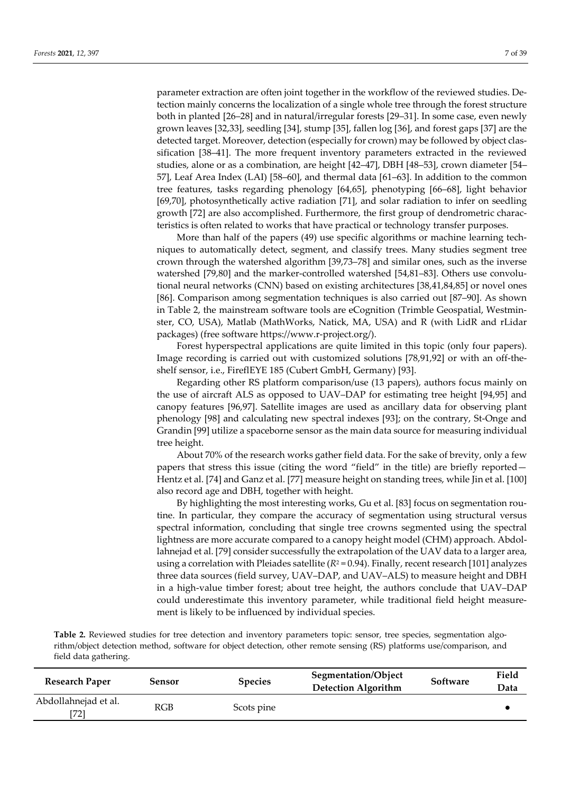parameter extraction are often joint together in the workflow of the reviewed studies. Detection mainly concerns the localization of a single whole tree through the forest structure both in planted [26–28] and in natural/irregular forests [29–31]. In some case, even newly grown leaves [32,33], seedling [34], stump [35], fallen log [36], and forest gaps [37] are the detected target. Moreover, detection (especially for crown) may be followed by object classification [38–41]. The more frequent inventory parameters extracted in the reviewed studies, alone or as a combination, are height [42–47], DBH [48–53], crown diameter [54– 57], Leaf Area Index (LAI) [58–60], and thermal data [61–63]. In addition to the common tree features, tasks regarding phenology [64,65], phenotyping [66–68], light behavior [69,70], photosynthetically active radiation [71], and solar radiation to infer on seedling growth [72] are also accomplished. Furthermore, the first group of dendrometric characteristics is often related to works that have practical or technology transfer purposes.

More than half of the papers (49) use specific algorithms or machine learning techniques to automatically detect, segment, and classify trees. Many studies segment tree crown through the watershed algorithm [39,73–78] and similar ones, such as the inverse watershed [79,80] and the marker-controlled watershed [54,81–83]. Others use convolutional neural networks (CNN) based on existing architectures [38,41,84,85] or novel ones [86]. Comparison among segmentation techniques is also carried out [87–90]. As shown in Table 2, the mainstream software tools are eCognition (Trimble Geospatial, Westminster, CO, USA), Matlab (MathWorks, Natick, MA, USA) and R (with LidR and rLidar packages) (free software https://www.r-project.org/).

Forest hyperspectral applications are quite limited in this topic (only four papers). Image recording is carried out with customized solutions [78,91,92] or with an off-theshelf sensor, i.e., FireflEYE 185 (Cubert GmbH, Germany) [93].

Regarding other RS platform comparison/use (13 papers), authors focus mainly on the use of aircraft ALS as opposed to UAV–DAP for estimating tree height [94,95] and canopy features [96,97]. Satellite images are used as ancillary data for observing plant phenology [98] and calculating new spectral indexes [93]; on the contrary, St-Onge and Grandin [99] utilize a spaceborne sensor as the main data source for measuring individual tree height.

About 70% of the research works gather field data. For the sake of brevity, only a few papers that stress this issue (citing the word "field" in the title) are briefly reported— Hentz et al. [74] and Ganz et al. [77] measure height on standing trees, while Jin et al. [100] also record age and DBH, together with height.

By highlighting the most interesting works, Gu et al. [83] focus on segmentation routine. In particular, they compare the accuracy of segmentation using structural versus spectral information, concluding that single tree crowns segmented using the spectral lightness are more accurate compared to a canopy height model (CHM) approach. Abdollahnejad et al. [79] consider successfully the extrapolation of the UAV data to a larger area, using a correlation with Pleiades satellite  $(R^2 = 0.94)$ . Finally, recent research [101] analyzes three data sources (field survey, UAV–DAP, and UAV–ALS) to measure height and DBH in a high-value timber forest; about tree height, the authors conclude that UAV–DAP could underestimate this inventory parameter, while traditional field height measurement is likely to be influenced by individual species.

**Table 2.** Reviewed studies for tree detection and inventory parameters topic: sensor, tree species, segmentation algorithm/object detection method, software for object detection, other remote sensing (RS) platforms use/comparison, and field data gathering.

| <b>Research Paper</b>        | Sensor | <b>Species</b> | Segmentation/Object<br><b>Detection Algorithm</b> | Software | Field<br>Data |
|------------------------------|--------|----------------|---------------------------------------------------|----------|---------------|
| Abdollahnejad et al.<br>[72] | RGB    | Scots pine     |                                                   |          |               |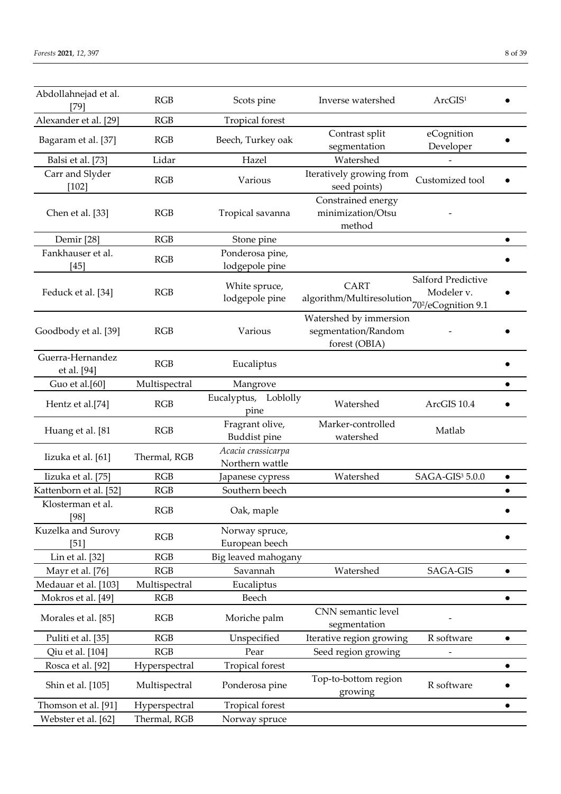| Abdollahnejad et al.<br>$[79]$  | RGB           | Scots pine                            | Inverse watershed                                                 | ArcGIS <sup>1</sup>              |           |
|---------------------------------|---------------|---------------------------------------|-------------------------------------------------------------------|----------------------------------|-----------|
| Alexander et al. [29]           | <b>RGB</b>    | Tropical forest                       |                                                                   |                                  |           |
| Bagaram et al. [37]             | RGB           | Beech, Turkey oak                     | Contrast split<br>segmentation                                    | eCognition<br>Developer          |           |
| Balsi et al. [73]               | Lidar         | Hazel                                 | Watershed                                                         |                                  |           |
| Carr and Slyder<br>$[102]$      | RGB           | Various                               | Iteratively growing from<br>seed points)                          | Customized tool                  |           |
| Chen et al. [33]                | RGB           | Tropical savanna                      | Constrained energy<br>minimization/Otsu<br>method                 |                                  |           |
| Demir [28]                      | RGB           | Stone pine                            |                                                                   |                                  | $\bullet$ |
| Fankhauser et al.<br>$[45]$     | RGB           | Ponderosa pine,<br>lodgepole pine     |                                                                   |                                  |           |
| Feduck et al. [34]              | RGB           | White spruce,<br>lodgepole pine       | <b>CART</b><br>algorithm/Multiresolution $70^{2}/e$ Cognition 9.1 | Salford Predictive<br>Modeler v. |           |
| Goodbody et al. [39]            | <b>RGB</b>    | Various                               | Watershed by immersion<br>segmentation/Random<br>forest (OBIA)    |                                  |           |
| Guerra-Hernandez<br>et al. [94] | RGB           | Eucaliptus                            |                                                                   |                                  |           |
| Guo et al.[60]                  | Multispectral | Mangrove                              |                                                                   |                                  |           |
| Hentz et al.[74]                | RGB           | Eucalyptus, Loblolly<br>pine          | Watershed                                                         | ArcGIS 10.4                      |           |
| Huang et al. [81                | RGB           | Fragrant olive,<br>Buddist pine       | Marker-controlled<br>watershed                                    | Matlab                           |           |
| Iizuka et al. [61]              | Thermal, RGB  | Acacia crassicarpa<br>Northern wattle |                                                                   |                                  |           |
| Iizuka et al. [75]              | RGB           | Japanese cypress                      | Watershed                                                         | SAGA-GIS <sup>3</sup> 5.0.0      | $\bullet$ |
| Kattenborn et al. [52]          | RGB           | Southern beech                        |                                                                   |                                  | $\bullet$ |
| Klosterman et al.<br>[98]       | RGB           | Oak, maple                            |                                                                   |                                  |           |
| Kuzelka and Surovy<br>$[51]$    | RGB           | Norway spruce,<br>European beech      |                                                                   |                                  |           |
| Lin et al. [32]                 | RGB           | Big leaved mahogany                   |                                                                   |                                  |           |
| Mayr et al. [76]                | RGB           | Savannah                              | Watershed                                                         | SAGA-GIS                         | $\bullet$ |
| Medauar et al. [103]            | Multispectral | Eucaliptus                            |                                                                   |                                  |           |
| Mokros et al. [49]              | RGB           | Beech                                 |                                                                   |                                  | $\bullet$ |
| Morales et al. [85]             | RGB           | Moriche palm                          | CNN semantic level<br>segmentation                                |                                  |           |
| Puliti et al. [35]              | RGB           | Unspecified                           | Iterative region growing                                          | R software                       | $\bullet$ |
| Qiu et al. [104]                | RGB           | Pear                                  | Seed region growing                                               | -                                |           |
| Rosca et al. [92]               | Hyperspectral | Tropical forest                       |                                                                   |                                  | $\bullet$ |
| Shin et al. [105]               | Multispectral | Ponderosa pine                        | Top-to-bottom region<br>growing                                   | R software                       |           |
| Thomson et al. [91]             | Hyperspectral | Tropical forest                       |                                                                   |                                  | $\bullet$ |
| Webster et al. [62]             | Thermal, RGB  | Norway spruce                         |                                                                   |                                  |           |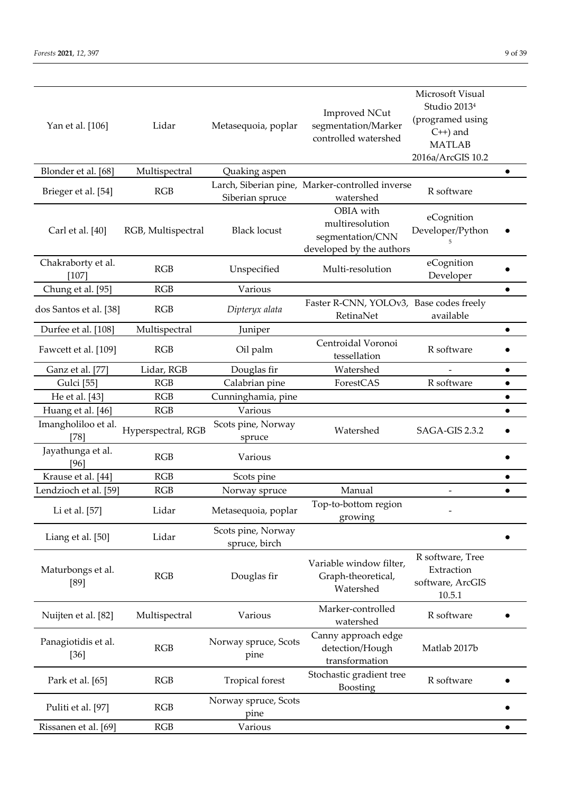| Yan et al. [106]<br>Blonder et al. [68] | Lidar<br>Multispectral<br>RGB | Metasequoia, poplar<br>Quaking aspen | <b>Improved NCut</b><br>segmentation/Marker<br>controlled watershed<br>Larch, Siberian pine, Marker-controlled inverse | Microsoft Visual<br>Studio 2013 <sup>4</sup><br>(programed using<br>$C^{++}$ ) and<br><b>MATLAB</b><br>2016a/ArcGIS 10.2<br>R software | $\bullet$ |
|-----------------------------------------|-------------------------------|--------------------------------------|------------------------------------------------------------------------------------------------------------------------|----------------------------------------------------------------------------------------------------------------------------------------|-----------|
| Brieger et al. [54]                     |                               | Siberian spruce                      | watershed                                                                                                              |                                                                                                                                        |           |
| Carl et al. [40]                        | RGB, Multispectral            | <b>Black locust</b>                  | OBIA with<br>multiresolution<br>segmentation/CNN<br>developed by the authors                                           | eCognition<br>Developer/Python                                                                                                         |           |
| Chakraborty et al.<br>$[107]$           | RGB                           | Unspecified                          | Multi-resolution                                                                                                       | eCognition<br>Developer                                                                                                                |           |
| Chung et al. [95]                       | RGB                           | Various                              |                                                                                                                        |                                                                                                                                        | $\bullet$ |
| dos Santos et al. [38]                  | RGB                           | Dipteryx alata                       | Faster R-CNN, YOLOv3, Base codes freely<br>RetinaNet                                                                   | available                                                                                                                              |           |
| Durfee et al. [108]                     | Multispectral                 | Juniper                              |                                                                                                                        |                                                                                                                                        | $\bullet$ |
| Fawcett et al. [109]                    | RGB                           | Oil palm                             | Centroidal Voronoi<br>tessellation                                                                                     | R software                                                                                                                             |           |
| Ganz et al. [77]                        | Lidar, RGB                    | Douglas fir                          | Watershed                                                                                                              |                                                                                                                                        | $\bullet$ |
| <b>Gulci</b> [55]                       | RGB                           | Calabrian pine                       | ForestCAS                                                                                                              | R software                                                                                                                             | $\bullet$ |
| He et al. [43]                          | RGB                           | Cunninghamia, pine                   |                                                                                                                        |                                                                                                                                        |           |
| Huang et al. [46]                       | RGB                           | Various                              |                                                                                                                        |                                                                                                                                        | $\bullet$ |
| Imangholiloo et al.<br>$[78]$           | Hyperspectral, RGB            | Scots pine, Norway<br>spruce         | Watershed                                                                                                              | SAGA-GIS 2.3.2                                                                                                                         |           |
| Jayathunga et al.<br>[96]               | RGB                           | Various                              |                                                                                                                        |                                                                                                                                        |           |
| Krause et al. [44]                      | RGB                           | Scots pine                           |                                                                                                                        |                                                                                                                                        | $\bullet$ |
| Lendzioch et al. [59]                   | RGB                           | Norway spruce                        | Manual                                                                                                                 | $\overline{\phantom{a}}$                                                                                                               | $\bullet$ |
| Li et al. [57]                          | Lidar                         | Metasequoia, poplar                  | Top-to-bottom region<br>growing                                                                                        |                                                                                                                                        |           |
| Liang et al. [50]                       | Lidar                         | Scots pine, Norway<br>spruce, birch  |                                                                                                                        |                                                                                                                                        |           |
| Maturbongs et al.<br>$[89]$             | RGB                           | Douglas fir                          | Variable window filter,<br>Graph-theoretical,<br>Watershed                                                             | R software, Tree<br>Extraction<br>software, ArcGIS<br>10.5.1                                                                           |           |
| Nuijten et al. [82]                     | Multispectral                 | Various                              | Marker-controlled<br>watershed                                                                                         | R software                                                                                                                             |           |
| Panagiotidis et al.<br>$[36]$           | RGB                           | Norway spruce, Scots<br>pine         | Canny approach edge<br>detection/Hough<br>transformation                                                               | Matlab 2017b                                                                                                                           |           |
| Park et al. [65]                        | RGB                           | Tropical forest                      | Stochastic gradient tree<br>Boosting                                                                                   | R software                                                                                                                             |           |
| Puliti et al. [97]                      | RGB                           | Norway spruce, Scots<br>pine         |                                                                                                                        |                                                                                                                                        |           |
| Rissanen et al. [69]                    | RGB                           | Various                              |                                                                                                                        |                                                                                                                                        | $\bullet$ |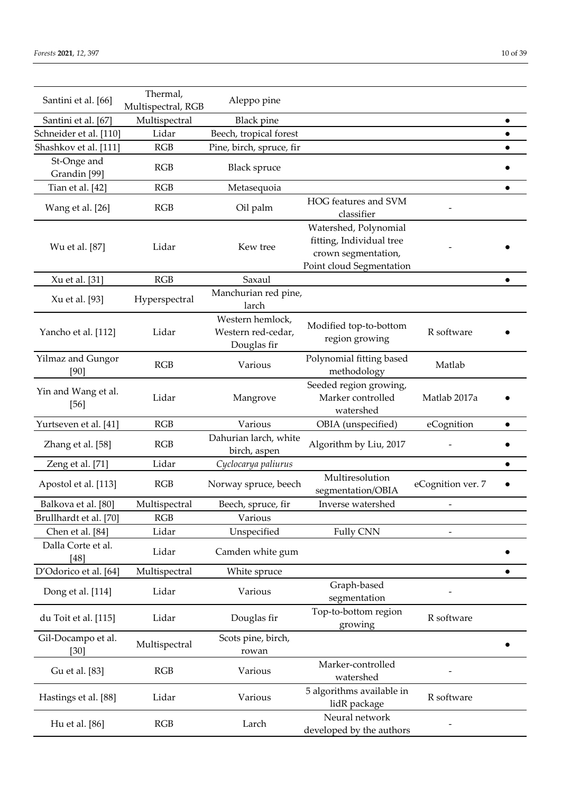| Santini et al. [66]           | Thermal,<br>Multispectral, RGB | Aleppo pine                                           |                                                                                                      |                   |           |
|-------------------------------|--------------------------------|-------------------------------------------------------|------------------------------------------------------------------------------------------------------|-------------------|-----------|
| Santini et al. [67]           | Multispectral                  | <b>Black</b> pine                                     |                                                                                                      |                   | $\bullet$ |
| Schneider et al. [110]        | Lidar                          | Beech, tropical forest                                |                                                                                                      |                   |           |
| Shashkov et al. [111]         | RGB                            | Pine, birch, spruce, fir                              |                                                                                                      |                   |           |
| St-Onge and<br>Grandin [99]   | RGB                            | <b>Black spruce</b>                                   |                                                                                                      |                   |           |
| Tian et al. [42]              | RGB                            | Metasequoia                                           |                                                                                                      |                   | $\bullet$ |
| Wang et al. [26]              | RGB                            | Oil palm                                              | HOG features and SVM<br>classifier                                                                   |                   |           |
| Wu et al. [87]                | Lidar                          | Kew tree                                              | Watershed, Polynomial<br>fitting, Individual tree<br>crown segmentation,<br>Point cloud Segmentation |                   |           |
| Xu et al. [31]                | RGB                            | Saxaul                                                |                                                                                                      |                   |           |
| Xu et al. [93]                | Hyperspectral                  | Manchurian red pine,<br>larch                         |                                                                                                      |                   |           |
| Yancho et al. [112]           | Lidar                          | Western hemlock,<br>Western red-cedar,<br>Douglas fir | Modified top-to-bottom<br>region growing                                                             | R software        |           |
| Yilmaz and Gungor<br>[90]     | RGB                            | Various                                               | Polynomial fitting based<br>methodology                                                              | Matlab            |           |
| Yin and Wang et al.<br>$[56]$ | Lidar                          | Mangrove                                              | Seeded region growing,<br>Marker controlled<br>watershed                                             | Matlab 2017a      |           |
| Yurtseven et al. [41]         | RGB                            | Various                                               | OBIA (unspecified)                                                                                   | eCognition        |           |
| Zhang et al. [58]             | RGB                            | Dahurian larch, white<br>birch, aspen                 | Algorithm by Liu, 2017                                                                               |                   |           |
| Zeng et al. [71]              | Lidar                          | Cyclocarya paliurus                                   |                                                                                                      |                   | $\bullet$ |
| Apostol et al. [113]          | RGB                            | Norway spruce, beech                                  | Multiresolution<br>segmentation/OBIA                                                                 | eCognition ver. 7 |           |
| Balkova et al. [80]           | Multispectral                  | Beech, spruce, fir                                    | Inverse watershed                                                                                    |                   |           |
| Brullhardt et al. [70]        | <b>RGB</b>                     | Various                                               |                                                                                                      |                   |           |
| Chen et al. [84]              | Lidar                          | Unspecified                                           | <b>Fully CNN</b>                                                                                     |                   |           |
| Dalla Corte et al.<br>[48]    | Lidar                          | Camden white gum                                      |                                                                                                      |                   |           |
| D'Odorico et al. [64]         | Multispectral                  | White spruce                                          |                                                                                                      |                   |           |
| Dong et al. [114]             | Lidar                          | Various                                               | Graph-based<br>segmentation                                                                          |                   |           |
| du Toit et al. [115]          | Lidar                          | Douglas fir                                           | Top-to-bottom region<br>growing                                                                      | R software        |           |
| Gil-Docampo et al.<br>[30]    | Multispectral                  | Scots pine, birch,<br>rowan                           |                                                                                                      |                   |           |
| Gu et al. [83]                | RGB                            | Various                                               | Marker-controlled<br>watershed                                                                       |                   |           |
| Hastings et al. [88]          | Lidar                          | Various                                               | 5 algorithms available in<br>lidR package                                                            | R software        |           |
| Hu et al. [86]                | RGB                            | Larch                                                 | Neural network<br>developed by the authors                                                           |                   |           |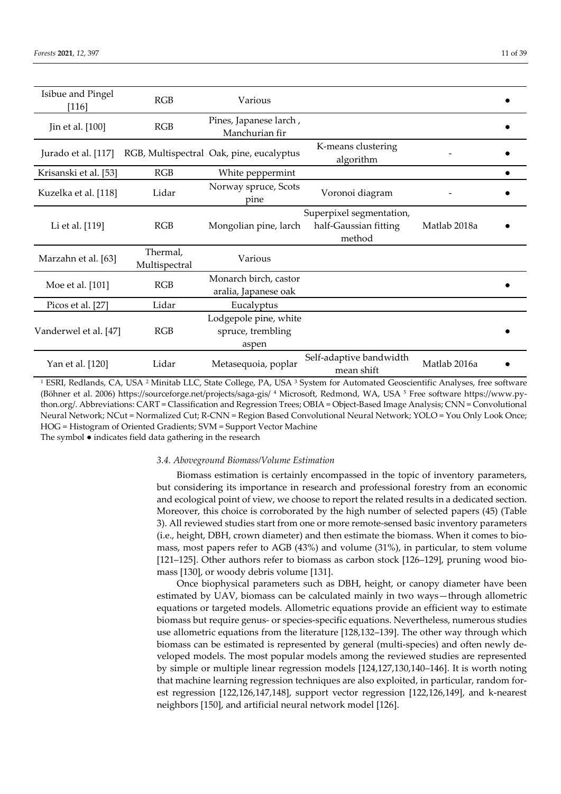| <b>Isibue and Pingel</b><br>$[116]$ | RGB                       | Various                                             |                                                             |              |  |
|-------------------------------------|---------------------------|-----------------------------------------------------|-------------------------------------------------------------|--------------|--|
| Jin et al. [100]                    | RGB                       | Pines, Japanese larch,<br>Manchurian fir            |                                                             |              |  |
| Jurado et al. [117]                 |                           | RGB, Multispectral Oak, pine, eucalyptus            | K-means clustering<br>algorithm                             |              |  |
| Krisanski et al. [53]               | RGB                       | White peppermint                                    |                                                             |              |  |
| Kuzelka et al. [118]                | Lidar                     | Norway spruce, Scots<br>pine                        | Voronoi diagram                                             |              |  |
| Li et al. [119]                     | RGB                       | Mongolian pine, larch                               | Superpixel segmentation,<br>half-Gaussian fitting<br>method | Matlab 2018a |  |
| Marzahn et al. [63]                 | Thermal,<br>Multispectral | Various                                             |                                                             |              |  |
| Moe et al. [101]                    | <b>RGB</b>                | Monarch birch, castor<br>aralia, Japanese oak       |                                                             |              |  |
| Picos et al. [27]                   | Lidar                     | Eucalyptus                                          |                                                             |              |  |
| Vanderwel et al. [47]               | RGB                       | Lodgepole pine, white<br>spruce, trembling<br>aspen |                                                             |              |  |
| Yan et al. [120]                    | Lidar                     | Metasequoia, poplar                                 | Self-adaptive bandwidth<br>mean shift                       | Matlab 2016a |  |

<sup>1</sup> ESRI, Redlands, CA, USA <sup>2</sup> Minitab LLC, State College, PA, USA <sup>3</sup> System for Automated Geoscientific Analyses, free software (Böhner et al. 2006) https://sourceforge.net/projects/saga-gis/ 4 Microsoft, Redmond, WA, USA <sup>5</sup> Free software https://www.python.org/. Abbreviations: CART = Classification and Regression Trees; OBIA = Object-Based Image Analysis; CNN = Convolutional Neural Network; NCut = Normalized Cut; R-CNN = Region Based Convolutional Neural Network; YOLO = You Only Look Once; HOG = Histogram of Oriented Gradients; SVM = Support Vector Machine

The symbol ● indicates field data gathering in the research

## *3.4. Aboveground Biomass/Volume Estimation*

Biomass estimation is certainly encompassed in the topic of inventory parameters, but considering its importance in research and professional forestry from an economic and ecological point of view, we choose to report the related results in a dedicated section. Moreover, this choice is corroborated by the high number of selected papers (45) (Table 3). All reviewed studies start from one or more remote-sensed basic inventory parameters (i.e., height, DBH, crown diameter) and then estimate the biomass. When it comes to biomass, most papers refer to AGB (43%) and volume (31%), in particular, to stem volume [121–125]. Other authors refer to biomass as carbon stock [126–129], pruning wood biomass [130], or woody debris volume [131].

Once biophysical parameters such as DBH, height, or canopy diameter have been estimated by UAV, biomass can be calculated mainly in two ways—through allometric equations or targeted models. Allometric equations provide an efficient way to estimate biomass but require genus- or species-specific equations. Nevertheless, numerous studies use allometric equations from the literature [128,132–139]. The other way through which biomass can be estimated is represented by general (multi-species) and often newly developed models. The most popular models among the reviewed studies are represented by simple or multiple linear regression models [124,127,130,140–146]. It is worth noting that machine learning regression techniques are also exploited, in particular, random forest regression [122,126,147,148], support vector regression [122,126,149], and k-nearest neighbors [150], and artificial neural network model [126].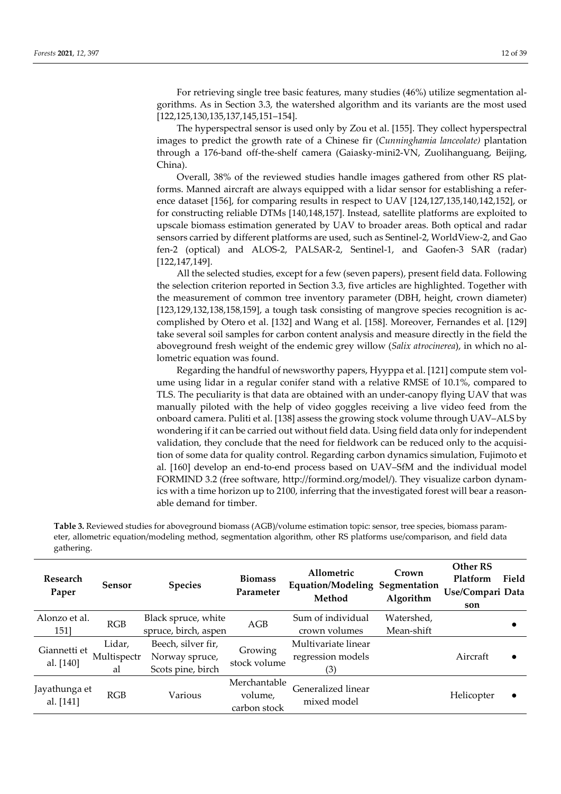For retrieving single tree basic features, many studies (46%) utilize segmentation algorithms. As in Section 3.3, the watershed algorithm and its variants are the most used [122,125,130,135,137,145,151–154].

The hyperspectral sensor is used only by Zou et al. [155]. They collect hyperspectral images to predict the growth rate of a Chinese fir (*Cunninghamia lanceolate)* plantation through a 176-band off-the-shelf camera (Gaiasky-mini2-VN, Zuolihanguang, Beijing, China).

Overall, 38% of the reviewed studies handle images gathered from other RS platforms. Manned aircraft are always equipped with a lidar sensor for establishing a reference dataset [156], for comparing results in respect to UAV [124,127,135,140,142,152], or for constructing reliable DTMs [140,148,157]. Instead, satellite platforms are exploited to upscale biomass estimation generated by UAV to broader areas. Both optical and radar sensors carried by different platforms are used, such as Sentinel-2, WorldView-2, and Gao fen-2 (optical) and ALOS-2, PALSAR-2, Sentinel-1, and Gaofen-3 SAR (radar) [122,147,149].

All the selected studies, except for a few (seven papers), present field data. Following the selection criterion reported in Section 3.3, five articles are highlighted. Together with the measurement of common tree inventory parameter (DBH, height, crown diameter) [123,129,132,138,158,159], a tough task consisting of mangrove species recognition is accomplished by Otero et al. [132] and Wang et al. [158]. Moreover, Fernandes et al. [129] take several soil samples for carbon content analysis and measure directly in the field the aboveground fresh weight of the endemic grey willow (*Salix atrocinerea*), in which no allometric equation was found.

Regarding the handful of newsworthy papers, Hyyppa et al. [121] compute stem volume using lidar in a regular conifer stand with a relative RMSE of 10.1%, compared to TLS. The peculiarity is that data are obtained with an under-canopy flying UAV that was manually piloted with the help of video goggles receiving a live video feed from the onboard camera. Puliti et al. [138] assess the growing stock volume through UAV–ALS by wondering if it can be carried out without field data. Using field data only for independent validation, they conclude that the need for fieldwork can be reduced only to the acquisition of some data for quality control. Regarding carbon dynamics simulation, Fujimoto et al. [160] develop an end-to-end process based on UAV–SfM and the individual model FORMIND 3.2 (free software, http://formind.org/model/). They visualize carbon dynamics with a time horizon up to 2100, inferring that the investigated forest will bear a reasonable demand for timber.

**Table 3.** Reviewed studies for aboveground biomass (AGB)/volume estimation topic: sensor, tree species, biomass parameter, allometric equation/modeling method, segmentation algorithm, other RS platforms use/comparison, and field data gathering.

| <b>Research</b><br>Paper   | Sensor                      | <b>Species</b>                                            | <b>Biomass</b><br>Parameter             | Allometric<br>Equation/Modeling Segmentation<br>Method | Crown<br>Algorithm       | <b>Other RS</b><br>Platform<br>Use/Compari Data<br>son | Field     |
|----------------------------|-----------------------------|-----------------------------------------------------------|-----------------------------------------|--------------------------------------------------------|--------------------------|--------------------------------------------------------|-----------|
| Alonzo et al.<br>151]      | RGB                         | Black spruce, white<br>spruce, birch, aspen               | AGB                                     | Sum of individual<br>crown volumes                     | Watershed,<br>Mean-shift |                                                        |           |
| Giannetti et<br>al. [140]  | Lidar,<br>Multispectr<br>al | Beech, silver fir,<br>Norway spruce,<br>Scots pine, birch | Growing<br>stock volume                 | Multivariate linear<br>regression models<br>(3)        |                          | Aircraft                                               |           |
| Jayathunga et<br>al. [141] | RGB                         | Various                                                   | Merchantable<br>volume,<br>carbon stock | Generalized linear<br>mixed model                      |                          | Helicopter                                             | $\bullet$ |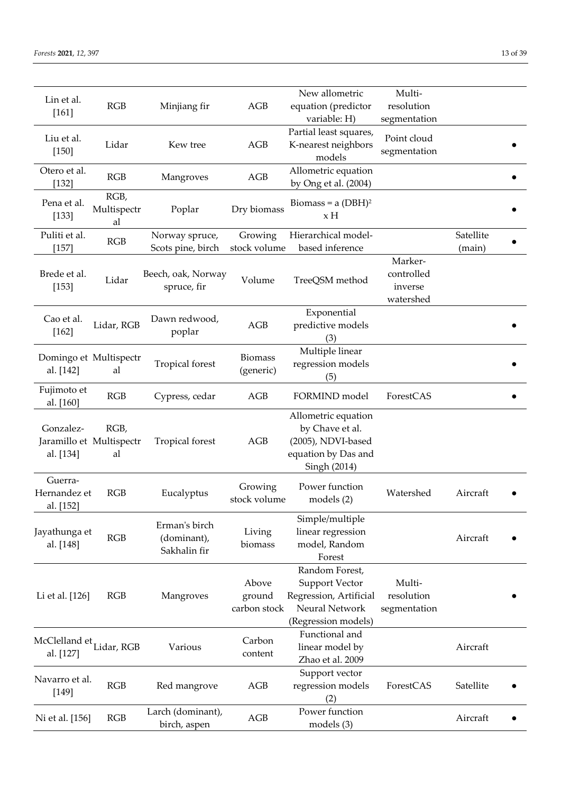| Lin et al.<br>$[161]$                | RGB                                    | Minjiang fir                                 | AGB                             | New allometric<br>equation (predictor<br>variable: H)                                                      | Multi-<br>resolution<br>segmentation          |           |  |
|--------------------------------------|----------------------------------------|----------------------------------------------|---------------------------------|------------------------------------------------------------------------------------------------------------|-----------------------------------------------|-----------|--|
| Liu et al.<br>$[150]$                | Lidar                                  | Kew tree                                     | AGB                             | Partial least squares,<br>K-nearest neighbors<br>models                                                    | Point cloud<br>segmentation                   |           |  |
| Otero et al.<br>[132]                | RGB                                    | Mangroves                                    | AGB                             | Allometric equation<br>by Ong et al. (2004)                                                                |                                               |           |  |
| Pena et al.<br>[133]                 | RGB,<br>Multispectr<br>al              | Poplar                                       | Dry biomass                     | Biomass = $a$ (DBH) <sup>2</sup><br>xH                                                                     |                                               |           |  |
| Puliti et al.                        | RGB                                    | Norway spruce,                               | Growing                         | Hierarchical model-                                                                                        |                                               | Satellite |  |
| $[157]$                              |                                        | Scots pine, birch                            | stock volume                    | based inference                                                                                            |                                               | (main)    |  |
| Brede et al.<br>[153]                | Lidar                                  | Beech, oak, Norway<br>spruce, fir            | Volume                          | TreeQSM method                                                                                             | Marker-<br>controlled<br>inverse<br>watershed |           |  |
| Cao et al.<br>$[162]$                | Lidar, RGB                             | Dawn redwood,<br>poplar                      | AGB                             | Exponential<br>predictive models<br>(3)                                                                    |                                               |           |  |
| Domingo et Multispectr<br>al. [142]  | al                                     | <b>Tropical</b> forest                       | <b>Biomass</b><br>(generic)     | Multiple linear<br>regression models<br>(5)                                                                |                                               |           |  |
| Fujimoto et<br>al. [160]             | RGB                                    | Cypress, cedar                               | AGB                             | FORMIND model                                                                                              | ForestCAS                                     |           |  |
| Gonzalez-<br>al. [134]               | RGB,<br>Jaramillo et Multispectr<br>al | Tropical forest                              | AGB                             | Allometric equation<br>by Chave et al.<br>(2005), NDVI-based<br>equation by Das and<br>Singh (2014)        |                                               |           |  |
| Guerra-<br>Hernandez et<br>al. [152] | RGB                                    | Eucalyptus                                   | Growing<br>stock volume         | Power function<br>models (2)                                                                               | Watershed                                     | Aircraft  |  |
| Jayathunga et<br>al. [148]           | RGB                                    | Erman's birch<br>(dominant),<br>Sakhalin fir | Living<br>biomass               | Simple/multiple<br>linear regression<br>model, Random<br>Forest                                            |                                               | Aircraft  |  |
| Li et al. [126]                      | RGB                                    | Mangroves                                    | Above<br>ground<br>carbon stock | Random Forest,<br><b>Support Vector</b><br>Regression, Artificial<br>Neural Network<br>(Regression models) | Multi-<br>resolution<br>segmentation          |           |  |
| McClelland et,<br>al. [127]          | Lidar, RGB                             | Various                                      | Carbon<br>content               | Functional and<br>linear model by<br>Zhao et al. 2009                                                      |                                               | Aircraft  |  |
| Navarro et al.<br>[149]              | RGB                                    | Red mangrove                                 | AGB                             | Support vector<br>regression models<br>(2)                                                                 | ForestCAS                                     | Satellite |  |
| Ni et al. [156]                      | RGB                                    | Larch (dominant),<br>birch, aspen            | AGB                             | Power function<br>models (3)                                                                               |                                               | Aircraft  |  |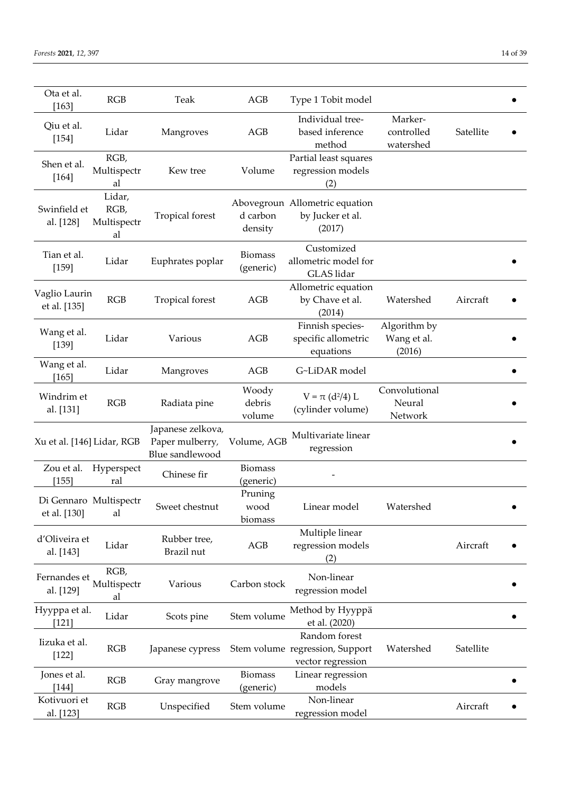| Ota et al.<br>[163]           | RGB                                 | Teak                                                    | AGB                         | Type 1 Tobit model                                                    |                                       |           |
|-------------------------------|-------------------------------------|---------------------------------------------------------|-----------------------------|-----------------------------------------------------------------------|---------------------------------------|-----------|
| Qiu et al.<br>$[154]$         | Lidar                               | Mangroves                                               | AGB                         | Individual tree-<br>based inference<br>method                         | Marker-<br>controlled<br>watershed    | Satellite |
| Shen et al.<br>$[164]$        | RGB,<br>Multispectr<br>al           | Kew tree                                                | Volume                      | Partial least squares<br>regression models<br>(2)                     |                                       |           |
| Swinfield et<br>al. [128]     | Lidar,<br>RGB,<br>Multispectr<br>al | Tropical forest                                         | d carbon<br>density         | Abovegroun Allometric equation<br>by Jucker et al.<br>(2017)          |                                       |           |
| Tian et al.<br>[159]          | Lidar                               | Euphrates poplar                                        | <b>Biomass</b><br>(generic) | Customized<br>allometric model for<br>GLAS lidar                      |                                       |           |
| Vaglio Laurin<br>et al. [135] | RGB                                 | Tropical forest                                         | AGB                         | Allometric equation<br>by Chave et al.<br>(2014)                      | Watershed                             | Aircraft  |
| Wang et al.<br>[139]          | Lidar                               | Various                                                 | AGB                         | Finnish species-<br>specific allometric<br>equations                  | Algorithm by<br>Wang et al.<br>(2016) |           |
| Wang et al.<br>$[165]$        | Lidar                               | Mangroves                                               | AGB                         | G~LiDAR model                                                         |                                       |           |
| Windrim et<br>al. [131]       | RGB                                 | Radiata pine                                            | Woody<br>debris<br>volume   | $V = \pi (d^2/4) L$<br>(cylinder volume)                              | Convolutional<br>Neural<br>Network    |           |
| Xu et al. [146] Lidar, RGB    |                                     | Japanese zelkova,<br>Paper mulberry,<br>Blue sandlewood | Volume, AGB                 | Multivariate linear<br>regression                                     |                                       |           |
| Zou et al.<br>$[155]$         | Hyperspect<br>ral                   | Chinese fir                                             | <b>Biomass</b><br>(generic) |                                                                       |                                       |           |
| et al. [130]                  | Di Gennaro Multispectr<br>al        | Sweet chestnut                                          | Pruning<br>wood<br>biomass  | Linear model                                                          | Watershed                             |           |
| d'Oliveira et<br>al. [143]    | Lidar                               | Rubber tree,<br>Brazil nut                              | AGB                         | Multiple linear<br>regression models<br>(2)                           |                                       | Aircraft  |
| Fernandes et<br>al. [129]     | RGB,<br>Multispectr<br>al           | Various                                                 | Carbon stock                | Non-linear<br>regression model                                        |                                       |           |
| Hyyppa et al.<br>$[121]$      | Lidar                               | Scots pine                                              | Stem volume                 | Method by Hyyppä<br>et al. (2020)                                     |                                       |           |
| Iizuka et al.<br>$[122]$      | RGB                                 | Japanese cypress                                        |                             | Random forest<br>Stem volume regression, Support<br>vector regression | Watershed                             | Satellite |
| Jones et al.<br>$[144]$       | RGB                                 | Gray mangrove                                           | <b>Biomass</b><br>(generic) | Linear regression<br>models                                           |                                       |           |
| Kotivuori et<br>al. [123]     | <b>RGB</b>                          | Unspecified                                             | Stem volume                 | Non-linear<br>regression model                                        |                                       | Aircraft  |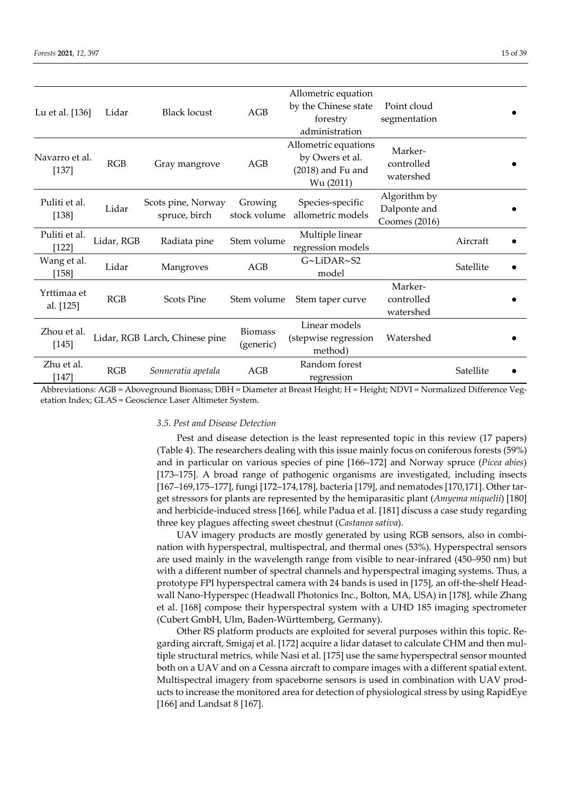| Lu et al. [136]           | Lidar      | <b>Black locust</b>                 | AGB                         | Allometric equation<br>by the Chinese state<br>forestry<br>administration   | Point cloud<br>segmentation                   |           |  |
|---------------------------|------------|-------------------------------------|-----------------------------|-----------------------------------------------------------------------------|-----------------------------------------------|-----------|--|
| Navarro et al.<br>$[137]$ | RGB        | Gray mangrove                       | AGB                         | Allometric equations<br>by Owers et al.<br>$(2018)$ and Fu and<br>Wu (2011) | Marker-<br>controlled<br>watershed            |           |  |
| Puliti et al.<br>[138]    | Lidar      | Scots pine, Norway<br>spruce, birch | Growing<br>stock volume     | Species-specific<br>allometric models                                       | Algorithm by<br>Dalponte and<br>Coomes (2016) |           |  |
| Puliti et al.<br>[122]    | Lidar, RGB | Radiata pine                        | Stem volume                 | Multiple linear<br>regression models                                        |                                               | Aircraft  |  |
| Wang et al.<br>[158]      | Lidar      | Mangroves                           | AGB                         | G~LiDAR~S2<br>model                                                         |                                               | Satellite |  |
| Yrttimaa et<br>al. [125]  | RGB        | <b>Scots Pine</b>                   | Stem volume                 | Stem taper curve                                                            | Marker-<br>controlled<br>watershed            |           |  |
| Zhou et al.<br>[145]      |            | Lidar, RGB Larch, Chinese pine      | <b>Biomass</b><br>(generic) | Linear models<br>(stepwise regression<br>method)                            | Watershed                                     |           |  |
| Zhu et al.<br>[147]       | RGB        | Sonneratia apetala                  | AGB                         | Random forest<br>regression                                                 |                                               | Satellite |  |

Abbreviations: AGB = Aboveground Biomass; DBH = Diameter at Breast Height; H = Height; NDVI = Normalized Difference Vegetation Index; GLAS = Geoscience Laser Altimeter System.

## *3.5. Pest and Disease Detection*

Pest and disease detection is the least represented topic in this review (17 papers) (Table 4). The researchers dealing with this issue mainly focus on coniferous forests (59%) and in particular on various species of pine [166–172] and Norway spruce (*Picea abies*) [173–175]. A broad range of pathogenic organisms are investigated, including insects [167–169,175–177], fungi [172–174,178], bacteria [179], and nematodes [170,171]. Other target stressors for plants are represented by the hemiparasitic plant (*Amyema miquelii*) [180] and herbicide-induced stress [166], while Padua et al. [181] discuss a case study regarding three key plagues affecting sweet chestnut (*Castanea sativa*).

UAV imagery products are mostly generated by using RGB sensors, also in combination with hyperspectral, multispectral, and thermal ones (53%). Hyperspectral sensors are used mainly in the wavelength range from visible to near-infrared (450–950 nm) but with a different number of spectral channels and hyperspectral imaging systems. Thus, a prototype FPI hyperspectral camera with 24 bands is used in [175], an off-the-shelf Headwall Nano-Hyperspec (Headwall Photonics Inc., Bolton, MA, USA) in [178], while Zhang et al. [168] compose their hyperspectral system with a UHD 185 imaging spectrometer (Cubert GmbH, Ulm, Baden-Württemberg, Germany).

Other RS platform products are exploited for several purposes within this topic. Regarding aircraft, Smigaj et al. [172] acquire a lidar dataset to calculate CHM and then multiple structural metrics, while Nasi et al. [175] use the same hyperspectral sensor mounted both on a UAV and on a Cessna aircraft to compare images with a different spatial extent. Multispectral imagery from spaceborne sensors is used in combination with UAV products to increase the monitored area for detection of physiological stress by using RapidEye [166] and Landsat 8 [167].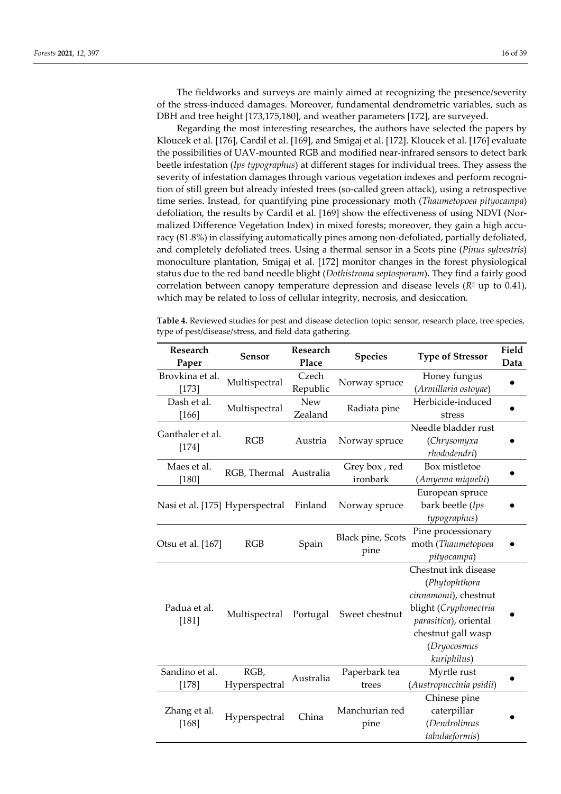The fieldworks and surveys are mainly aimed at recognizing the presence/severity of the stress-induced damages. Moreover, fundamental dendrometric variables, such as DBH and tree height [173,175,180], and weather parameters [172], are surveyed.

Regarding the most interesting researches, the authors have selected the papers by Kloucek et al. [176], Cardil et al. [169], and Smigaj et al. [172]. Kloucek et al. [176] evaluate the possibilities of UAV-mounted RGB and modified near-infrared sensors to detect bark beetle infestation (*Ips typographus*) at different stages for individual trees. They assess the severity of infestation damages through various vegetation indexes and perform recognition of still green but already infested trees (so-called green attack), using a retrospective time series. Instead, for quantifying pine processionary moth (*Thaumetopoea pityocampa*) defoliation, the results by Cardil et al. [169] show the effectiveness of using NDVI (Normalized Difference Vegetation Index) in mixed forests; moreover, they gain a high accuracy (81.8%) in classifying automatically pines among non-defoliated, partially defoliated, and completely defoliated trees. Using a thermal sensor in a Scots pine (*Pinus sylvestris*) monoculture plantation, Smigaj et al. [172] monitor changes in the forest physiological status due to the red band needle blight (*Dothistroma septosporum*). They find a fairly good correlation between canopy temperature depression and disease levels (*R*<sup>2</sup> up to 0.41), which may be related to loss of cellular integrity, necrosis, and desiccation.

**Table 4.** Reviewed studies for pest and disease detection topic: sensor, research place, tree species, type of pest/disease/stress, and field data gathering.

| Research<br>Paper               | Sensor                 | Research<br>Place     | <b>Species</b>                   | <b>Type of Stressor</b>                                                                                                                                             | Field<br>Data |
|---------------------------------|------------------------|-----------------------|----------------------------------|---------------------------------------------------------------------------------------------------------------------------------------------------------------------|---------------|
| Brovkina et al.<br>[173]        | Multispectral          | Czech<br>Republic     | Norway spruce                    | Honey fungus<br>(Armillaria ostoyae)                                                                                                                                |               |
| Dash et al.<br>$[166]$          | Multispectral          | <b>New</b><br>Zealand | Radiata pine                     | Herbicide-induced<br>stress                                                                                                                                         |               |
| Ganthaler et al.<br>[174]       | <b>RGB</b>             | Austria               | Norway spruce                    | Needle bladder rust<br>(Chrysomyxa<br>rhododendri)                                                                                                                  |               |
| Maes et al.<br>$[180]$          | RGB, Thermal Australia |                       | Grey box, red<br>ironbark        | Box mistletoe<br>(Amyema miquelii)                                                                                                                                  |               |
| Nasi et al. [175] Hyperspectral |                        | Finland               | Norway spruce                    | European spruce<br>bark beetle (Ips<br>typographus)                                                                                                                 |               |
| Otsu et al. [167]               | RGB                    | Spain                 | <b>Black pine, Scots</b><br>pine | Pine processionary<br>moth (Thaumetopoea<br>pityocampa)                                                                                                             |               |
| Padua et al.<br>[181]           | Multispectral          | Portugal              | Sweet chestnut                   | Chestnut ink disease<br>(Phytophthora<br>cinnamomi), chestnut<br>blight (Cryphonectria<br>parasitica), oriental<br>chestnut gall wasp<br>(Dryocosmus<br>kuriphilus) |               |
| Sandino et al.<br>$[178]$       | RGB,<br>Hyperspectral  | Australia             | Paperbark tea<br>trees           | Myrtle rust<br>(Austropuccinia psidii)                                                                                                                              |               |
| Zhang et al.<br>[168]           | Hyperspectral          | China                 | Manchurian red<br>pine           | Chinese pine<br>caterpillar<br>(Dendrolimus<br>tabulaeformis)                                                                                                       |               |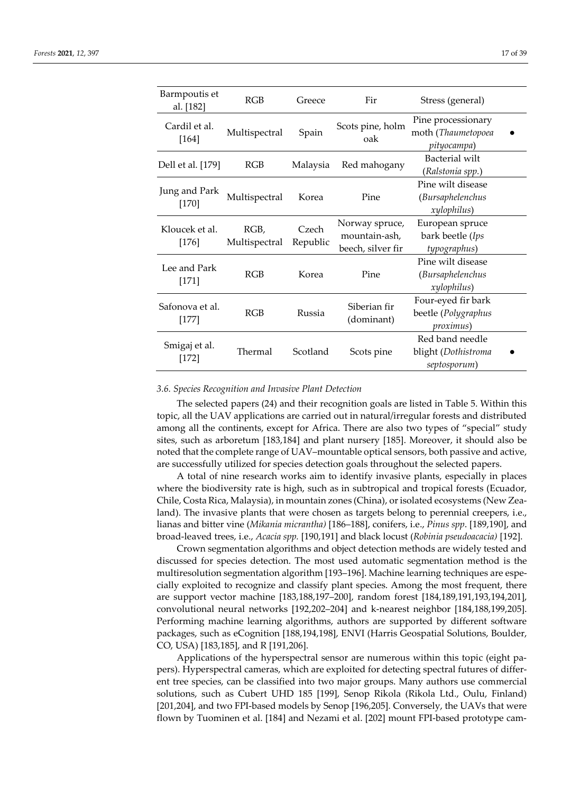| Barmpoutis et<br>al. [182] | RGB                   | Greece            | Fir                                                  | Stress (general)                                        |
|----------------------------|-----------------------|-------------------|------------------------------------------------------|---------------------------------------------------------|
| Cardil et al.<br>$[164]$   | Multispectral         | Spain             | Scots pine, holm<br>oak                              | Pine processionary<br>moth (Thaumetopoea<br>pityocampa) |
| Dell et al. [179]          | RGB                   | Malaysia          | Red mahogany                                         | Bacterial wilt<br>(Ralstonia spp.)                      |
| Jung and Park<br>$[170]$   | Multispectral         | Korea             | Pine                                                 | Pine wilt disease<br>(Bursaphelenchus<br>xylophilus)    |
| Kloucek et al.<br>$[176]$  | RGB,<br>Multispectral | Czech<br>Republic | Norway spruce,<br>mountain-ash,<br>beech, silver fir | European spruce<br>bark beetle (Ips<br>typographus)     |
| Lee and Park<br>$[171]$    | RGB                   | Korea             | Pine                                                 | Pine wilt disease<br>(Bursaphelenchus<br>xylophilus)    |
| Safonova et al.<br>$[177]$ | RGB                   | Russia            | Siberian fir<br>(dominant)                           | Four-eyed fir bark<br>beetle (Polygraphus<br>proximus)  |
| Smigaj et al.<br>[172]     | Thermal               | Scotland          | Scots pine                                           | Red band needle<br>blight (Dothistroma<br>septosporum)  |

#### *3.6. Species Recognition and Invasive Plant Detection*

The selected papers (24) and their recognition goals are listed in Table 5. Within this topic, all the UAV applications are carried out in natural/irregular forests and distributed among all the continents, except for Africa. There are also two types of "special" study sites, such as arboretum [183,184] and plant nursery [185]. Moreover, it should also be noted that the complete range of UAV–mountable optical sensors, both passive and active, are successfully utilized for species detection goals throughout the selected papers.

A total of nine research works aim to identify invasive plants, especially in places where the biodiversity rate is high, such as in subtropical and tropical forests (Ecuador, Chile, Costa Rica, Malaysia), in mountain zones (China), orisolated ecosystems (New Zealand). The invasive plants that were chosen as targets belong to perennial creepers, i.e., lianas and bitter vine (*Mikania micrantha)* [186–188], conifers, i.e., *Pinus spp*. [189,190], and broad-leaved trees, i.e., *Acacia spp.* [190,191] and black locust (*Robinia pseudoacacia)* [192].

Crown segmentation algorithms and object detection methods are widely tested and discussed for species detection. The most used automatic segmentation method is the multiresolution segmentation algorithm [193–196]. Machine learning techniques are especially exploited to recognize and classify plant species. Among the most frequent, there are support vector machine [183,188,197–200], random forest [184,189,191,193,194,201], convolutional neural networks [192,202–204] and k-nearest neighbor [184,188,199,205]. Performing machine learning algorithms, authors are supported by different software packages, such as eCognition [188,194,198], ENVI (Harris Geospatial Solutions, Boulder, CO, USA) [183,185], and R [191,206].

Applications of the hyperspectral sensor are numerous within this topic (eight papers). Hyperspectral cameras, which are exploited for detecting spectral futures of different tree species, can be classified into two major groups. Many authors use commercial solutions, such as Cubert UHD 185 [199], Senop Rikola (Rikola Ltd., Oulu, Finland) [201,204], and two FPI-based models by Senop [196,205]. Conversely, the UAVs that were flown by Tuominen et al. [184] and Nezami et al. [202] mount FPI-based prototype cam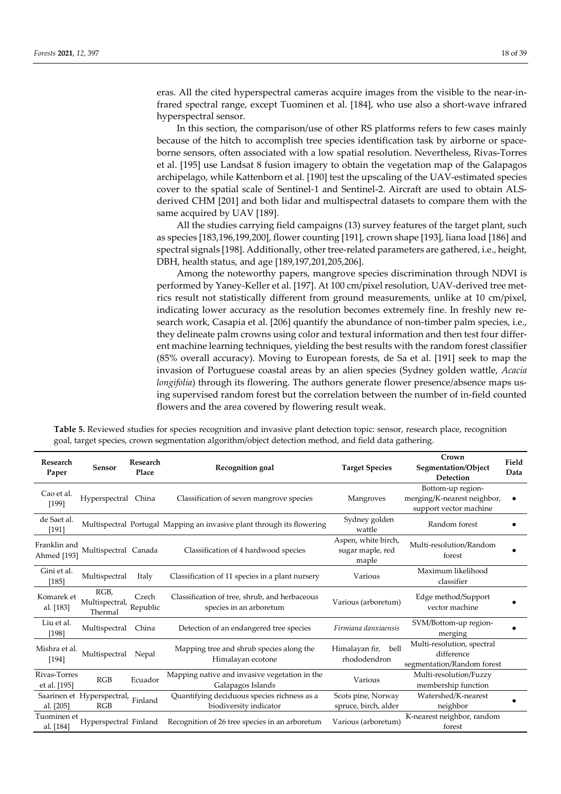eras. All the cited hyperspectral cameras acquire images from the visible to the near-infrared spectral range, except Tuominen et al. [184], who use also a short-wave infrared hyperspectral sensor.

In this section, the comparison/use of other RS platforms refers to few cases mainly because of the hitch to accomplish tree species identification task by airborne or spaceborne sensors, often associated with a low spatial resolution. Nevertheless, Rivas-Torres et al. [195] use Landsat 8 fusion imagery to obtain the vegetation map of the Galapagos archipelago, while Kattenborn et al. [190] test the upscaling of the UAV-estimated species cover to the spatial scale of Sentinel-1 and Sentinel-2. Aircraft are used to obtain ALSderived CHM [201] and both lidar and multispectral datasets to compare them with the same acquired by UAV [189].

All the studies carrying field campaigns (13) survey features of the target plant, such as species [183,196,199,200], flower counting [191], crown shape [193], liana load [186] and spectral signals [198]. Additionally, other tree-related parameters are gathered, i.e., height, DBH, health status, and age [189,197,201,205,206].

Among the noteworthy papers, mangrove species discrimination through NDVI is performed by Yaney-Keller et al. [197]. At 100 cm/pixel resolution, UAV-derived tree metrics result not statistically different from ground measurements, unlike at 10 cm/pixel, indicating lower accuracy as the resolution becomes extremely fine. In freshly new research work, Casapia et al. [206] quantify the abundance of non-timber palm species, i.e., they delineate palm crowns using color and textural information and then test four different machine learning techniques, yielding the best results with the random forest classifier (85% overall accuracy). Moving to European forests, de Sa et al. [191] seek to map the invasion of Portuguese coastal areas by an alien species (Sydney golden wattle, *Acacia longifolia*) through its flowering. The authors generate flower presence/absence maps using supervised random forest but the correlation between the number of in-field counted flowers and the area covered by flowering result weak.

**Crown** 

| Research<br>Paper            | Sensor                            | Research<br>Place | Recognition goal                                                         | <b>Target Species</b>                            | Segmentation/Object<br>Detection                                           | Field<br>Data |
|------------------------------|-----------------------------------|-------------------|--------------------------------------------------------------------------|--------------------------------------------------|----------------------------------------------------------------------------|---------------|
| Cao et al.<br>[199]          | Hyperspectral                     | China             | Classification of seven mangrove species                                 | Mangroves                                        | Bottom-up region-<br>merging/K-nearest neighbor,<br>support vector machine |               |
| de Saet al.<br>[191]         |                                   |                   | Multispectral Portugal Mapping an invasive plant through its flowering   | Sydney golden<br>wattle                          | Random forest                                                              |               |
| Franklin and<br>Ahmed [193]  | Multispectral Canada              |                   | Classification of 4 hardwood species                                     | Aspen, white birch,<br>sugar maple, red<br>maple | Multi-resolution/Random<br>forest                                          |               |
| Gini et al.<br>[185]         | Multispectral                     | Italy             | Classification of 11 species in a plant nursery                          | Various                                          | Maximum likelihood<br>classifier                                           |               |
| Komarek et<br>al. [183]      | RGB,<br>Multispectral,<br>Thermal | Czech<br>Republic | Classification of tree, shrub, and herbaceous<br>species in an arboretum | Various (arboretum)                              | Edge method/Support<br>vector machine                                      |               |
| Liu et al.<br>[198]          | Multispectral                     | China             | Detection of an endangered tree species                                  | Firmiana danxiaensis                             | SVM/Bottom-up region-<br>merging                                           |               |
| Mishra et al.<br>[194]       | Multispectral                     | Nepal             | Mapping tree and shrub species along the<br>Himalayan ecotone            | Himalayan fir, bell<br>rhododendron              | Multi-resolution, spectral<br>difference<br>segmentation/Random forest     |               |
| Rivas-Torres<br>et al. [195] | RGB                               | Ecuador           | Mapping native and invasive vegetation in the<br>Galapagos Islands       | Various                                          | Multi-resolution/Fuzzy<br>membership function                              |               |
| al. [205]                    | Saarinen et Hyperspectral,<br>RGB | Finland           | Quantifying deciduous species richness as a<br>biodiversity indicator    | Scots pine, Norway<br>spruce, birch, alder       | Watershed/K-nearest<br>neighbor                                            |               |
| Tuominen et .<br>al. [184]   | Hyperspectral Finland             |                   | Recognition of 26 tree species in an arboretum                           | Various (arboretum)                              | K-nearest neighbor, random<br>forest                                       |               |

**Table 5.** Reviewed studies for species recognition and invasive plant detection topic: sensor, research place, recognition goal, target species, crown segmentation algorithm/object detection method, and field data gathering.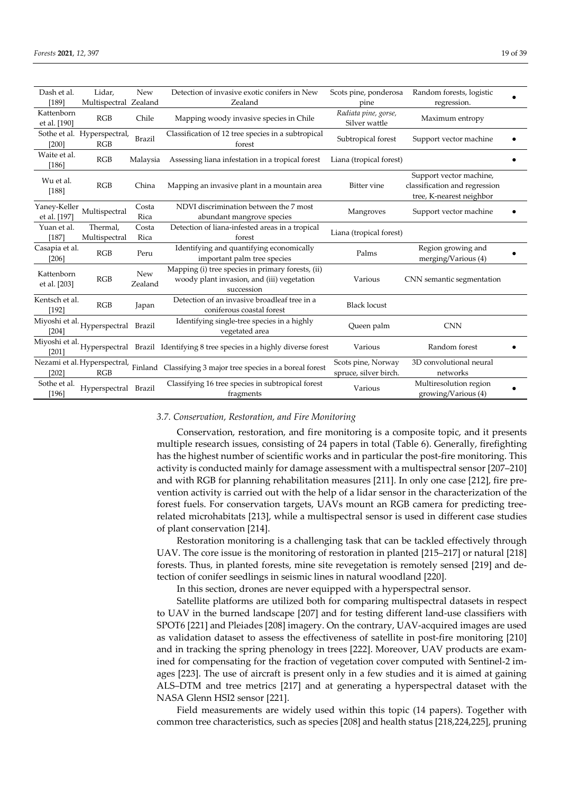| Dash et al.                  | Lidar,                              | New            | Detection of invasive exotic conifers in New                                                                  | Scots pine, ponderosa                       | Random forests, logistic                                                             |  |
|------------------------------|-------------------------------------|----------------|---------------------------------------------------------------------------------------------------------------|---------------------------------------------|--------------------------------------------------------------------------------------|--|
| [189]                        | Multispectral Zealand               |                | Zealand                                                                                                       | pine                                        | regression.                                                                          |  |
| Kattenborn<br>et al. [190]   | RGB                                 | Chile          | Mapping woody invasive species in Chile                                                                       | Radiata pine, gorse,<br>Silver wattle       | Maximum entropy                                                                      |  |
| [200]                        | Sothe et al. Hyperspectral,<br>RGB  | Brazil         | Classification of 12 tree species in a subtropical<br>forest                                                  | Subtropical forest                          | Support vector machine                                                               |  |
| Waite et al.<br>[186]        | RGB                                 | Malaysia       | Assessing liana infestation in a tropical forest                                                              | Liana (tropical forest)                     |                                                                                      |  |
| Wu et al.<br>[188]           | RGB                                 | China          | Mapping an invasive plant in a mountain area                                                                  | Bitter vine                                 | Support vector machine,<br>classification and regression<br>tree, K-nearest neighbor |  |
| Yaney-Keller<br>et al. [197] | Multispectral                       | Costa<br>Rica  | NDVI discrimination between the 7 most<br>abundant mangrove species                                           | Mangroves                                   | Support vector machine                                                               |  |
| Yuan et al.<br>[187]         | Thermal,<br>Multispectral           | Costa<br>Rica  | Detection of liana-infested areas in a tropical<br>forest                                                     | Liana (tropical forest)                     |                                                                                      |  |
| Casapia et al.<br>[206]      | RGB                                 | Peru           | Identifying and quantifying economically<br>important palm tree species                                       | Palms                                       | Region growing and<br>merging/Various (4)                                            |  |
| Kattenborn<br>et al. [203]   | RGB                                 | New<br>Zealand | Mapping (i) tree species in primary forests, (ii)<br>woody plant invasion, and (iii) vegetation<br>succession | Various                                     | CNN semantic segmentation                                                            |  |
| Kentsch et al.<br>[192]      | RGB                                 | Japan          | Detection of an invasive broadleaf tree in a<br>coniferous coastal forest                                     | <b>Black locust</b>                         |                                                                                      |  |
| Miyoshi et al.<br>$[204]$    | Hyperspectral                       | Brazil         | Identifying single-tree species in a highly<br>vegetated area                                                 | Queen palm                                  | <b>CNN</b>                                                                           |  |
| Miyoshi et al.<br>[201]      |                                     |                | Hyperspectral Brazil Identifying 8 tree species in a highly diverse forest                                    | Various                                     | Random forest                                                                        |  |
| $[202]$                      | Nezami et al. Hyperspectral,<br>RGB |                | Finland Classifying 3 major tree species in a boreal forest                                                   | Scots pine, Norway<br>spruce, silver birch. | 3D convolutional neural<br>networks                                                  |  |
| Sothe et al.<br>[196]        | Hyperspectral Brazil                |                | Classifying 16 tree species in subtropical forest<br>fragments                                                | Various                                     | Multiresolution region<br>growing/Various (4)                                        |  |

## *3.7. Conservation, Restoration, and Fire Monitoring*

Conservation, restoration, and fire monitoring is a composite topic, and it presents multiple research issues, consisting of 24 papers in total (Table 6). Generally, firefighting has the highest number of scientific works and in particular the post-fire monitoring. This activity is conducted mainly for damage assessment with a multispectral sensor [207–210] and with RGB for planning rehabilitation measures [211]. In only one case [212], fire prevention activity is carried out with the help of a lidar sensor in the characterization of the forest fuels. For conservation targets, UAVs mount an RGB camera for predicting treerelated microhabitats [213], while a multispectral sensor is used in different case studies of plant conservation [214].

Restoration monitoring is a challenging task that can be tackled effectively through UAV. The core issue is the monitoring of restoration in planted [215–217] or natural [218] forests. Thus, in planted forests, mine site revegetation is remotely sensed [219] and detection of conifer seedlings in seismic lines in natural woodland [220].

In this section, drones are never equipped with a hyperspectral sensor.

Satellite platforms are utilized both for comparing multispectral datasets in respect to UAV in the burned landscape [207] and for testing different land-use classifiers with SPOT6 [221] and Pleiades [208] imagery. On the contrary, UAV-acquired images are used as validation dataset to assess the effectiveness of satellite in post-fire monitoring [210] and in tracking the spring phenology in trees [222]. Moreover, UAV products are examined for compensating for the fraction of vegetation cover computed with Sentinel-2 images [223]. The use of aircraft is present only in a few studies and it is aimed at gaining ALS–DTM and tree metrics [217] and at generating a hyperspectral dataset with the NASA Glenn HSI2 sensor [221].

Field measurements are widely used within this topic (14 papers). Together with common tree characteristics, such as species [208] and health status [218,224,225], pruning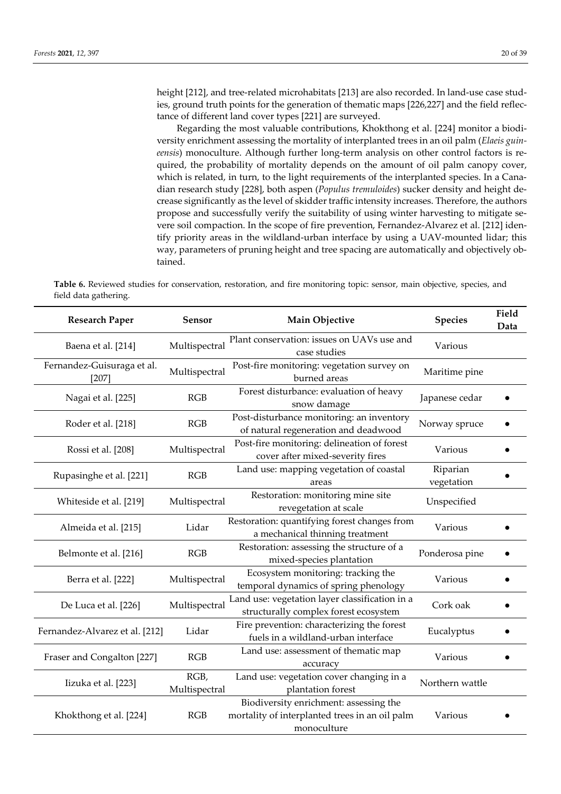height [212], and tree-related microhabitats [213] are also recorded. In land-use case studies, ground truth points for the generation of thematic maps [226,227] and the field reflectance of different land cover types [221] are surveyed.

Regarding the most valuable contributions, Khokthong et al. [224] monitor a biodiversity enrichment assessing the mortality of interplanted trees in an oil palm (*Elaeis guineensis*) monoculture. Although further long-term analysis on other control factors is required, the probability of mortality depends on the amount of oil palm canopy cover, which is related, in turn, to the light requirements of the interplanted species. In a Canadian research study [228], both aspen (*Populus tremuloides*) sucker density and height decrease significantly as the level of skidder traffic intensity increases. Therefore, the authors propose and successfully verify the suitability of using winter harvesting to mitigate severe soil compaction. In the scope of fire prevention, Fernandez-Alvarez et al. [212] identify priority areas in the wildland-urban interface by using a UAV-mounted lidar; this way, parameters of pruning height and tree spacing are automatically and objectively obtained.

**Table 6.** Reviewed studies for conservation, restoration, and fire monitoring topic: sensor, main objective, species, and field data gathering.

| <b>Research Paper</b>               | Sensor                | Main Objective                                                                                          | <b>Species</b>         | Field<br>Data |
|-------------------------------------|-----------------------|---------------------------------------------------------------------------------------------------------|------------------------|---------------|
| Baena et al. [214]                  | Multispectral         | Plant conservation: issues on UAVs use and<br>case studies                                              | Various                |               |
| Fernandez-Guisuraga et al.<br>[207] | Multispectral         | Post-fire monitoring: vegetation survey on<br>burned areas                                              | Maritime pine          |               |
| Nagai et al. [225]                  | RGB                   | Forest disturbance: evaluation of heavy<br>snow damage                                                  | Japanese cedar         |               |
| Roder et al. [218]                  | RGB                   | Post-disturbance monitoring: an inventory<br>of natural regeneration and deadwood                       | Norway spruce          |               |
| Rossi et al. [208]                  | Multispectral         | Post-fire monitoring: delineation of forest<br>cover after mixed-severity fires                         | Various                |               |
| Rupasinghe et al. [221]             | RGB                   | Land use: mapping vegetation of coastal<br>areas                                                        | Riparian<br>vegetation |               |
| Whiteside et al. [219]              | Multispectral         | Restoration: monitoring mine site<br>revegetation at scale                                              | Unspecified            |               |
| Almeida et al. [215]                | Lidar                 | Restoration: quantifying forest changes from<br>a mechanical thinning treatment                         | Various                |               |
| Belmonte et al. [216]               | RGB                   | Restoration: assessing the structure of a<br>mixed-species plantation                                   | Ponderosa pine         |               |
| Berra et al. [222]                  | Multispectral         | Ecosystem monitoring: tracking the<br>temporal dynamics of spring phenology                             | Various                |               |
| De Luca et al. [226]                | Multispectral         | Land use: vegetation layer classification in a<br>structurally complex forest ecosystem                 | Cork oak               |               |
| Fernandez-Alvarez et al. [212]      | Lidar                 | Fire prevention: characterizing the forest<br>fuels in a wildland-urban interface                       | Eucalyptus             |               |
| Fraser and Congalton [227]          | RGB                   | Land use: assessment of thematic map<br>accuracy                                                        | Various                |               |
| Iizuka et al. [223]                 | RGB,<br>Multispectral | Land use: vegetation cover changing in a<br>plantation forest                                           | Northern wattle        |               |
| Khokthong et al. [224]              | RGB                   | Biodiversity enrichment: assessing the<br>mortality of interplanted trees in an oil palm<br>monoculture | Various                |               |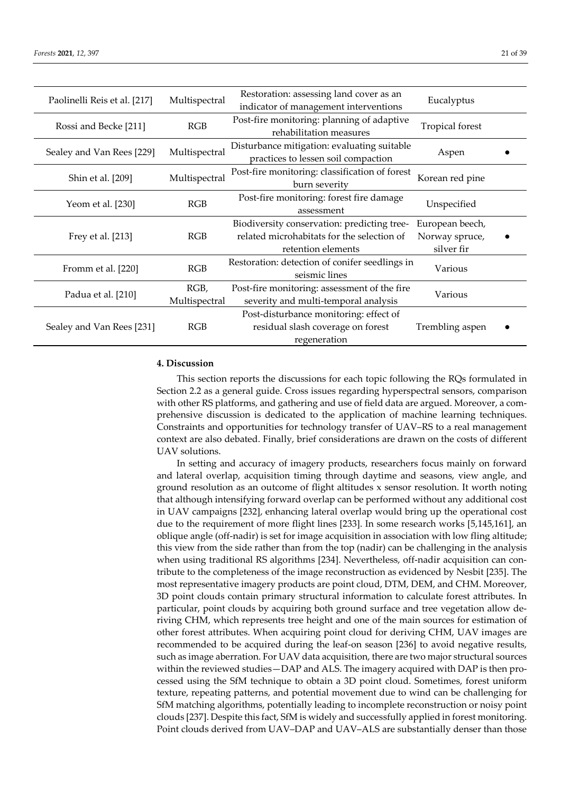|  |  | { | ı |
|--|--|---|---|
|  |  |   |   |

| Paolinelli Reis et al. [217] | Multispectral | Restoration: assessing land cover as an        | Eucalyptus      |  |
|------------------------------|---------------|------------------------------------------------|-----------------|--|
|                              |               | indicator of management interventions          |                 |  |
|                              |               | Post-fire monitoring: planning of adaptive     |                 |  |
| Rossi and Becke [211]        | RGB           | rehabilitation measures                        | Tropical forest |  |
|                              |               | Disturbance mitigation: evaluating suitable    |                 |  |
| Sealey and Van Rees [229]    | Multispectral | practices to lessen soil compaction            | Aspen           |  |
|                              |               |                                                |                 |  |
| Shin et al. [209]            | Multispectral | Post-fire monitoring: classification of forest | Korean red pine |  |
|                              |               | burn severity                                  |                 |  |
|                              |               | Post-fire monitoring: forest fire damage       |                 |  |
| Yeom et al. [230]            | RGB           | assessment                                     | Unspecified     |  |
|                              |               |                                                |                 |  |
|                              |               | Biodiversity conservation: predicting tree-    | European beech, |  |
| Frey et al. [213]            | RGB           | related microhabitats for the selection of     | Norway spruce,  |  |
|                              |               | retention elements                             | silver fir      |  |
|                              |               | Restoration: detection of conifer seedlings in |                 |  |
| Fromm et al. [220]           | RGB           | seismic lines                                  | Various         |  |
|                              |               |                                                |                 |  |
| Padua et al. [210]           | RGB,          | Post-fire monitoring: assessment of the fire   | Various         |  |
|                              | Multispectral | severity and multi-temporal analysis           |                 |  |
|                              |               | Post-disturbance monitoring: effect of         |                 |  |
| Sealey and Van Rees [231]    | RGB           | residual slash coverage on forest              | Trembling aspen |  |
|                              |               | regeneration                                   |                 |  |
|                              |               |                                                |                 |  |

# **4. Discussion**

This section reports the discussions for each topic following the RQs formulated in Section 2.2 as a general guide. Cross issues regarding hyperspectral sensors, comparison with other RS platforms, and gathering and use of field data are argued. Moreover, a comprehensive discussion is dedicated to the application of machine learning techniques. Constraints and opportunities for technology transfer of UAV–RS to a real management context are also debated. Finally, brief considerations are drawn on the costs of different UAV solutions.

In setting and accuracy of imagery products, researchers focus mainly on forward and lateral overlap, acquisition timing through daytime and seasons, view angle, and ground resolution as an outcome of flight altitudes x sensor resolution. It worth noting that although intensifying forward overlap can be performed without any additional cost in UAV campaigns [232], enhancing lateral overlap would bring up the operational cost due to the requirement of more flight lines [233]. In some research works [5,145,161], an oblique angle (off-nadir) is set for image acquisition in association with low fling altitude; this view from the side rather than from the top (nadir) can be challenging in the analysis when using traditional RS algorithms [234]. Nevertheless, off-nadir acquisition can contribute to the completeness of the image reconstruction as evidenced by Nesbit [235]. The most representative imagery products are point cloud, DTM, DEM, and CHM. Moreover, 3D point clouds contain primary structural information to calculate forest attributes. In particular, point clouds by acquiring both ground surface and tree vegetation allow deriving CHM, which represents tree height and one of the main sources for estimation of other forest attributes. When acquiring point cloud for deriving CHM, UAV images are recommended to be acquired during the leaf-on season [236] to avoid negative results, such as image aberration. For UAV data acquisition, there are two major structural sources within the reviewed studies—DAP and ALS. The imagery acquired with DAP is then processed using the SfM technique to obtain a 3D point cloud. Sometimes, forest uniform texture, repeating patterns, and potential movement due to wind can be challenging for SfM matching algorithms, potentially leading to incomplete reconstruction or noisy point clouds [237]. Despite this fact, SfM is widely and successfully applied in forest monitoring. Point clouds derived from UAV–DAP and UAV–ALS are substantially denser than those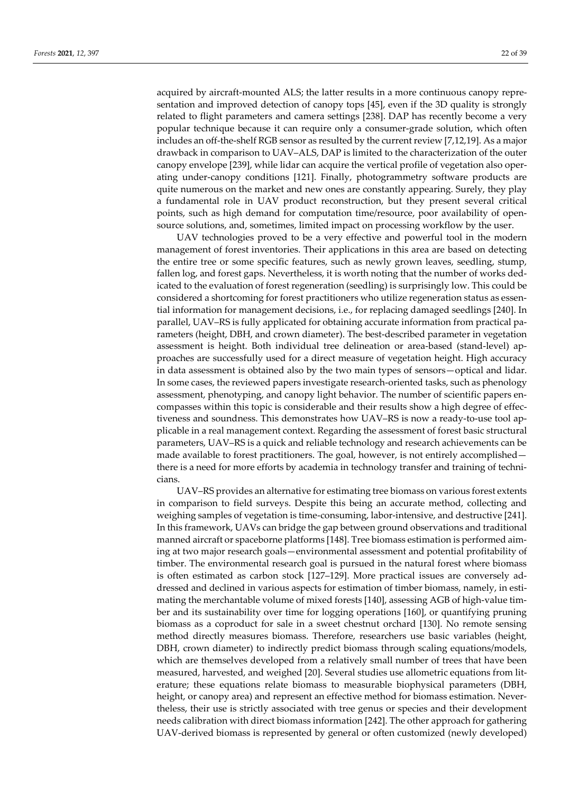acquired by aircraft-mounted ALS; the latter results in a more continuous canopy representation and improved detection of canopy tops [45], even if the 3D quality is strongly related to flight parameters and camera settings [238]. DAP has recently become a very popular technique because it can require only a consumer-grade solution, which often includes an off-the-shelf RGB sensor as resulted by the current review [7,12,19]. As a major drawback in comparison to UAV–ALS, DAP is limited to the characterization of the outer canopy envelope [239], while lidar can acquire the vertical profile of vegetation also operating under-canopy conditions [121]. Finally, photogrammetry software products are quite numerous on the market and new ones are constantly appearing. Surely, they play a fundamental role in UAV product reconstruction, but they present several critical points, such as high demand for computation time/resource, poor availability of opensource solutions, and, sometimes, limited impact on processing workflow by the user.

UAV technologies proved to be a very effective and powerful tool in the modern management of forest inventories. Their applications in this area are based on detecting the entire tree or some specific features, such as newly grown leaves, seedling, stump, fallen log, and forest gaps. Nevertheless, it is worth noting that the number of works dedicated to the evaluation of forest regeneration (seedling) is surprisingly low. This could be considered a shortcoming for forest practitioners who utilize regeneration status as essential information for management decisions, i.e., for replacing damaged seedlings [240]. In parallel, UAV–RS is fully applicated for obtaining accurate information from practical parameters (height, DBH, and crown diameter). The best-described parameter in vegetation assessment is height. Both individual tree delineation or area-based (stand-level) approaches are successfully used for a direct measure of vegetation height. High accuracy in data assessment is obtained also by the two main types of sensors—optical and lidar. In some cases, the reviewed papers investigate research-oriented tasks, such as phenology assessment, phenotyping, and canopy light behavior. The number of scientific papers encompasses within this topic is considerable and their results show a high degree of effectiveness and soundness. This demonstrates how UAV–RS is now a ready-to-use tool applicable in a real management context. Regarding the assessment of forest basic structural parameters, UAV–RS is a quick and reliable technology and research achievements can be made available to forest practitioners. The goal, however, is not entirely accomplished there is a need for more efforts by academia in technology transfer and training of technicians.

UAV–RS provides an alternative for estimating tree biomass on various forest extents in comparison to field surveys. Despite this being an accurate method, collecting and weighing samples of vegetation is time-consuming, labor-intensive, and destructive [241]. In this framework, UAVs can bridge the gap between ground observations and traditional manned aircraft or spaceborne platforms [148]. Tree biomass estimation is performed aiming at two major research goals—environmental assessment and potential profitability of timber. The environmental research goal is pursued in the natural forest where biomass is often estimated as carbon stock [127–129]. More practical issues are conversely addressed and declined in various aspects for estimation of timber biomass, namely, in estimating the merchantable volume of mixed forests [140], assessing AGB of high-value timber and its sustainability over time for logging operations [160], or quantifying pruning biomass as a coproduct for sale in a sweet chestnut orchard [130]. No remote sensing method directly measures biomass. Therefore, researchers use basic variables (height, DBH, crown diameter) to indirectly predict biomass through scaling equations/models, which are themselves developed from a relatively small number of trees that have been measured, harvested, and weighed [20]. Several studies use allometric equations from literature; these equations relate biomass to measurable biophysical parameters (DBH, height, or canopy area) and represent an effective method for biomass estimation. Nevertheless, their use is strictly associated with tree genus or species and their development needs calibration with direct biomass information [242]. The other approach for gathering UAV-derived biomass is represented by general or often customized (newly developed)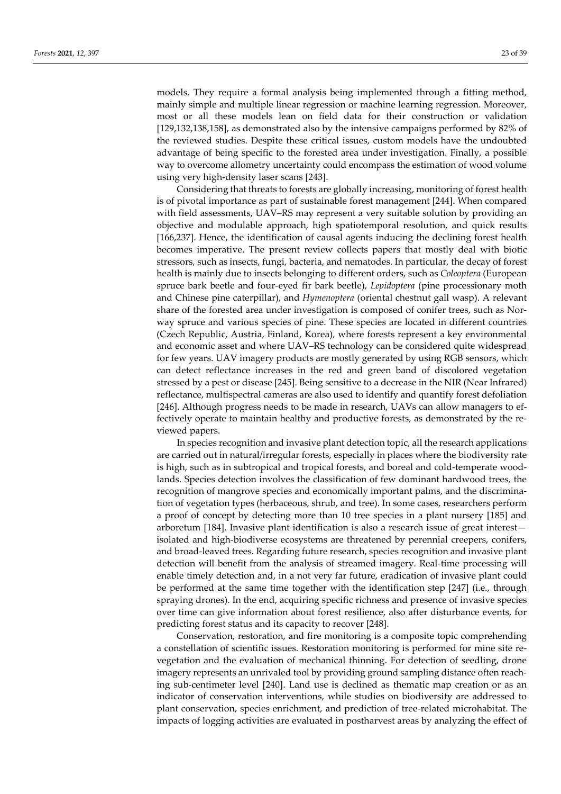models. They require a formal analysis being implemented through a fitting method, mainly simple and multiple linear regression or machine learning regression. Moreover, most or all these models lean on field data for their construction or validation [129,132,138,158], as demonstrated also by the intensive campaigns performed by 82% of the reviewed studies. Despite these critical issues, custom models have the undoubted advantage of being specific to the forested area under investigation. Finally, a possible way to overcome allometry uncertainty could encompass the estimation of wood volume using very high-density laser scans [243].

Considering that threats to forests are globally increasing, monitoring of forest health is of pivotal importance as part of sustainable forest management [244]. When compared with field assessments, UAV–RS may represent a very suitable solution by providing an objective and modulable approach, high spatiotemporal resolution, and quick results [166,237]. Hence, the identification of causal agents inducing the declining forest health becomes imperative. The present review collects papers that mostly deal with biotic stressors, such as insects, fungi, bacteria, and nematodes. In particular, the decay of forest health is mainly due to insects belonging to different orders, such as *Coleoptera* (European spruce bark beetle and four-eyed fir bark beetle), *Lepidoptera* (pine processionary moth and Chinese pine caterpillar), and *Hymenoptera* (oriental chestnut gall wasp). A relevant share of the forested area under investigation is composed of conifer trees, such as Norway spruce and various species of pine. These species are located in different countries (Czech Republic, Austria, Finland, Korea), where forests represent a key environmental and economic asset and where UAV–RS technology can be considered quite widespread for few years. UAV imagery products are mostly generated by using RGB sensors, which can detect reflectance increases in the red and green band of discolored vegetation stressed by a pest or disease [245]. Being sensitive to a decrease in the NIR (Near Infrared) reflectance, multispectral cameras are also used to identify and quantify forest defoliation [246]. Although progress needs to be made in research, UAVs can allow managers to effectively operate to maintain healthy and productive forests, as demonstrated by the reviewed papers.

In species recognition and invasive plant detection topic, all the research applications are carried out in natural/irregular forests, especially in places where the biodiversity rate is high, such as in subtropical and tropical forests, and boreal and cold-temperate woodlands. Species detection involves the classification of few dominant hardwood trees, the recognition of mangrove species and economically important palms, and the discrimination of vegetation types (herbaceous, shrub, and tree). In some cases, researchers perform a proof of concept by detecting more than 10 tree species in a plant nursery [185] and arboretum [184]. Invasive plant identification is also a research issue of great interest isolated and high-biodiverse ecosystems are threatened by perennial creepers, conifers, and broad-leaved trees. Regarding future research, species recognition and invasive plant detection will benefit from the analysis of streamed imagery. Real-time processing will enable timely detection and, in a not very far future, eradication of invasive plant could be performed at the same time together with the identification step [247] (i.e., through spraying drones). In the end, acquiring specific richness and presence of invasive species over time can give information about forest resilience, also after disturbance events, for predicting forest status and its capacity to recover [248].

Conservation, restoration, and fire monitoring is a composite topic comprehending a constellation of scientific issues. Restoration monitoring is performed for mine site revegetation and the evaluation of mechanical thinning. For detection of seedling, drone imagery represents an unrivaled tool by providing ground sampling distance often reaching sub-centimeter level [240]. Land use is declined as thematic map creation or as an indicator of conservation interventions, while studies on biodiversity are addressed to plant conservation, species enrichment, and prediction of tree-related microhabitat. The impacts of logging activities are evaluated in postharvest areas by analyzing the effect of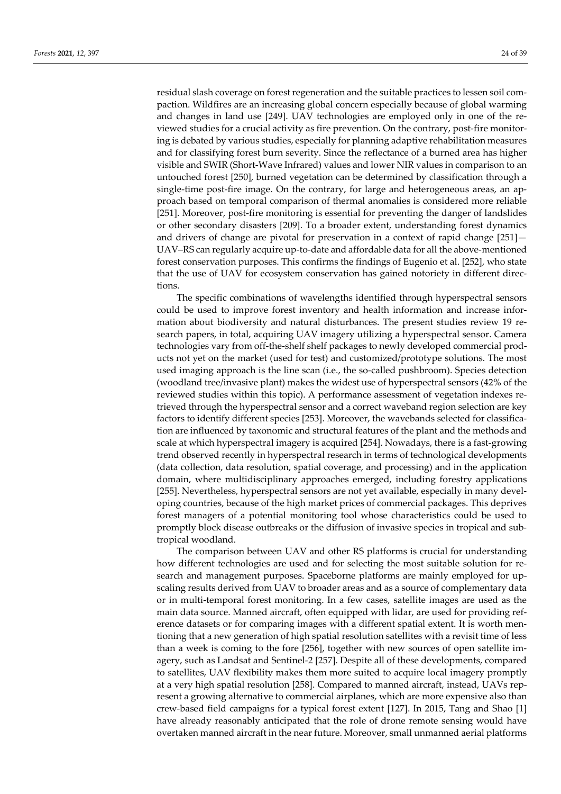residual slash coverage on forest regeneration and the suitable practices to lessen soil compaction. Wildfires are an increasing global concern especially because of global warming and changes in land use [249]. UAV technologies are employed only in one of the reviewed studies for a crucial activity as fire prevention. On the contrary, post-fire monitoring is debated by various studies, especially for planning adaptive rehabilitation measures and for classifying forest burn severity. Since the reflectance of a burned area has higher visible and SWIR (Short-Wave Infrared) values and lower NIR values in comparison to an untouched forest [250], burned vegetation can be determined by classification through a single-time post-fire image. On the contrary, for large and heterogeneous areas, an approach based on temporal comparison of thermal anomalies is considered more reliable [251]. Moreover, post-fire monitoring is essential for preventing the danger of landslides or other secondary disasters [209]. To a broader extent, understanding forest dynamics and drivers of change are pivotal for preservation in a context of rapid change [251]— UAV–RS can regularly acquire up-to-date and affordable data for all the above-mentioned forest conservation purposes. This confirms the findings of Eugenio et al. [252], who state that the use of UAV for ecosystem conservation has gained notoriety in different directions.

The specific combinations of wavelengths identified through hyperspectral sensors could be used to improve forest inventory and health information and increase information about biodiversity and natural disturbances. The present studies review 19 research papers, in total, acquiring UAV imagery utilizing a hyperspectral sensor. Camera technologies vary from off-the-shelf shelf packages to newly developed commercial products not yet on the market (used for test) and customized/prototype solutions. The most used imaging approach is the line scan (i.e., the so-called pushbroom). Species detection (woodland tree/invasive plant) makes the widest use of hyperspectral sensors (42% of the reviewed studies within this topic). A performance assessment of vegetation indexes retrieved through the hyperspectral sensor and a correct waveband region selection are key factors to identify different species [253]. Moreover, the wavebands selected for classification are influenced by taxonomic and structural features of the plant and the methods and scale at which hyperspectral imagery is acquired [254]. Nowadays, there is a fast-growing trend observed recently in hyperspectral research in terms of technological developments (data collection, data resolution, spatial coverage, and processing) and in the application domain, where multidisciplinary approaches emerged, including forestry applications [255]. Nevertheless, hyperspectral sensors are not yet available, especially in many developing countries, because of the high market prices of commercial packages. This deprives forest managers of a potential monitoring tool whose characteristics could be used to promptly block disease outbreaks or the diffusion of invasive species in tropical and subtropical woodland.

The comparison between UAV and other RS platforms is crucial for understanding how different technologies are used and for selecting the most suitable solution for research and management purposes. Spaceborne platforms are mainly employed for upscaling results derived from UAV to broader areas and as a source of complementary data or in multi-temporal forest monitoring. In a few cases, satellite images are used as the main data source. Manned aircraft, often equipped with lidar, are used for providing reference datasets or for comparing images with a different spatial extent. It is worth mentioning that a new generation of high spatial resolution satellites with a revisit time of less than a week is coming to the fore [256], together with new sources of open satellite imagery, such as Landsat and Sentinel-2 [257]. Despite all of these developments, compared to satellites, UAV flexibility makes them more suited to acquire local imagery promptly at a very high spatial resolution [258]. Compared to manned aircraft, instead, UAVs represent a growing alternative to commercial airplanes, which are more expensive also than crew-based field campaigns for a typical forest extent [127]. In 2015, Tang and Shao [1] have already reasonably anticipated that the role of drone remote sensing would have overtaken manned aircraft in the near future. Moreover, small unmanned aerial platforms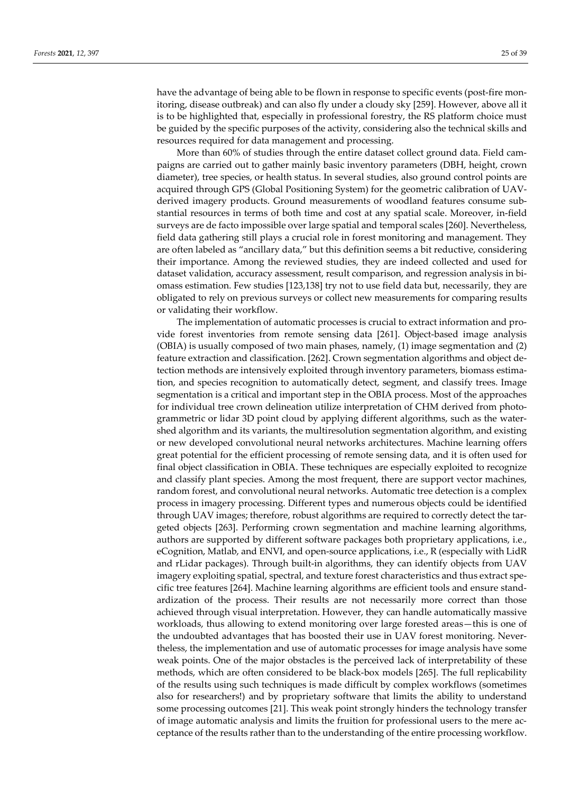have the advantage of being able to be flown in response to specific events (post-fire monitoring, disease outbreak) and can also fly under a cloudy sky [259]. However, above all it is to be highlighted that, especially in professional forestry, the RS platform choice must be guided by the specific purposes of the activity, considering also the technical skills and resources required for data management and processing.

More than 60% of studies through the entire dataset collect ground data. Field campaigns are carried out to gather mainly basic inventory parameters (DBH, height, crown diameter), tree species, or health status. In several studies, also ground control points are acquired through GPS (Global Positioning System) for the geometric calibration of UAVderived imagery products. Ground measurements of woodland features consume substantial resources in terms of both time and cost at any spatial scale. Moreover, in-field surveys are de facto impossible over large spatial and temporal scales [260]. Nevertheless, field data gathering still plays a crucial role in forest monitoring and management. They are often labeled as "ancillary data," but this definition seems a bit reductive, considering their importance. Among the reviewed studies, they are indeed collected and used for dataset validation, accuracy assessment, result comparison, and regression analysis in biomass estimation. Few studies [123,138] try not to use field data but, necessarily, they are obligated to rely on previous surveys or collect new measurements for comparing results or validating their workflow.

The implementation of automatic processes is crucial to extract information and provide forest inventories from remote sensing data [261]. Object-based image analysis (OBIA) is usually composed of two main phases, namely, (1) image segmentation and (2) feature extraction and classification. [262]. Crown segmentation algorithms and object detection methods are intensively exploited through inventory parameters, biomass estimation, and species recognition to automatically detect, segment, and classify trees. Image segmentation is a critical and important step in the OBIA process. Most of the approaches for individual tree crown delineation utilize interpretation of CHM derived from photogrammetric or lidar 3D point cloud by applying different algorithms, such as the watershed algorithm and its variants, the multiresolution segmentation algorithm, and existing or new developed convolutional neural networks architectures. Machine learning offers great potential for the efficient processing of remote sensing data, and it is often used for final object classification in OBIA. These techniques are especially exploited to recognize and classify plant species. Among the most frequent, there are support vector machines, random forest, and convolutional neural networks. Automatic tree detection is a complex process in imagery processing. Different types and numerous objects could be identified through UAV images; therefore, robust algorithms are required to correctly detect the targeted objects [263]. Performing crown segmentation and machine learning algorithms, authors are supported by different software packages both proprietary applications, i.e., eCognition, Matlab, and ENVI, and open-source applications, i.e., R (especially with LidR and rLidar packages). Through built-in algorithms, they can identify objects from UAV imagery exploiting spatial, spectral, and texture forest characteristics and thus extract specific tree features [264]. Machine learning algorithms are efficient tools and ensure standardization of the process. Their results are not necessarily more correct than those achieved through visual interpretation. However, they can handle automatically massive workloads, thus allowing to extend monitoring over large forested areas—this is one of the undoubted advantages that has boosted their use in UAV forest monitoring. Nevertheless, the implementation and use of automatic processes for image analysis have some weak points. One of the major obstacles is the perceived lack of interpretability of these methods, which are often considered to be black-box models [265]. The full replicability of the results using such techniques is made difficult by complex workflows (sometimes also for researchers!) and by proprietary software that limits the ability to understand some processing outcomes [21]. This weak point strongly hinders the technology transfer of image automatic analysis and limits the fruition for professional users to the mere acceptance of the results rather than to the understanding of the entire processing workflow.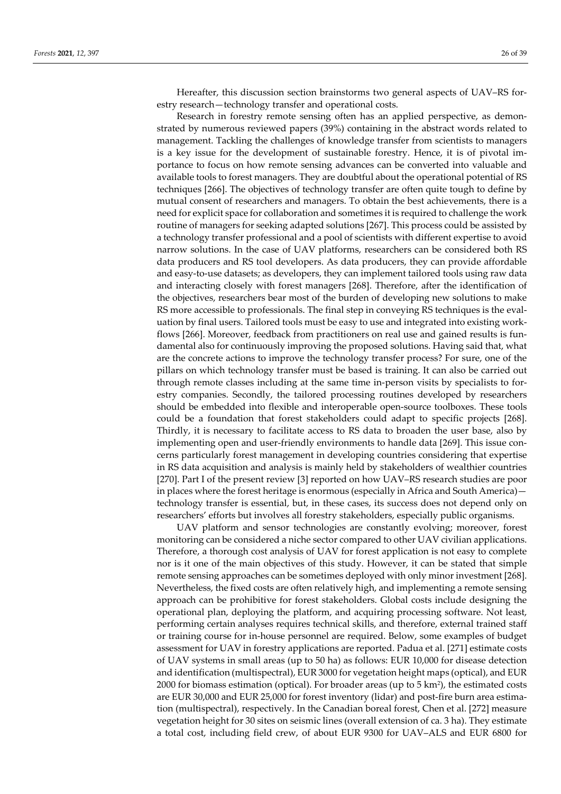Hereafter, this discussion section brainstorms two general aspects of UAV–RS forestry research—technology transfer and operational costs.

Research in forestry remote sensing often has an applied perspective, as demonstrated by numerous reviewed papers (39%) containing in the abstract words related to management. Tackling the challenges of knowledge transfer from scientists to managers is a key issue for the development of sustainable forestry. Hence, it is of pivotal importance to focus on how remote sensing advances can be converted into valuable and available tools to forest managers. They are doubtful about the operational potential of RS techniques [266]. The objectives of technology transfer are often quite tough to define by mutual consent of researchers and managers. To obtain the best achievements, there is a need for explicit space for collaboration and sometimes it is required to challenge the work routine of managers for seeking adapted solutions [267]. This process could be assisted by a technology transfer professional and a pool of scientists with different expertise to avoid narrow solutions. In the case of UAV platforms, researchers can be considered both RS data producers and RS tool developers. As data producers, they can provide affordable and easy-to-use datasets; as developers, they can implement tailored tools using raw data and interacting closely with forest managers [268]. Therefore, after the identification of the objectives, researchers bear most of the burden of developing new solutions to make RS more accessible to professionals. The final step in conveying RS techniques is the evaluation by final users. Tailored tools must be easy to use and integrated into existing workflows [266]. Moreover, feedback from practitioners on real use and gained results is fundamental also for continuously improving the proposed solutions. Having said that, what are the concrete actions to improve the technology transfer process? For sure, one of the pillars on which technology transfer must be based is training. It can also be carried out through remote classes including at the same time in-person visits by specialists to forestry companies. Secondly, the tailored processing routines developed by researchers should be embedded into flexible and interoperable open-source toolboxes. These tools could be a foundation that forest stakeholders could adapt to specific projects [268]. Thirdly, it is necessary to facilitate access to RS data to broaden the user base, also by implementing open and user-friendly environments to handle data [269]. This issue concerns particularly forest management in developing countries considering that expertise in RS data acquisition and analysis is mainly held by stakeholders of wealthier countries [270]. Part I of the present review [3] reported on how UAV–RS research studies are poor in places where the forest heritage is enormous (especially in Africa and South America) technology transfer is essential, but, in these cases, its success does not depend only on researchers' efforts but involves all forestry stakeholders, especially public organisms.

UAV platform and sensor technologies are constantly evolving; moreover, forest monitoring can be considered a niche sector compared to other UAV civilian applications. Therefore, a thorough cost analysis of UAV for forest application is not easy to complete nor is it one of the main objectives of this study. However, it can be stated that simple remote sensing approaches can be sometimes deployed with only minor investment [268]. Nevertheless, the fixed costs are often relatively high, and implementing a remote sensing approach can be prohibitive for forest stakeholders. Global costs include designing the operational plan, deploying the platform, and acquiring processing software. Not least, performing certain analyses requires technical skills, and therefore, external trained staff or training course for in-house personnel are required. Below, some examples of budget assessment for UAV in forestry applications are reported. Padua et al. [271] estimate costs of UAV systems in small areas (up to 50 ha) as follows: EUR 10,000 for disease detection and identification (multispectral), EUR 3000 for vegetation height maps (optical), and EUR 2000 for biomass estimation (optical). For broader areas (up to 5 km2), the estimated costs are EUR 30,000 and EUR 25,000 for forest inventory (lidar) and post-fire burn area estimation (multispectral), respectively. In the Canadian boreal forest, Chen et al. [272] measure vegetation height for 30 sites on seismic lines (overall extension of ca. 3 ha). They estimate a total cost, including field crew, of about EUR 9300 for UAV–ALS and EUR 6800 for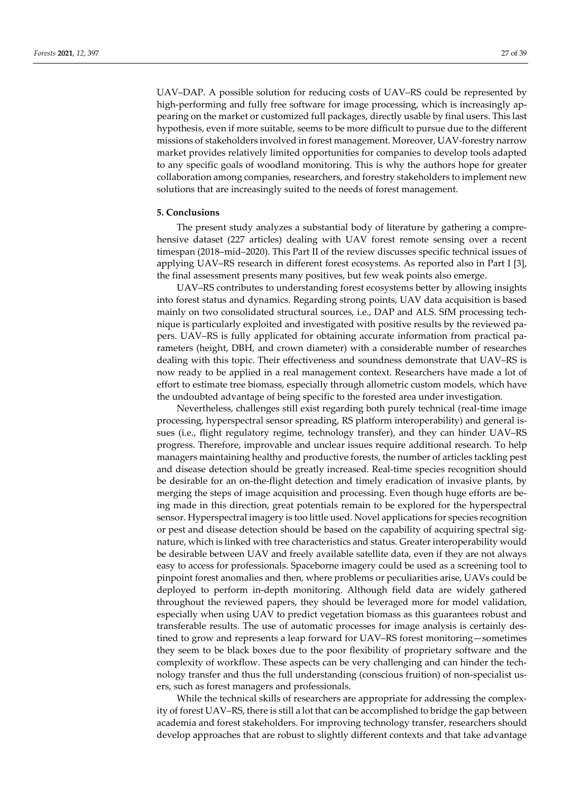UAV–DAP. A possible solution for reducing costs of UAV–RS could be represented by high-performing and fully free software for image processing, which is increasingly appearing on the market or customized full packages, directly usable by final users. This last hypothesis, even if more suitable, seems to be more difficult to pursue due to the different missions of stakeholders involved in forest management. Moreover, UAV-forestry narrow market provides relatively limited opportunities for companies to develop tools adapted to any specific goals of woodland monitoring. This is why the authors hope for greater collaboration among companies, researchers, and forestry stakeholders to implement new solutions that are increasingly suited to the needs of forest management.

#### **5. Conclusions**

The present study analyzes a substantial body of literature by gathering a comprehensive dataset (227 articles) dealing with UAV forest remote sensing over a recent timespan (2018–mid–2020). This Part II of the review discusses specific technical issues of applying UAV–RS research in different forest ecosystems. As reported also in Part I [3], the final assessment presents many positives, but few weak points also emerge.

UAV–RS contributes to understanding forest ecosystems better by allowing insights into forest status and dynamics. Regarding strong points, UAV data acquisition is based mainly on two consolidated structural sources, i.e., DAP and ALS. SfM processing technique is particularly exploited and investigated with positive results by the reviewed papers. UAV–RS is fully applicated for obtaining accurate information from practical parameters (height, DBH, and crown diameter) with a considerable number of researches dealing with this topic. Their effectiveness and soundness demonstrate that UAV–RS is now ready to be applied in a real management context. Researchers have made a lot of effort to estimate tree biomass, especially through allometric custom models, which have the undoubted advantage of being specific to the forested area under investigation.

Nevertheless, challenges still exist regarding both purely technical (real-time image processing, hyperspectral sensor spreading, RS platform interoperability) and general issues (i.e., flight regulatory regime, technology transfer), and they can hinder UAV–RS progress. Therefore, improvable and unclear issues require additional research. To help managers maintaining healthy and productive forests, the number of articles tackling pest and disease detection should be greatly increased. Real-time species recognition should be desirable for an on-the-flight detection and timely eradication of invasive plants, by merging the steps of image acquisition and processing. Even though huge efforts are being made in this direction, great potentials remain to be explored for the hyperspectral sensor. Hyperspectral imagery is too little used. Novel applications for species recognition or pest and disease detection should be based on the capability of acquiring spectral signature, which is linked with tree characteristics and status. Greater interoperability would be desirable between UAV and freely available satellite data, even if they are not always easy to access for professionals. Spaceborne imagery could be used as a screening tool to pinpoint forest anomalies and then, where problems or peculiarities arise, UAVs could be deployed to perform in-depth monitoring. Although field data are widely gathered throughout the reviewed papers, they should be leveraged more for model validation, especially when using UAV to predict vegetation biomass as this guarantees robust and transferable results. The use of automatic processes for image analysis is certainly destined to grow and represents a leap forward for UAV–RS forest monitoring—sometimes they seem to be black boxes due to the poor flexibility of proprietary software and the complexity of workflow. These aspects can be very challenging and can hinder the technology transfer and thus the full understanding (conscious fruition) of non-specialist users, such as forest managers and professionals.

While the technical skills of researchers are appropriate for addressing the complexity of forest UAV–RS, there is still a lot that can be accomplished to bridge the gap between academia and forest stakeholders. For improving technology transfer, researchers should develop approaches that are robust to slightly different contexts and that take advantage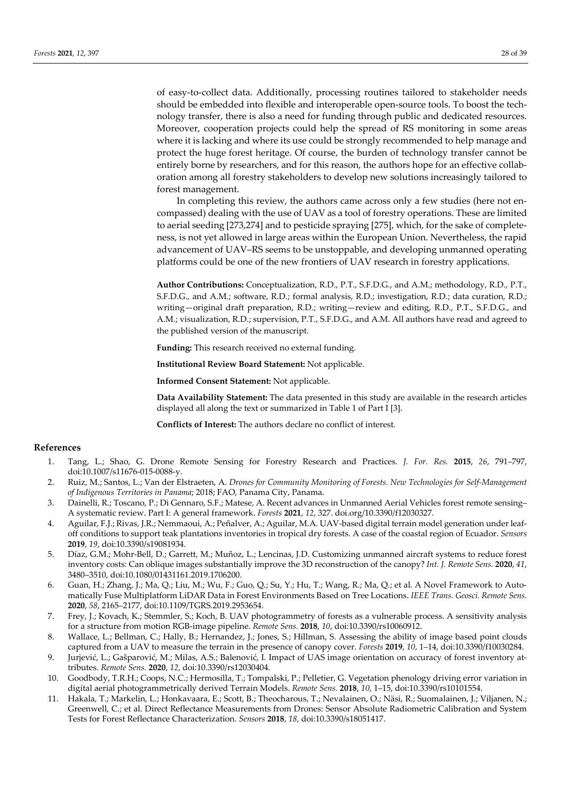of easy-to-collect data. Additionally, processing routines tailored to stakeholder needs should be embedded into flexible and interoperable open-source tools. To boost the technology transfer, there is also a need for funding through public and dedicated resources. Moreover, cooperation projects could help the spread of RS monitoring in some areas where it is lacking and where its use could be strongly recommended to help manage and protect the huge forest heritage. Of course, the burden of technology transfer cannot be entirely borne by researchers, and for this reason, the authors hope for an effective collaboration among all forestry stakeholders to develop new solutions increasingly tailored to forest management.

In completing this review, the authors came across only a few studies (here not encompassed) dealing with the use of UAV as a tool of forestry operations. These are limited to aerial seeding [273,274] and to pesticide spraying [275], which, for the sake of completeness, is not yet allowed in large areas within the European Union. Nevertheless, the rapid advancement of UAV–RS seems to be unstoppable, and developing unmanned operating platforms could be one of the new frontiers of UAV research in forestry applications.

**Author Contributions:** Conceptualization, R.D., P.T., S.F.D.G., and A.M.; methodology, R.D., P.T., S.F.D.G., and A.M.; software, R.D.; formal analysis, R.D.; investigation, R.D.; data curation, R.D.; writing—original draft preparation, R.D.; writing—review and editing, R.D., P.T., S.F.D.G., and A.M.; visualization, R.D.; supervision, P.T., S.F.D.G., and A.M. All authors have read and agreed to the published version of the manuscript.

**Funding:** This research received no external funding.

**Institutional Review Board Statement:** Not applicable.

**Informed Consent Statement:** Not applicable.

**Data Availability Statement:** The data presented in this study are available in the research articles displayed all along the text or summarized in Table 1 of Part I [3].

**Conflicts of Interest:** The authors declare no conflict of interest.

# **References**

- 1. Tang, L.; Shao, G. Drone Remote Sensing for Forestry Research and Practices. *J. For. Res.* **2015**, *26*, 791–797, doi:10.1007/s11676-015-0088-y.
- 2. Ruiz, M.; Santos, L.; Van der Elstraeten, A. *Drones for Community Monitoring of Forests. New Technologies for Self-Management of Indigenous Territories in Panama*; 2018; FAO, Panama City, Panama.
- 3. Dainelli, R.; Toscano, P.; Di Gennaro, S.F.; Matese, A. Recent advances in Unmanned Aerial Vehicles forest remote sensing– A systematic review. Part I: A general framework. *Forests* **2021**, *12*, 327. doi.org/10.3390/f12030327.
- 4. Aguilar, F.J.; Rivas, J.R.; Nemmaoui, A.; Peñalver, A.; Aguilar, M.A. UAV-based digital terrain model generation under leafoff conditions to support teak plantations inventories in tropical dry forests. A case of the coastal region of Ecuador. *Sensors*  **2019**, *19*, doi:10.3390/s19081934.
- 5. Díaz, G.M.; Mohr-Bell, D.; Garrett, M.; Muñoz, L.; Lencinas, J.D. Customizing unmanned aircraft systems to reduce forest inventory costs: Can oblique images substantially improve the 3D reconstruction of the canopy? *Int. J. Remote Sens.* **2020**, *41*, 3480–3510, doi:10.1080/01431161.2019.1706200.
- 6. Guan, H.; Zhang, J.; Ma, Q.; Liu, M.; Wu, F.; Guo, Q.; Su, Y.; Hu, T.; Wang, R.; Ma, Q.; et al. A Novel Framework to Automatically Fuse Multiplatform LiDAR Data in Forest Environments Based on Tree Locations. *IEEE Trans. Geosci. Remote Sens.* **2020**, *58*, 2165–2177, doi:10.1109/TGRS.2019.2953654.
- 7. Frey, J.; Kovach, K.; Stemmler, S.; Koch, B. UAV photogrammetry of forests as a vulnerable process. A sensitivity analysis for a structure from motion RGB-image pipeline. *Remote Sens.* **2018**, *10*, doi:10.3390/rs10060912.
- 8. Wallace, L.; Bellman, C.; Hally, B.; Hernandez, J.; Jones, S.; Hillman, S. Assessing the ability of image based point clouds captured from a UAV to measure the terrain in the presence of canopy cover. *Forests* **2019**, *10*, 1–14, doi:10.3390/f10030284.
- 9. Jurjević, L.; Gašparović, M.; Milas, A.S.; Balenović, I. Impact of UAS image orientation on accuracy of forest inventory attributes. *Remote Sens.* **2020**, *12*, doi:10.3390/rs12030404.
- 10. Goodbody, T.R.H.; Coops, N.C.; Hermosilla, T.; Tompalski, P.; Pelletier, G. Vegetation phenology driving error variation in digital aerial photogrammetrically derived Terrain Models. *Remote Sens.* **2018**, *10*, 1–15, doi:10.3390/rs10101554.
- 11. Hakala, T.; Markelin, L.; Honkavaara, E.; Scott, B.; Theocharous, T.; Nevalainen, O.; Näsi, R.; Suomalainen, J.; Viljanen, N.; Greenwell, C.; et al. Direct Reflectance Measurements from Drones: Sensor Absolute Radiometric Calibration and System Tests for Forest Reflectance Characterization. *Sensors* **2018**, *18*, doi:10.3390/s18051417.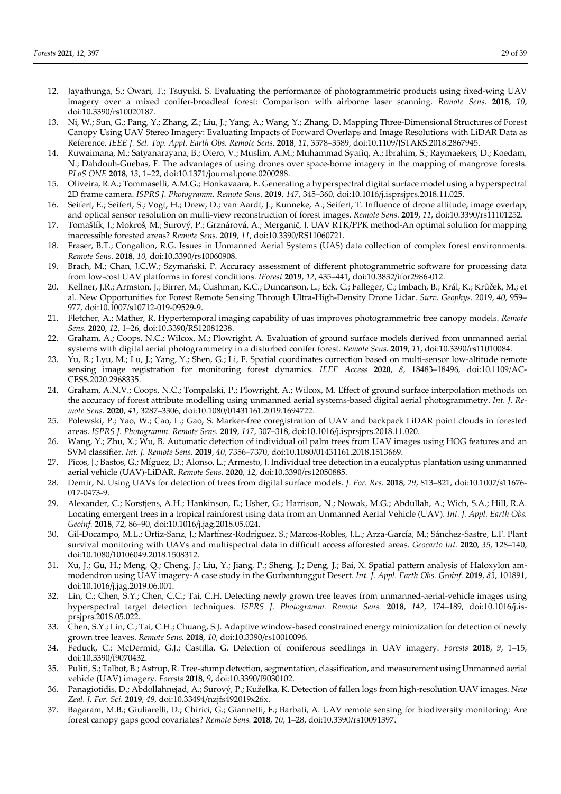- 12. Jayathunga, S.; Owari, T.; Tsuyuki, S. Evaluating the performance of photogrammetric products using fixed-wing UAV imagery over a mixed conifer-broadleaf forest: Comparison with airborne laser scanning. *Remote Sens.* **2018**, *10*, doi:10.3390/rs10020187.
- 13. Ni, W.; Sun, G.; Pang, Y.; Zhang, Z.; Liu, J.; Yang, A.; Wang, Y.; Zhang, D. Mapping Three-Dimensional Structures of Forest Canopy Using UAV Stereo Imagery: Evaluating Impacts of Forward Overlaps and Image Resolutions with LiDAR Data as Reference. *IEEE J. Sel. Top. Appl. Earth Obs. Remote Sens.* **2018**, *11*, 3578–3589, doi:10.1109/JSTARS.2018.2867945.
- 14. Ruwaimana, M.; Satyanarayana, B.; Otero, V.; Muslim, A.M.; Muhammad Syafiq, A.; Ibrahim, S.; Raymaekers, D.; Koedam, N.; Dahdouh-Guebas, F. The advantages of using drones over space-borne imagery in the mapping of mangrove forests. *PLoS ONE* **2018**, *13*, 1–22, doi:10.1371/journal.pone.0200288.
- 15. Oliveira, R.A.; Tommaselli, A.M.G.; Honkavaara, E. Generating a hyperspectral digital surface model using a hyperspectral 2D frame camera. *ISPRS J. Photogramm. Remote Sens.* **2019**, *147*, 345–360, doi:10.1016/j.isprsjprs.2018.11.025.
- 16. Seifert, E.; Seifert, S.; Vogt, H.; Drew, D.; van Aardt, J.; Kunneke, A.; Seifert, T. Influence of drone altitude, image overlap, and optical sensor resolution on multi-view reconstruction of forest images. *Remote Sens.* **2019**, *11*, doi:10.3390/rs11101252.
- 17. Tomaštík, J.; Mokroš, M.; Surový, P.; Grznárová, A.; Merganič, J. UAV RTK/PPK method-An optimal solution for mapping inaccessible forested areas? *Remote Sens.* **2019**, *11*, doi:10.3390/RS11060721.
- 18. Fraser, B.T.; Congalton, R.G. Issues in Unmanned Aerial Systems (UAS) data collection of complex forest environments. *Remote Sens.* **2018**, *10*, doi:10.3390/rs10060908.
- 19. Brach, M.; Chan, J.C.W.; Szymański, P. Accuracy assessment of different photogrammetric software for processing data from low-cost UAV platforms in forest conditions. *IForest* **2019**, *12*, 435–441, doi:10.3832/ifor2986-012.
- 20. Kellner, J.R.; Armston, J.; Birrer, M.; Cushman, K.C.; Duncanson, L.; Eck, C.; Falleger, C.; Imbach, B.; Král, K.; Krůček, M.; et al. New Opportunities for Forest Remote Sensing Through Ultra-High-Density Drone Lidar. *Surv. Geophys.* 2019, *40*, 959– 977, doi:10.1007/s10712-019-09529-9.
- 21. Fletcher, A.; Mather, R. Hypertemporal imaging capability of uas improves photogrammetric tree canopy models. *Remote Sens.* **2020**, *12*, 1–26, doi:10.3390/RS12081238.
- 22. Graham, A.; Coops, N.C.; Wilcox, M.; Plowright, A. Evaluation of ground surface models derived from unmanned aerial systems with digital aerial photogrammetry in a disturbed conifer forest. *Remote Sens.* **2019**, *11*, doi:10.3390/rs11010084.
- 23. Yu, R.; Lyu, M.; Lu, J.; Yang, Y.; Shen, G.; Li, F. Spatial coordinates correction based on multi-sensor low-altitude remote sensing image registration for monitoring forest dynamics. *IEEE Access* **2020**, *8*, 18483–18496, doi:10.1109/AC-CESS.2020.2968335.
- 24. Graham, A.N.V.; Coops, N.C.; Tompalski, P.; Plowright, A.; Wilcox, M. Effect of ground surface interpolation methods on the accuracy of forest attribute modelling using unmanned aerial systems-based digital aerial photogrammetry. *Int. J. Remote Sens.* **2020**, *41*, 3287–3306, doi:10.1080/01431161.2019.1694722.
- 25. Polewski, P.; Yao, W.; Cao, L.; Gao, S. Marker-free coregistration of UAV and backpack LiDAR point clouds in forested areas. *ISPRS J. Photogramm. Remote Sens.* **2019**, *147*, 307–318, doi:10.1016/j.isprsjprs.2018.11.020.
- 26. Wang, Y.; Zhu, X.; Wu, B. Automatic detection of individual oil palm trees from UAV images using HOG features and an SVM classifier. *Int. J. Remote Sens.* **2019**, *40*, 7356–7370, doi:10.1080/01431161.2018.1513669.
- 27. Picos, J.; Bastos, G.; Míguez, D.; Alonso, L.; Armesto, J. Individual tree detection in a eucalyptus plantation using unmanned aerial vehicle (UAV)-LiDAR. *Remote Sens.* **2020**, *12*, doi:10.3390/rs12050885.
- 28. Demir, N. Using UAVs for detection of trees from digital surface models. *J. For. Res.* **2018**, *29*, 813–821, doi:10.1007/s11676- 017-0473-9.
- 29. Alexander, C.; Korstjens, A.H.; Hankinson, E.; Usher, G.; Harrison, N.; Nowak, M.G.; Abdullah, A.; Wich, S.A.; Hill, R.A. Locating emergent trees in a tropical rainforest using data from an Unmanned Aerial Vehicle (UAV). *Int. J. Appl. Earth Obs. Geoinf.* **2018**, *72*, 86–90, doi:10.1016/j.jag.2018.05.024.
- 30. Gil-Docampo, M.L.; Ortiz-Sanz, J.; Martínez-Rodríguez, S.; Marcos-Robles, J.L.; Arza-García, M.; Sánchez-Sastre, L.F. Plant survival monitoring with UAVs and multispectral data in difficult access afforested areas. *Geocarto Int.* **2020**, *35*, 128–140, doi:10.1080/10106049.2018.1508312.
- 31. Xu, J.; Gu, H.; Meng, Q.; Cheng, J.; Liu, Y.; Jiang, P.; Sheng, J.; Deng, J.; Bai, X. Spatial pattern analysis of Haloxylon ammodendron using UAV imagery-A case study in the Gurbantunggut Desert. *Int. J. Appl. Earth Obs. Geoinf.* **2019**, *83*, 101891, doi:10.1016/j.jag.2019.06.001.
- 32. Lin, C.; Chen, S.Y.; Chen, C.C.; Tai, C.H. Detecting newly grown tree leaves from unmanned-aerial-vehicle images using hyperspectral target detection techniques. *ISPRS J. Photogramm. Remote Sens.* **2018**, *142*, 174–189, doi:10.1016/j.isprsjprs.2018.05.022.
- 33. Chen, S.Y.; Lin, C.; Tai, C.H.; Chuang, S.J. Adaptive window-based constrained energy minimization for detection of newly grown tree leaves. *Remote Sens.* **2018**, *10*, doi:10.3390/rs10010096.
- 34. Feduck, C.; McDermid, G.J.; Castilla, G. Detection of coniferous seedlings in UAV imagery. *Forests* **2018**, *9*, 1–15, doi:10.3390/f9070432.
- 35. Puliti, S.; Talbot, B.; Astrup, R. Tree-stump detection, segmentation, classification, and measurement using Unmanned aerial vehicle (UAV) imagery. *Forests* **2018**, *9*, doi:10.3390/f9030102.
- 36. Panagiotidis, D.; Abdollahnejad, A.; Surový, P.; Kuželka, K. Detection of fallen logs from high-resolution UAV images. *New Zeal. J. For. Sci.* **2019**, *49*, doi:10.33494/nzjfs492019x26x.
- 37. Bagaram, M.B.; Giuliarelli, D.; Chirici, G.; Giannetti, F.; Barbati, A. UAV remote sensing for biodiversity monitoring: Are forest canopy gaps good covariates? *Remote Sens.* **2018**, *10*, 1–28, doi:10.3390/rs10091397.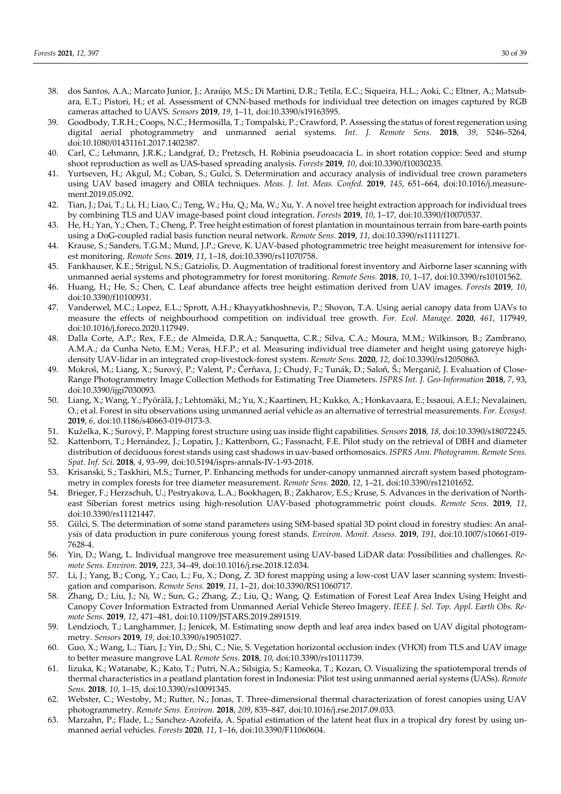- 38. dos Santos, A.A.; Marcato Junior, J.; Araújo, M.S.; Di Martini, D.R.; Tetila, E.C.; Siqueira, H.L.; Aoki, C.; Eltner, A.; Matsubara, E.T.; Pistori, H.; et al. Assessment of CNN-based methods for individual tree detection on images captured by RGB cameras attached to UAVS. *Sensors* **2019**, *19*, 1–11, doi:10.3390/s19163595.
- 39. Goodbody, T.R.H.; Coops, N.C.; Hermosilla, T.; Tompalski, P.; Crawford, P. Assessing the status of forest regeneration using digital aerial photogrammetry and unmanned aerial systems. *Int. J. Remote Sens.* **2018**, *39*, 5246–5264, doi:10.1080/01431161.2017.1402387.
- 40. Carl, C.; Lehmann, J.R.K.; Landgraf, D.; Pretzsch, H. Robinia pseudoacacia L. in short rotation coppice: Seed and stump shoot reproduction as well as UAS-based spreading analysis. *Forests* **2019**, *10*, doi:10.3390/f10030235.
- 41. Yurtseven, H.; Akgul, M.; Coban, S.; Gulci, S. Determination and accuracy analysis of individual tree crown parameters using UAV based imagery and OBIA techniques. *Meas. J. Int. Meas. Confed.* **2019**, *145*, 651–664, doi:10.1016/j.measurement.2019.05.092.
- 42. Tian, J.; Dai, T.; Li, H.; Liao, C.; Teng, W.; Hu, Q.; Ma, W.; Xu, Y. A novel tree height extraction approach for individual trees by combining TLS and UAV image-based point cloud integration. *Forests* **2019**, *10*, 1–17, doi:10.3390/f10070537.
- 43. He, H.; Yan, Y.; Chen, T.; Cheng, P. Tree height estimation of forest plantation in mountainous terrain from bare-earth points using a DoG-coupled radial basis function neural network. *Remote Sens.* **2019**, *11*, doi:10.3390/rs11111271.
- 44. Krause, S.; Sanders, T.G.M.; Mund, J.P.; Greve, K. UAV-based photogrammetric tree height measurement for intensive forest monitoring. *Remote Sens.* **2019**, *11*, 1–18, doi:10.3390/rs11070758.
- 45. Fankhauser, K.E.; Strigul, N.S.; Gatziolis, D. Augmentation of traditional forest inventory and Airborne laser scanning with unmanned aerial systems and photogrammetry for forest monitoring. *Remote Sens.* **2018**, *10*, 1–17, doi:10.3390/rs10101562.
- 46. Huang, H.; He, S.; Chen, C. Leaf abundance affects tree height estimation derived from UAV images. *Forests* **2019**, *10*, doi:10.3390/f10100931.
- 47. Vanderwel, M.C.; Lopez, E.L.; Sprott, A.H.; Khayyatkhoshnevis, P.; Shovon, T.A. Using aerial canopy data from UAVs to measure the effects of neighbourhood competition on individual tree growth. *For. Ecol. Manage.* **2020**, *461*, 117949, doi:10.1016/j.foreco.2020.117949.
- 48. Dalla Corte, A.P.; Rex, F.E.; de Almeida, D.R.A.; Sanquetta, C.R.; Silva, C.A.; Moura, M.M.; Wilkinson, B.; Zambrano, A.M.A.; da Cunha Neto, E.M.; Veras, H.F.P.; et al. Measuring individual tree diameter and height using gatoreye highdensity UAV-lidar in an integrated crop-livestock-forest system. *Remote Sens.* **2020**, *12*, doi:10.3390/rs12050863.
- 49. Mokroš, M.; Liang, X.; Surový, P.; Valent, P.; Čerňava, J.; Chudý, F.; Tunák, D.; Saloň, Š.; Merganič, J. Evaluation of Close-Range Photogrammetry Image Collection Methods for Estimating Tree Diameters. *ISPRS Int. J. Geo-Information* **2018**, *7*, 93, doi:10.3390/ijgi7030093.
- 50. Liang, X.; Wang, Y.; Pyörälä, J.; Lehtomäki, M.; Yu, X.; Kaartinen, H.; Kukko, A.; Honkavaara, E.; Issaoui, A.E.I.; Nevalainen, O.; et al. Forest in situ observations using unmanned aerial vehicle as an alternative of terrestrial measurements. *For. Ecosyst.* **2019**, *6*, doi:10.1186/s40663-019-0173-3.
- 51. Kuželka, K.; Surový, P. Mapping forest structure using uas inside flight capabilities. *Sensors* **2018**, *18*, doi:10.3390/s18072245.
- 52. Kattenborn, T.; Hernández, J.; Lopatin, J.; Kattenborn, G.; Fassnacht, F.E. Pilot study on the retrieval of DBH and diameter distribution of deciduous forest stands using cast shadows in uav-based orthomosaics. *ISPRS Ann. Photogramm. Remote Sens. Spat. Inf. Sci.* **2018**, *4*, 93–99, doi:10.5194/isprs-annals-IV-1-93-2018.
- 53. Krisanski, S.; Taskhiri, M.S.; Turner, P. Enhancing methods for under-canopy unmanned aircraft system based photogrammetry in complex forests for tree diameter measurement. *Remote Sens.* **2020**, *12*, 1–21, doi:10.3390/rs12101652.
- 54. Brieger, F.; Herzschuh, U.; Pestryakova, L.A.; Bookhagen, B.; Zakharov, E.S.; Kruse, S. Advances in the derivation of Northeast Siberian forest metrics using high-resolution UAV-based photogrammetric point clouds. *Remote Sens.* **2019**, *11*, doi:10.3390/rs11121447.
- 55. Gülci, S. The determination of some stand parameters using SfM-based spatial 3D point cloud in forestry studies: An analysis of data production in pure coniferous young forest stands. *Environ. Monit. Assess.* **2019**, *191*, doi:10.1007/s10661-019- 7628-4.
- 56. Yin, D.; Wang, L. Individual mangrove tree measurement using UAV-based LiDAR data: Possibilities and challenges. *Remote Sens. Environ.* **2019**, *223*, 34–49, doi:10.1016/j.rse.2018.12.034.
- 57. Li, J.; Yang, B.; Cong, Y.; Cao, L.; Fu, X.; Dong, Z. 3D forest mapping using a low-cost UAV laser scanning system: Investigation and comparison. *Remote Sens.* **2019**, *11*, 1–21, doi:10.3390/RS11060717.
- 58. Zhang, D.; Liu, J.; Ni, W.; Sun, G.; Zhang, Z.; Liu, Q.; Wang, Q. Estimation of Forest Leaf Area Index Using Height and Canopy Cover Information Extracted from Unmanned Aerial Vehicle Stereo Imagery. *IEEE J. Sel. Top. Appl. Earth Obs. Remote Sens.* **2019**, *12*, 471–481, doi:10.1109/JSTARS.2019.2891519.
- 59. Lendzioch, T.; Langhammer, J.; Jenicek, M. Estimating snow depth and leaf area index based on UAV digital photogrammetry. *Sensors* **2019**, *19*, doi:10.3390/s19051027.
- 60. Guo, X.; Wang, L.; Tian, J.; Yin, D.; Shi, C.; Nie, S. Vegetation horizontal occlusion index (VHOI) from TLS and UAV image to better measure mangrove LAI. *Remote Sens.* **2018**, *10*, doi:10.3390/rs10111739.
- 61. Iizuka, K.; Watanabe, K.; Kato, T.; Putri, N.A.; Silsigia, S.; Kameoka, T.; Kozan, O. Visualizing the spatiotemporal trends of thermal characteristics in a peatland plantation forest in Indonesia: Pilot test using unmanned aerial systems (UASs). *Remote Sens.* **2018**, *10*, 1–15, doi:10.3390/rs10091345.
- 62. Webster, C.; Westoby, M.; Rutter, N.; Jonas, T. Three-dimensional thermal characterization of forest canopies using UAV photogrammetry. *Remote Sens. Environ.* **2018**, *209*, 835–847, doi:10.1016/j.rse.2017.09.033.
- 63. Marzahn, P.; Flade, L.; Sanchez-Azofeifa, A. Spatial estimation of the latent heat flux in a tropical dry forest by using unmanned aerial vehicles. *Forests* **2020**, *11*, 1–16, doi:10.3390/F11060604.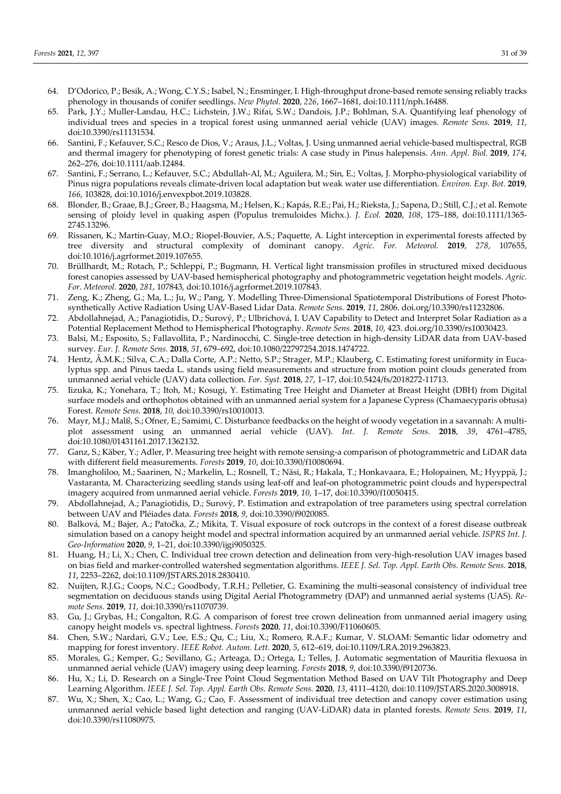- 64. D'Odorico, P.; Besik, A.; Wong, C.Y.S.; Isabel, N.; Ensminger, I. High-throughput drone-based remote sensing reliably tracks phenology in thousands of conifer seedlings. *New Phytol.* **2020**, *226*, 1667–1681, doi:10.1111/nph.16488.
- 65. Park, J.Y.; Muller-Landau, H.C.; Lichstein, J.W.; Rifai, S.W.; Dandois, J.P.; Bohlman, S.A. Quantifying leaf phenology of individual trees and species in a tropical forest using unmanned aerial vehicle (UAV) images. *Remote Sens.* **2019**, *11*, doi:10.3390/rs11131534.
- 66. Santini, F.; Kefauver, S.C.; Resco de Dios, V.; Araus, J.L.; Voltas, J. Using unmanned aerial vehicle-based multispectral, RGB and thermal imagery for phenotyping of forest genetic trials: A case study in Pinus halepensis. *Ann. Appl. Biol.* **2019**, *174*, 262–276, doi:10.1111/aab.12484.
- 67. Santini, F.; Serrano, L.; Kefauver, S.C.; Abdullah-Al, M.; Aguilera, M.; Sin, E.; Voltas, J. Morpho-physiological variability of Pinus nigra populations reveals climate-driven local adaptation but weak water use differentiation. *Environ. Exp. Bot.* **2019**, *166*, 103828, doi:10.1016/j.envexpbot.2019.103828.
- 68. Blonder, B.; Graae, B.J.; Greer, B.; Haagsma, M.; Helsen, K.; Kapás, R.E.; Pai, H.; Rieksta, J.; Sapena, D.; Still, C.J.; et al. Remote sensing of ploidy level in quaking aspen (Populus tremuloides Michx.). *J. Ecol.* **2020**, *108*, 175–188, doi:10.1111/1365- 2745.13296.
- 69. Rissanen, K.; Martin-Guay, M.O.; Riopel-Bouvier, A.S.; Paquette, A. Light interception in experimental forests affected by tree diversity and structural complexity of dominant canopy. *Agric. For. Meteorol.* **2019**, *278*, 107655, doi:10.1016/j.agrformet.2019.107655.
- 70. Brüllhardt, M.; Rotach, P.; Schleppi, P.; Bugmann, H. Vertical light transmission profiles in structured mixed deciduous forest canopies assessed by UAV-based hemispherical photography and photogrammetric vegetation height models. *Agric. For. Meteorol.* **2020**, *281*, 107843, doi:10.1016/j.agrformet.2019.107843.
- 71. Zeng, K.; Zheng, G.; Ma, L.; Ju, W.; Pang, Y. Modelling Three-Dimensional Spatiotemporal Distributions of Forest Photosynthetically Active Radiation Using UAV-Based Lidar Data. *Remote Sens.* **2019**, *11*, 2806. doi.org/10.3390/rs11232806.
- 72. Abdollahnejad, A.; Panagiotidis, D.; Surový, P.; Ulbrichová, I. UAV Capability to Detect and Interpret Solar Radiation as a Potential Replacement Method to Hemispherical Photography. *Remote Sens.* **2018**, *10*, 423. doi.org/10.3390/rs10030423.
- 73. Balsi, M.; Esposito, S.; Fallavollita, P.; Nardinocchi, C. Single-tree detection in high-density LiDAR data from UAV-based survey. *Eur. J. Remote Sens.* **2018**, *51*, 679–692, doi:10.1080/22797254.2018.1474722.
- 74. Hentz, Â.M.K.; Silva, C.A.; Dalla Corte, A.P.; Netto, S.P.; Strager, M.P.; Klauberg, C. Estimating forest uniformity in Eucalyptus spp. and Pinus taeda L. stands using field measurements and structure from motion point clouds generated from unmanned aerial vehicle (UAV) data collection. *For. Syst.* **2018**, *27*, 1–17, doi:10.5424/fs/2018272-11713.
- 75. Iizuka, K.; Yonehara, T.; Itoh, M.; Kosugi, Y. Estimating Tree Height and Diameter at Breast Height (DBH) from Digital surface models and orthophotos obtained with an unmanned aerial system for a Japanese Cypress (Chamaecyparis obtusa) Forest. *Remote Sens.* **2018**, *10*, doi:10.3390/rs10010013.
- 76. Mayr, M.J.; Malß, S.; Ofner, E.; Samimi, C. Disturbance feedbacks on the height of woody vegetation in a savannah: A multiplot assessment using an unmanned aerial vehicle (UAV). *Int. J. Remote Sens.* **2018**, *39*, 4761–4785, doi:10.1080/01431161.2017.1362132.
- 77. Ganz, S.; Käber, Y.; Adler, P. Measuring tree height with remote sensing-a comparison of photogrammetric and LiDAR data with different field measurements. *Forests* **2019**, *10*, doi:10.3390/f10080694.
- 78. Imangholiloo, M.; Saarinen, N.; Markelin, L.; Rosnell, T.; Näsi, R.; Hakala, T.; Honkavaara, E.; Holopainen, M.; Hyyppä, J.; Vastaranta, M. Characterizing seedling stands using leaf-off and leaf-on photogrammetric point clouds and hyperspectral imagery acquired from unmanned aerial vehicle. *Forests* **2019**, *10*, 1–17, doi:10.3390/f10050415.
- 79. Abdollahnejad, A.; Panagiotidis, D.; Surovỳ, P. Estimation and extrapolation of tree parameters using spectral correlation between UAV and Pléiades data. *Forests* **2018**, *9*, doi:10.3390/f9020085.
- 80. Balková, M.; Bajer, A.; Patočka, Z.; Mikita, T. Visual exposure of rock outcrops in the context of a forest disease outbreak simulation based on a canopy height model and spectral information acquired by an unmanned aerial vehicle. *ISPRS Int. J. Geo-Information* **2020**, *9*, 1–21, doi:10.3390/ijgi9050325.
- 81. Huang, H.; Li, X.; Chen, C. Individual tree crown detection and delineation from very-high-resolution UAV images based on bias field and marker-controlled watershed segmentation algorithms. *IEEE J. Sel. Top. Appl. Earth Obs. Remote Sens.* **2018**, *11*, 2253–2262, doi:10.1109/JSTARS.2018.2830410.
- 82. Nuijten, R.J.G.; Coops, N.C.; Goodbody, T.R.H.; Pelletier, G. Examining the multi-seasonal consistency of individual tree segmentation on deciduous stands using Digital Aerial Photogrammetry (DAP) and unmanned aerial systems (UAS). *Remote Sens.* **2019**, *11*, doi:10.3390/rs11070739.
- 83. Gu, J.; Grybas, H.; Congalton, R.G. A comparison of forest tree crown delineation from unmanned aerial imagery using canopy height models vs. spectral lightness. *Forests* **2020**, *11*, doi:10.3390/F11060605.
- 84. Chen, S.W.; Nardari, G.V.; Lee, E.S.; Qu, C.; Liu, X.; Romero, R.A.F.; Kumar, V. SLOAM: Semantic lidar odometry and mapping for forest inventory. *IEEE Robot. Autom. Lett.* **2020**, *5*, 612–619, doi:10.1109/LRA.2019.2963823.
- 85. Morales, G.; Kemper, G.; Sevillano, G.; Arteaga, D.; Ortega, I.; Telles, J. Automatic segmentation of Mauritia flexuosa in unmanned aerial vehicle (UAV) imagery using deep learning. *Forests* **2018**, *9*, doi:10.3390/f9120736.
- 86. Hu, X.; Li, D. Research on a Single-Tree Point Cloud Segmentation Method Based on UAV Tilt Photography and Deep Learning Algorithm. *IEEE J. Sel. Top. Appl. Earth Obs. Remote Sens.* **2020**, *13*, 4111–4120, doi:10.1109/JSTARS.2020.3008918.
- 87. Wu, X.; Shen, X.; Cao, L.; Wang, G.; Cao, F. Assessment of individual tree detection and canopy cover estimation using unmanned aerial vehicle based light detection and ranging (UAV-LiDAR) data in planted forests. *Remote Sens.* **2019**, *11*, doi:10.3390/rs11080975.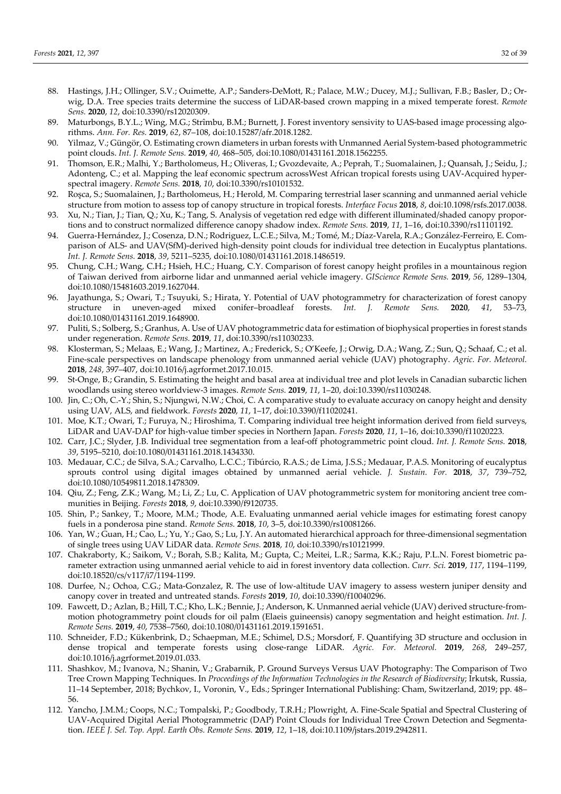- 88. Hastings, J.H.; Ollinger, S.V.; Ouimette, A.P.; Sanders-DeMott, R.; Palace, M.W.; Ducey, M.J.; Sullivan, F.B.; Basler, D.; Orwig, D.A. Tree species traits determine the success of LiDAR-based crown mapping in a mixed temperate forest. *Remote Sens.* **2020**, *12*, doi:10.3390/rs12020309.
- 89. Maturbongs, B.Y.L.; Wing, M.G.; Strîmbu, B.M.; Burnett, J. Forest inventory sensivity to UAS-based image processing algorithms. *Ann. For. Res.* **2019**, *62*, 87–108, doi:10.15287/afr.2018.1282.
- 90. Yilmaz, V.; Güngör, O. Estimating crown diameters in urban forests with Unmanned Aerial System-based photogrammetric point clouds. *Int. J. Remote Sens.* **2019**, *40*, 468–505, doi:10.1080/01431161.2018.1562255.
- 91. Thomson, E.R.; Malhi, Y.; Bartholomeus, H.; Oliveras, I.; Gvozdevaite, A.; Peprah, T.; Suomalainen, J.; Quansah, J.; Seidu, J.; Adonteng, C.; et al. Mapping the leaf economic spectrum acrossWest African tropical forests using UAV-Acquired hyperspectral imagery. *Remote Sens.* **2018**, *10*, doi:10.3390/rs10101532.
- 92. Roşca, S.; Suomalainen, J.; Bartholomeus, H.; Herold, M. Comparing terrestrial laser scanning and unmanned aerial vehicle structure from motion to assess top of canopy structure in tropical forests. *Interface Focus* **2018**, *8*, doi:10.1098/rsfs.2017.0038.
- 93. Xu, N.; Tian, J.; Tian, Q.; Xu, K.; Tang, S. Analysis of vegetation red edge with different illuminated/shaded canopy proportions and to construct normalized difference canopy shadow index. *Remote Sens.* **2019**, *11*, 1–16, doi:10.3390/rs11101192.
- 94. Guerra-Hernández, J.; Cosenza, D.N.; Rodriguez, L.C.E.; Silva, M.; Tomé, M.; Díaz-Varela, R.A.; González-Ferreiro, E. Comparison of ALS- and UAV(SfM)-derived high-density point clouds for individual tree detection in Eucalyptus plantations. *Int. J. Remote Sens.* **2018**, *39*, 5211–5235, doi:10.1080/01431161.2018.1486519.
- 95. Chung, C.H.; Wang, C.H.; Hsieh, H.C.; Huang, C.Y. Comparison of forest canopy height profiles in a mountainous region of Taiwan derived from airborne lidar and unmanned aerial vehicle imagery. *GIScience Remote Sens.* **2019**, *56*, 1289–1304, doi:10.1080/15481603.2019.1627044.
- 96. Jayathunga, S.; Owari, T.; Tsuyuki, S.; Hirata, Y. Potential of UAV photogrammetry for characterization of forest canopy structure in uneven-aged mixed conifer–broadleaf forests. *Int. J. Remote Sens.* **2020**, *41*, 53–73, doi:10.1080/01431161.2019.1648900.
- 97. Puliti, S.; Solberg, S.; Granhus, A. Use of UAV photogrammetric data for estimation of biophysical properties in forest stands under regeneration. *Remote Sens.* **2019**, *11*, doi:10.3390/rs11030233.
- 98. Klosterman, S.; Melaas, E.; Wang, J.; Martinez, A.; Frederick, S.; O'Keefe, J.; Orwig, D.A.; Wang, Z.; Sun, Q.; Schaaf, C.; et al. Fine-scale perspectives on landscape phenology from unmanned aerial vehicle (UAV) photography. *Agric. For. Meteorol.* **2018**, *248*, 397–407, doi:10.1016/j.agrformet.2017.10.015.
- 99. St-Onge, B.; Grandin, S. Estimating the height and basal area at individual tree and plot levels in Canadian subarctic lichen woodlands using stereo worldview-3 images. *Remote Sens.* **2019**, *11*, 1–20, doi:10.3390/rs11030248.
- 100. Jin, C.; Oh, C.-Y.; Shin, S.; Njungwi, N.W.; Choi, C. A comparative study to evaluate accuracy on canopy height and density using UAV, ALS, and fieldwork. *Forests* **2020**, *11*, 1–17, doi:10.3390/f11020241.
- 101. Moe, K.T.; Owari, T.; Furuya, N.; Hiroshima, T. Comparing individual tree height information derived from field surveys, LiDAR and UAV-DAP for high-value timber species in Northern Japan. *Forests* **2020**, *11*, 1–16, doi:10.3390/f11020223.
- 102. Carr, J.C.; Slyder, J.B. Individual tree segmentation from a leaf-off photogrammetric point cloud. *Int. J. Remote Sens.* **2018**, *39*, 5195–5210, doi:10.1080/01431161.2018.1434330.
- 103. Medauar, C.C.; de Silva, S.A.; Carvalho, L.C.C.; Tibúrcio, R.A.S.; de Lima, J.S.S.; Medauar, P.A.S. Monitoring of eucalyptus sprouts control using digital images obtained by unmanned aerial vehicle. *J. Sustain. For.* **2018**, *37*, 739–752, doi:10.1080/10549811.2018.1478309.
- 104. Qiu, Z.; Feng, Z.K.; Wang, M.; Li, Z.; Lu, C. Application of UAV photogrammetric system for monitoring ancient tree communities in Beijing. *Forests* **2018**, *9*, doi:10.3390/f9120735.
- 105. Shin, P.; Sankey, T.; Moore, M.M.; Thode, A.E. Evaluating unmanned aerial vehicle images for estimating forest canopy fuels in a ponderosa pine stand. *Remote Sens.* **2018**, *10*, 3–5, doi:10.3390/rs10081266.
- 106. Yan, W.; Guan, H.; Cao, L.; Yu, Y.; Gao, S.; Lu, J.Y. An automated hierarchical approach for three-dimensional segmentation of single trees using UAV LiDAR data. *Remote Sens.* **2018**, *10*, doi:10.3390/rs10121999.
- 107. Chakraborty, K.; Saikom, V.; Borah, S.B.; Kalita, M.; Gupta, C.; Meitei, L.R.; Sarma, K.K.; Raju, P.L.N. Forest biometric parameter extraction using unmanned aerial vehicle to aid in forest inventory data collection. *Curr. Sci.* **2019**, *117*, 1194–1199, doi:10.18520/cs/v117/i7/1194-1199.
- 108. Durfee, N.; Ochoa, C.G.; Mata-Gonzalez, R. The use of low-altitude UAV imagery to assess western juniper density and canopy cover in treated and untreated stands. *Forests* **2019**, *10*, doi:10.3390/f10040296.
- 109. Fawcett, D.; Azlan, B.; Hill, T.C.; Kho, L.K.; Bennie, J.; Anderson, K. Unmanned aerial vehicle (UAV) derived structure-frommotion photogrammetry point clouds for oil palm (Elaeis guineensis) canopy segmentation and height estimation. *Int. J. Remote Sens.* **2019**, *40*, 7538–7560, doi:10.1080/01431161.2019.1591651.
- 110. Schneider, F.D.; Kükenbrink, D.; Schaepman, M.E.; Schimel, D.S.; Morsdorf, F. Quantifying 3D structure and occlusion in dense tropical and temperate forests using close-range LiDAR. *Agric. For. Meteorol.* **2019**, *268*, 249–257, doi:10.1016/j.agrformet.2019.01.033.
- 111. Shashkov, M.; Ivanova, N.; Shanin, V.; Grabarnik, P. Ground Surveys Versus UAV Photography: The Comparison of Two Tree Crown Mapping Techniques. In *Proceedings of the Information Technologies in the Research of Biodiversity*; Irkutsk, Russia, 11–14 September, 2018; Bychkov, I., Voronin, V., Eds.; Springer International Publishing: Cham, Switzerland, 2019; pp. 48– 56.
- 112. Yancho, J.M.M.; Coops, N.C.; Tompalski, P.; Goodbody, T.R.H.; Plowright, A. Fine-Scale Spatial and Spectral Clustering of UAV-Acquired Digital Aerial Photogrammetric (DAP) Point Clouds for Individual Tree Crown Detection and Segmentation. *IEEE J. Sel. Top. Appl. Earth Obs. Remote Sens.* **2019**, *12*, 1–18, doi:10.1109/jstars.2019.2942811.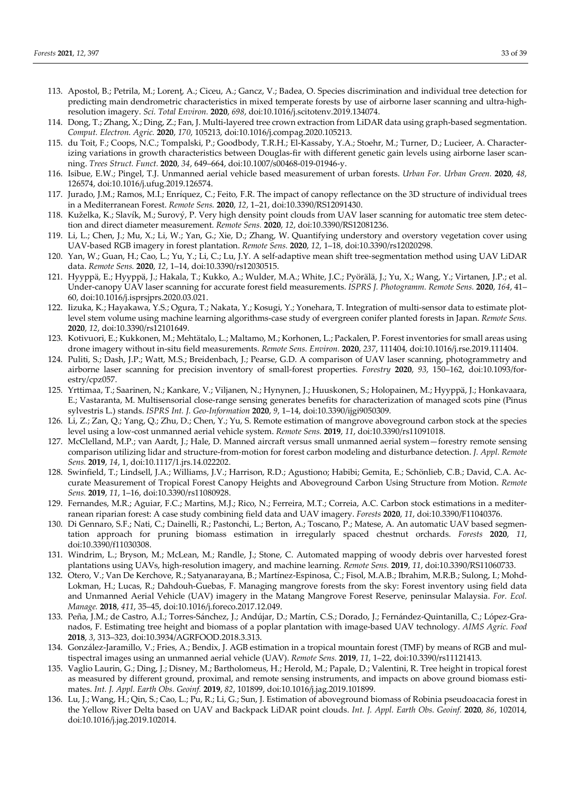- 113. Apostol, B.; Petrila, M.; Lorenţ, A.; Ciceu, A.; Gancz, V.; Badea, O. Species discrimination and individual tree detection for predicting main dendrometric characteristics in mixed temperate forests by use of airborne laser scanning and ultra-highresolution imagery. *Sci. Total Environ.* **2020**, *698*, doi:10.1016/j.scitotenv.2019.134074.
- 114. Dong, T.; Zhang, X.; Ding, Z.; Fan, J. Multi-layered tree crown extraction from LiDAR data using graph-based segmentation. *Comput. Electron. Agric.* **2020**, *170*, 105213, doi:10.1016/j.compag.2020.105213.
- 115. du Toit, F.; Coops, N.C.; Tompalski, P.; Goodbody, T.R.H.; El-Kassaby, Y.A.; Stoehr, M.; Turner, D.; Lucieer, A. Characterizing variations in growth characteristics between Douglas-fir with different genetic gain levels using airborne laser scanning. *Trees Struct. Funct.* **2020**, *34*, 649–664, doi:10.1007/s00468-019-01946-y.
- 116. Isibue, E.W.; Pingel, T.J. Unmanned aerial vehicle based measurement of urban forests. *Urban For. Urban Green.* **2020**, *48*, 126574, doi:10.1016/j.ufug.2019.126574.
- 117. Jurado, J.M.; Ramos, M.I.; Enríquez, C.; Feito, F.R. The impact of canopy reflectance on the 3D structure of individual trees in a Mediterranean Forest. *Remote Sens.* **2020**, *12*, 1–21, doi:10.3390/RS12091430.
- 118. Kuželka, K.; Slavík, M.; Surový, P. Very high density point clouds from UAV laser scanning for automatic tree stem detection and direct diameter measurement. *Remote Sens.* **2020**, *12*, doi:10.3390/RS12081236.
- 119. Li, L.; Chen, J.; Mu, X.; Li, W.; Yan, G.; Xie, D.; Zhang, W. Quantifying understory and overstory vegetation cover using UAV-based RGB imagery in forest plantation. *Remote Sens.* **2020**, *12*, 1–18, doi:10.3390/rs12020298.
- 120. Yan, W.; Guan, H.; Cao, L.; Yu, Y.; Li, C.; Lu, J.Y. A self-adaptive mean shift tree-segmentation method using UAV LiDAR data. *Remote Sens.* **2020**, *12*, 1–14, doi:10.3390/rs12030515.
- 121. Hyyppä, E.; Hyyppä, J.; Hakala, T.; Kukko, A.; Wulder, M.A.; White, J.C.; Pyörälä, J.; Yu, X.; Wang, Y.; Virtanen, J.P.; et al. Under-canopy UAV laser scanning for accurate forest field measurements. *ISPRS J. Photogramm. Remote Sens.* **2020**, *164*, 41– 60, doi:10.1016/j.isprsjprs.2020.03.021.
- 122. Iizuka, K.; Hayakawa, Y.S.; Ogura, T.; Nakata, Y.; Kosugi, Y.; Yonehara, T. Integration of multi-sensor data to estimate plotlevel stem volume using machine learning algorithms-case study of evergreen conifer planted forests in Japan. *Remote Sens.* **2020**, *12*, doi:10.3390/rs12101649.
- 123. Kotivuori, E.; Kukkonen, M.; Mehtätalo, L.; Maltamo, M.; Korhonen, L.; Packalen, P. Forest inventories for small areas using drone imagery without in-situ field measurements. *Remote Sens. Environ.* **2020**, *237*, 111404, doi:10.1016/j.rse.2019.111404.
- 124. Puliti, S.; Dash, J.P.; Watt, M.S.; Breidenbach, J.; Pearse, G.D. A comparison of UAV laser scanning, photogrammetry and airborne laser scanning for precision inventory of small-forest properties. *Forestry* **2020**, *93*, 150–162, doi:10.1093/forestry/cpz057.
- 125. Yrttimaa, T.; Saarinen, N.; Kankare, V.; Viljanen, N.; Hynynen, J.; Huuskonen, S.; Holopainen, M.; Hyyppä, J.; Honkavaara, E.; Vastaranta, M. Multisensorial close-range sensing generates benefits for characterization of managed scots pine (Pinus sylvestris L.) stands. *ISPRS Int. J. Geo-Information* **2020**, *9*, 1–14, doi:10.3390/ijgi9050309.
- 126. Li, Z.; Zan, Q.; Yang, Q.; Zhu, D.; Chen, Y.; Yu, S. Remote estimation of mangrove aboveground carbon stock at the species level using a low-cost unmanned aerial vehicle system. *Remote Sens.* **2019**, *11*, doi:10.3390/rs11091018.
- 127. McClelland, M.P.; van Aardt, J.; Hale, D. Manned aircraft versus small unmanned aerial system—forestry remote sensing comparison utilizing lidar and structure-from-motion for forest carbon modeling and disturbance detection. *J. Appl. Remote Sens.* **2019**, *14*, 1, doi:10.1117/1.jrs.14.022202.
- 128. Swinfield, T.; Lindsell, J.A.; Williams, J.V.; Harrison, R.D.; Agustiono; Habibi; Gemita, E.; Schönlieb, C.B.; David, C.A. Accurate Measurement of Tropical Forest Canopy Heights and Aboveground Carbon Using Structure from Motion. *Remote Sens.* **2019**, *11*, 1–16, doi:10.3390/rs11080928.
- 129. Fernandes, M.R.; Aguiar, F.C.; Martins, M.J.; Rico, N.; Ferreira, M.T.; Correia, A.C. Carbon stock estimations in a mediterranean riparian forest: A case study combining field data and UAV imagery. *Forests* **2020**, *11*, doi:10.3390/F11040376.
- 130. Di Gennaro, S.F.; Nati, C.; Dainelli, R.; Pastonchi, L.; Berton, A.; Toscano, P.; Matese, A. An automatic UAV based segmentation approach for pruning biomass estimation in irregularly spaced chestnut orchards. *Forests* **2020**, *11*, doi:10.3390/f11030308.
- 131. Windrim, L.; Bryson, M.; McLean, M.; Randle, J.; Stone, C. Automated mapping of woody debris over harvested forest plantations using UAVs, high-resolution imagery, and machine learning. *Remote Sens.* **2019**, *11*, doi:10.3390/RS11060733.
- 132. Otero, V.; Van De Kerchove, R.; Satyanarayana, B.; Martínez-Espinosa, C.; Fisol, M.A.B.; Ibrahim, M.R.B.; Sulong, I.; Mohd-Lokman, H.; Lucas, R.; Dahdouh-Guebas, F. Managing mangrove forests from the sky: Forest inventory using field data and Unmanned Aerial Vehicle (UAV) imagery in the Matang Mangrove Forest Reserve, peninsular Malaysia. *For. Ecol. Manage.* **2018**, *411*, 35–45, doi:10.1016/j.foreco.2017.12.049.
- 133. Peña, J.M.; de Castro, A.I.; Torres-Sánchez, J.; Andújar, D.; Martín, C.S.; Dorado, J.; Fernández-Quintanilla, C.; López-Granados, F. Estimating tree height and biomass of a poplar plantation with image-based UAV technology. *AIMS Agric. Food* **2018**, *3*, 313–323, doi:10.3934/AGRFOOD.2018.3.313.
- 134. González-Jaramillo, V.; Fries, A.; Bendix, J. AGB estimation in a tropical mountain forest (TMF) by means of RGB and multispectral images using an unmanned aerial vehicle (UAV). *Remote Sens.* **2019**, *11*, 1–22, doi:10.3390/rs11121413.
- 135. Vaglio Laurin, G.; Ding, J.; Disney, M.; Bartholomeus, H.; Herold, M.; Papale, D.; Valentini, R. Tree height in tropical forest as measured by different ground, proximal, and remote sensing instruments, and impacts on above ground biomass estimates. *Int. J. Appl. Earth Obs. Geoinf.* **2019**, *82*, 101899, doi:10.1016/j.jag.2019.101899.
- 136. Lu, J.; Wang, H.; Qin, S.; Cao, L.; Pu, R.; Li, G.; Sun, J. Estimation of aboveground biomass of Robinia pseudoacacia forest in the Yellow River Delta based on UAV and Backpack LiDAR point clouds. *Int. J. Appl. Earth Obs. Geoinf.* **2020**, *86*, 102014, doi:10.1016/j.jag.2019.102014.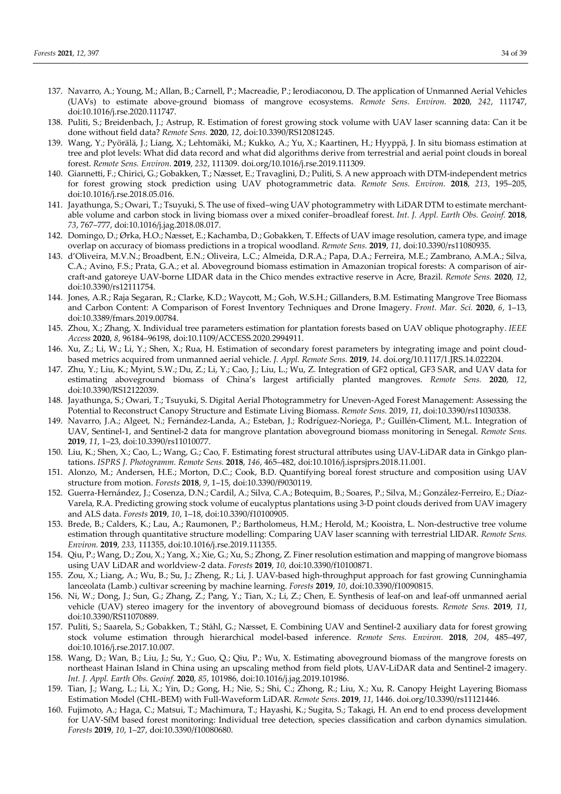- 137. Navarro, A.; Young, M.; Allan, B.; Carnell, P.; Macreadie, P.; Ierodiaconou, D. The application of Unmanned Aerial Vehicles (UAVs) to estimate above-ground biomass of mangrove ecosystems. *Remote Sens. Environ.* **2020**, *242*, 111747, doi:10.1016/j.rse.2020.111747.
- 138. Puliti, S.; Breidenbach, J.; Astrup, R. Estimation of forest growing stock volume with UAV laser scanning data: Can it be done without field data? *Remote Sens.* **2020**, *12*, doi:10.3390/RS12081245.
- 139. Wang, Y.; Pyörälä, J.; Liang, X.; Lehtomäki, M.; Kukko, A.; Yu, X.; Kaartinen, H.; Hyyppä, J. In situ biomass estimation at tree and plot levels: What did data record and what did algorithms derive from terrestrial and aerial point clouds in boreal forest. *Remote Sens. Environ*. **2019**, *232*, 111309. doi.org/10.1016/j.rse.2019.111309.
- 140. Giannetti, F.; Chirici, G.; Gobakken, T.; Næsset, E.; Travaglini, D.; Puliti, S. A new approach with DTM-independent metrics for forest growing stock prediction using UAV photogrammetric data. *Remote Sens. Environ.* **2018**, *213*, 195–205, doi:10.1016/j.rse.2018.05.016.
- 141. Jayathunga, S.; Owari, T.; Tsuyuki, S. The use of fixed–wing UAV photogrammetry with LiDAR DTM to estimate merchantable volume and carbon stock in living biomass over a mixed conifer–broadleaf forest. *Int. J. Appl. Earth Obs. Geoinf.* **2018**, *73*, 767–777, doi:10.1016/j.jag.2018.08.017.
- 142. Domingo, D.; Ørka, H.O.; Næsset, E.; Kachamba, D.; Gobakken, T. Effects of UAV image resolution, camera type, and image overlap on accuracy of biomass predictions in a tropical woodland. *Remote Sens.* **2019**, *11*, doi:10.3390/rs11080935.
- 143. d'Oliveira, M.V.N.; Broadbent, E.N.; Oliveira, L.C.; Almeida, D.R.A.; Papa, D.A.; Ferreira, M.E.; Zambrano, A.M.A.; Silva, C.A.; Avino, F.S.; Prata, G.A.; et al. Aboveground biomass estimation in Amazonian tropical forests: A comparison of aircraft-and gatoreye UAV-borne LIDAR data in the Chico mendes extractive reserve in Acre, Brazil. *Remote Sens.* **2020**, *12*, doi:10.3390/rs12111754.
- 144. Jones, A.R.; Raja Segaran, R.; Clarke, K.D.; Waycott, M.; Goh, W.S.H.; Gillanders, B.M. Estimating Mangrove Tree Biomass and Carbon Content: A Comparison of Forest Inventory Techniques and Drone Imagery. *Front. Mar. Sci.* **2020**, *6*, 1–13, doi:10.3389/fmars.2019.00784.
- 145. Zhou, X.; Zhang, X. Individual tree parameters estimation for plantation forests based on UAV oblique photography. *IEEE Access* **2020**, *8*, 96184–96198, doi:10.1109/ACCESS.2020.2994911.
- 146. Xu, Z.; Li, W.; Li, Y.; Shen, X.; Rua, H. Estimation of secondary forest parameters by integrating image and point cloudbased metrics acquired from unmanned aerial vehicle. *J. Appl. Remote Sens.* **2019**, *14*. doi.org/10.1117/1.JRS.14.022204.
- 147. Zhu, Y.; Liu, K.; Myint, S.W.; Du, Z.; Li, Y.; Cao, J.; Liu, L.; Wu, Z. Integration of GF2 optical, GF3 SAR, and UAV data for estimating aboveground biomass of China's largest artificially planted mangroves. *Remote Sens.* **2020**, *12*, doi:10.3390/RS12122039.
- 148. Jayathunga, S.; Owari, T.; Tsuyuki, S. Digital Aerial Photogrammetry for Uneven-Aged Forest Management: Assessing the Potential to Reconstruct Canopy Structure and Estimate Living Biomass. *Remote Sens.* 2019, *11*, doi:10.3390/rs11030338.
- 149. Navarro, J.A.; Algeet, N.; Fernández-Landa, A.; Esteban, J.; Rodríguez-Noriega, P.; Guillén-Climent, M.L. Integration of UAV, Sentinel-1, and Sentinel-2 data for mangrove plantation aboveground biomass monitoring in Senegal. *Remote Sens.* **2019**, *11*, 1–23, doi:10.3390/rs11010077.
- 150. Liu, K.; Shen, X.; Cao, L.; Wang, G.; Cao, F. Estimating forest structural attributes using UAV-LiDAR data in Ginkgo plantations. *ISPRS J. Photogramm. Remote Sens.* **2018**, *146*, 465–482, doi:10.1016/j.isprsjprs.2018.11.001.
- 151. Alonzo, M.; Andersen, H.E.; Morton, D.C.; Cook, B.D. Quantifying boreal forest structure and composition using UAV structure from motion. *Forests* **2018**, *9*, 1–15, doi:10.3390/f9030119.
- 152. Guerra-Hernández, J.; Cosenza, D.N.; Cardil, A.; Silva, C.A.; Botequim, B.; Soares, P.; Silva, M.; González-Ferreiro, E.; Díaz-Varela, R.A. Predicting growing stock volume of eucalyptus plantations using 3-D point clouds derived from UAV imagery and ALS data. *Forests* **2019**, *10*, 1–18, doi:10.3390/f10100905.
- 153. Brede, B.; Calders, K.; Lau, A.; Raumonen, P.; Bartholomeus, H.M.; Herold, M.; Kooistra, L. Non-destructive tree volume estimation through quantitative structure modelling: Comparing UAV laser scanning with terrestrial LIDAR. *Remote Sens. Environ.* **2019**, *233*, 111355, doi:10.1016/j.rse.2019.111355.
- 154. Qiu, P.; Wang, D.; Zou, X.; Yang, X.; Xie, G.; Xu, S.; Zhong, Z. Finer resolution estimation and mapping of mangrove biomass using UAV LiDAR and worldview-2 data. *Forests* **2019**, *10*, doi:10.3390/f10100871.
- 155. Zou, X.; Liang, A.; Wu, B.; Su, J.; Zheng, R.; Li, J. UAV-based high-throughput approach for fast growing Cunninghamia lanceolata (Lamb.) cultivar screening by machine learning. *Forests* **2019**, *10*, doi:10.3390/f10090815.
- 156. Ni, W.; Dong, J.; Sun, G.; Zhang, Z.; Pang, Y.; Tian, X.; Li, Z.; Chen, E. Synthesis of leaf-on and leaf-off unmanned aerial vehicle (UAV) stereo imagery for the inventory of aboveground biomass of deciduous forests. *Remote Sens.* **2019**, *11*, doi:10.3390/RS11070889.
- 157. Puliti, S.; Saarela, S.; Gobakken, T.; Ståhl, G.; Næsset, E. Combining UAV and Sentinel-2 auxiliary data for forest growing stock volume estimation through hierarchical model-based inference. *Remote Sens. Environ.* **2018**, *204*, 485–497, doi:10.1016/j.rse.2017.10.007.
- 158. Wang, D.; Wan, B.; Liu, J.; Su, Y.; Guo, Q.; Qiu, P.; Wu, X. Estimating aboveground biomass of the mangrove forests on northeast Hainan Island in China using an upscaling method from field plots, UAV-LiDAR data and Sentinel-2 imagery. *Int. J. Appl. Earth Obs. Geoinf.* **2020**, *85*, 101986, doi:10.1016/j.jag.2019.101986.
- 159. Tian, J.; Wang, L.; Li, X.; Yin, D.; Gong, H.; Nie, S.; Shi, C.; Zhong, R.; Liu, X.; Xu, R. Canopy Height Layering Biomass Estimation Model (CHL-BEM) with Full-Waveform LiDAR. *Remote Sens.* **2019**, *11*, 1446. doi.org/10.3390/rs11121446.
- 160. Fujimoto, A.; Haga, C.; Matsui, T.; Machimura, T.; Hayashi, K.; Sugita, S.; Takagi, H. An end to end process development for UAV-SfM based forest monitoring: Individual tree detection, species classification and carbon dynamics simulation. *Forests* **2019**, *10*, 1–27, doi:10.3390/f10080680.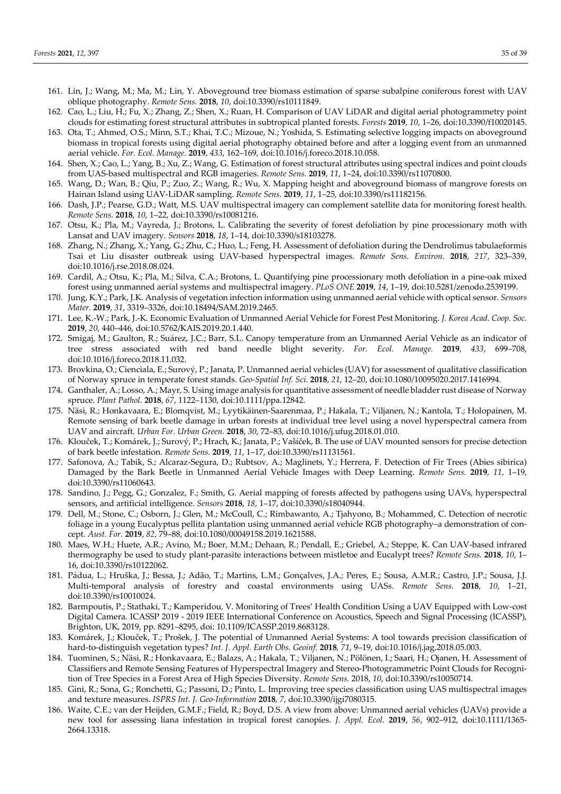- 161. Lin, J.; Wang, M.; Ma, M.; Lin, Y. Aboveground tree biomass estimation of sparse subalpine coniferous forest with UAV oblique photography. *Remote Sens.* **2018**, *10*, doi:10.3390/rs10111849.
- 162. Cao, L.; Liu, H.; Fu, X.; Zhang, Z.; Shen, X.; Ruan, H. Comparison of UAV LiDAR and digital aerial photogrammetry point clouds for estimating forest structural attributes in subtropical planted forests. *Forests* **2019**, *10*, 1–26, doi:10.3390/f10020145.
- 163. Ota, T.; Ahmed, O.S.; Minn, S.T.; Khai, T.C.; Mizoue, N.; Yoshida, S. Estimating selective logging impacts on aboveground biomass in tropical forests using digital aerial photography obtained before and after a logging event from an unmanned aerial vehicle. *For. Ecol. Manage.* **2019**, *433*, 162–169, doi:10.1016/j.foreco.2018.10.058.
- 164. Shen, X.; Cao, L.; Yang, B.; Xu, Z.; Wang, G. Estimation of forest structural attributes using spectral indices and point clouds from UAS-based multispectral and RGB imageries. *Remote Sens.* **2019**, *11*, 1–24, doi:10.3390/rs11070800.
- 165. Wang, D.; Wan, B.; Qiu, P.; Zuo, Z.; Wang, R.; Wu, X. Mapping height and aboveground biomass of mangrove forests on Hainan Island using UAV-LiDAR sampling. *Remote Sens.* **2019**, *11*, 1–25, doi:10.3390/rs11182156.
- 166. Dash, J.P.; Pearse, G.D.; Watt, M.S. UAV multispectral imagery can complement satellite data for monitoring forest health. *Remote Sens.* **2018**, *10*, 1–22, doi:10.3390/rs10081216.
- 167. Otsu, K.; Pla, M.; Vayreda, J.; Brotons, L. Calibrating the severity of forest defoliation by pine processionary moth with Lansat and UAV imagery. *Sensors* **2018**, *18*, 1–14, doi:10.3390/s18103278.
- 168. Zhang, N.; Zhang, X.; Yang, G.; Zhu, C.; Huo, L.; Feng, H. Assessment of defoliation during the Dendrolimus tabulaeformis Tsai et Liu disaster outbreak using UAV-based hyperspectral images. *Remote Sens. Environ.* **2018**, *217*, 323–339, doi:10.1016/j.rse.2018.08.024.
- 169. Cardil, A.; Otsu, K.; Pla, M.; Silva, C.A.; Brotons, L. Quantifying pine processionary moth defoliation in a pine-oak mixed forest using unmanned aerial systems and multispectral imagery. *PLoS ONE* **2019**, *14*, 1–19, doi:10.5281/zenodo.2539199.
- 170. Jung, K.Y.; Park, J.K. Analysis of vegetation infection information using unmanned aerial vehicle with optical sensor. *Sensors Mater.* **2019**, *31*, 3319–3326, doi:10.18494/SAM.2019.2465.
- 171. Lee, K.-W.; Park, J.-K. Economic Evaluation of Unmanned Aerial Vehicle for Forest Pest Monitoring. *J. Korea Acad. Coop. Soc.* **2019**, *20*, 440–446, doi:10.5762/KAIS.2019.20.1.440.
- 172. Smigaj, M.; Gaulton, R.; Suárez, J.C.; Barr, S.L. Canopy temperature from an Unmanned Aerial Vehicle as an indicator of tree stress associated with red band needle blight severity. *For. Ecol. Manage.* **2019**, *433*, 699–708, doi:10.1016/j.foreco.2018.11.032.
- 173. Brovkina, O.; Cienciala, E.; Surový, P.; Janata, P. Unmanned aerial vehicles (UAV) for assessment of qualitative classification of Norway spruce in temperate forest stands. *Geo-Spatial Inf. Sci.* **2018**, *21*, 12–20, doi:10.1080/10095020.2017.1416994.
- 174. Ganthaler, A.; Losso, A.; Mayr, S. Using image analysis for quantitative assessment of needle bladder rust disease of Norway spruce. *Plant Pathol.* **2018**, *67*, 1122–1130, doi:10.1111/ppa.12842.
- 175. Näsi, R.; Honkavaara, E.; Blomqvist, M.; Lyytikäinen-Saarenmaa, P.; Hakala, T.; Viljanen, N.; Kantola, T.; Holopainen, M. Remote sensing of bark beetle damage in urban forests at individual tree level using a novel hyperspectral camera from UAV and aircraft. *Urban For. Urban Green.* **2018**, *30*, 72–83, doi:10.1016/j.ufug.2018.01.010.
- 176. Klouček, T.; Komárek, J.; Surový, P.; Hrach, K.; Janata, P.; Vašíček, B. The use of UAV mounted sensors for precise detection of bark beetle infestation. *Remote Sens.* **2019**, *11*, 1–17, doi:10.3390/rs11131561.
- 177. Safonova, A.; Tabik, S.; Alcaraz-Segura, D.; Rubtsov, A.; Maglinets, Y.; Herrera, F. Detection of Fir Trees (Abies sibirica) Damaged by the Bark Beetle in Unmanned Aerial Vehicle Images with Deep Learning. *Remote Sens.* **2019**, *11*, 1–19, doi:10.3390/rs11060643.
- 178. Sandino, J.; Pegg, G.; Gonzalez, F.; Smith, G. Aerial mapping of forests affected by pathogens using UAVs, hyperspectral sensors, and artificial intelligence. *Sensors* **2018**, *18*, 1–17, doi:10.3390/s18040944.
- 179. Dell, M.; Stone, C.; Osborn, J.; Glen, M.; McCoull, C.; Rimbawanto, A.; Tjahyono, B.; Mohammed, C. Detection of necrotic foliage in a young Eucalyptus pellita plantation using unmanned aerial vehicle RGB photography–a demonstration of concept. *Aust. For.* **2019**, *82*, 79–88, doi:10.1080/00049158.2019.1621588.
- 180. Maes, W.H.; Huete, A.R.; Avino, M.; Boer, M.M.; Dehaan, R.; Pendall, E.; Griebel, A.; Steppe, K. Can UAV-based infrared thermography be used to study plant-parasite interactions between mistletoe and Eucalypt trees? *Remote Sens.* **2018**, *10*, 1– 16, doi:10.3390/rs10122062.
- 181. Pádua, L.; Hruška, J.; Bessa, J.; Adão, T.; Martins, L.M.; Gonçalves, J.A.; Peres, E.; Sousa, A.M.R.; Castro, J.P.; Sousa, J.J. Multi-temporal analysis of forestry and coastal environments using UASs. *Remote Sens.* **2018**, *10*, 1–21, doi:10.3390/rs10010024.
- 182. Barmpoutis, P.; Stathaki, T.; Kamperidou, V. Monitoring of Trees' Health Condition Using a UAV Equipped with Low-cost Digital Camera. ICASSP 2019 - 2019 IEEE International Conference on Acoustics, Speech and Signal Processing (ICASSP), Brighton, UK, 2019, pp. 8291–8295, doi: 10.1109/ICASSP.2019.8683128.
- 183. Komárek, J.; Klouček, T.; Prošek, J. The potential of Unmanned Aerial Systems: A tool towards precision classification of hard-to-distinguish vegetation types? *Int. J. Appl. Earth Obs. Geoinf.* **2018**, *71*, 9–19, doi:10.1016/j.jag.2018.05.003.
- 184. Tuominen, S.; Näsi, R.; Honkavaara, E.; Balazs, A.; Hakala, T.; Viljanen, N.; Pölönen, I.; Saari, H.; Ojanen, H. Assessment of Classifiers and Remote Sensing Features of Hyperspectral Imagery and Stereo-Photogrammetric Point Clouds for Recognition of Tree Species in a Forest Area of High Species Diversity. *Remote Sens.* 2018, *10*, doi:10.3390/rs10050714.
- 185. Gini, R.; Sona, G.; Ronchetti, G.; Passoni, D.; Pinto, L. Improving tree species classification using UAS multispectral images and texture measures. *ISPRS Int. J. Geo-Information* **2018**, *7*, doi:10.3390/ijgi7080315.
- 186. Waite, C.E.; van der Heijden, G.M.F.; Field, R.; Boyd, D.S. A view from above: Unmanned aerial vehicles (UAVs) provide a new tool for assessing liana infestation in tropical forest canopies. *J. Appl. Ecol.* **2019**, *56*, 902–912, doi:10.1111/1365- 2664.13318.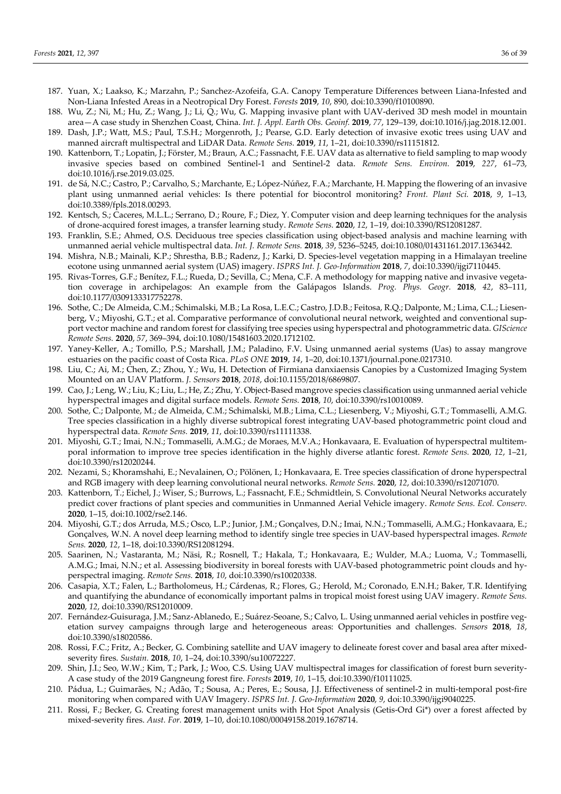- 187. Yuan, X.; Laakso, K.; Marzahn, P.; Sanchez-Azofeifa, G.A. Canopy Temperature Differences between Liana-Infested and Non-Liana Infested Areas in a Neotropical Dry Forest. *Forests* **2019**, *10*, 890, doi:10.3390/f10100890.
- 188. Wu, Z.; Ni, M.; Hu, Z.; Wang, J.; Li, Q.; Wu, G. Mapping invasive plant with UAV-derived 3D mesh model in mountain area—A case study in Shenzhen Coast, China. *Int. J. Appl. Earth Obs. Geoinf.* **2019**, *77*, 129–139, doi:10.1016/j.jag.2018.12.001.
- 189. Dash, J.P.; Watt, M.S.; Paul, T.S.H.; Morgenroth, J.; Pearse, G.D. Early detection of invasive exotic trees using UAV and manned aircraft multispectral and LiDAR Data. *Remote Sens.* **2019**, *11*, 1–21, doi:10.3390/rs11151812.
- 190. Kattenborn, T.; Lopatin, J.; Förster, M.; Braun, A.C.; Fassnacht, F.E. UAV data as alternative to field sampling to map woody invasive species based on combined Sentinel-1 and Sentinel-2 data. *Remote Sens. Environ.* **2019**, *227*, 61–73, doi:10.1016/j.rse.2019.03.025.
- 191. de Sá, N.C.; Castro, P.; Carvalho, S.; Marchante, E.; López-Núñez, F.A.; Marchante, H. Mapping the flowering of an invasive plant using unmanned aerial vehicles: Is there potential for biocontrol monitoring? *Front. Plant Sci.* **2018**, *9*, 1–13, doi:10.3389/fpls.2018.00293.
- 192. Kentsch, S.; Caceres, M.L.L.; Serrano, D.; Roure, F.; Diez, Y. Computer vision and deep learning techniques for the analysis of drone-acquired forest images, a transfer learning study. *Remote Sens.* **2020**, *12*, 1–19, doi:10.3390/RS12081287.
- 193. Franklin, S.E.; Ahmed, O.S. Deciduous tree species classification using object-based analysis and machine learning with unmanned aerial vehicle multispectral data. *Int. J. Remote Sens.* **2018**, *39*, 5236–5245, doi:10.1080/01431161.2017.1363442.
- 194. Mishra, N.B.; Mainali, K.P.; Shrestha, B.B.; Radenz, J.; Karki, D. Species-level vegetation mapping in a Himalayan treeline ecotone using unmanned aerial system (UAS) imagery. *ISPRS Int. J. Geo-Information* **2018**, *7*, doi:10.3390/ijgi7110445.
- 195. Rivas-Torres, G.F.; Benítez, F.L.; Rueda, D.; Sevilla, C.; Mena, C.F. A methodology for mapping native and invasive vegetation coverage in archipelagos: An example from the Galápagos Islands. *Prog. Phys. Geogr.* **2018**, *42*, 83–111, doi:10.1177/0309133317752278.
- 196. Sothe, C.; De Almeida, C.M.; Schimalski, M.B.; La Rosa, L.E.C.; Castro, J.D.B.; Feitosa, R.Q.; Dalponte, M.; Lima, C.L.; Liesenberg, V.; Miyoshi, G.T.; et al. Comparative performance of convolutional neural network, weighted and conventional support vector machine and random forest for classifying tree species using hyperspectral and photogrammetric data. *GIScience Remote Sens.* **2020**, *57*, 369–394, doi:10.1080/15481603.2020.1712102.
- 197. Yaney-Keller, A.; Tomillo, P.S.; Marshall, J.M.; Paladino, F.V. Using unmanned aerial systems (Uas) to assay mangrove estuaries on the pacific coast of Costa Rica. *PLoS ONE* **2019**, *14*, 1–20, doi:10.1371/journal.pone.0217310.
- 198. Liu, C.; Ai, M.; Chen, Z.; Zhou, Y.; Wu, H. Detection of Firmiana danxiaensis Canopies by a Customized Imaging System Mounted on an UAV Platform. *J. Sensors* **2018**, *2018*, doi:10.1155/2018/6869807.
- 199. Cao, J.; Leng, W.; Liu, K.; Liu, L.; He, Z.; Zhu, Y. Object-Based mangrove species classification using unmanned aerial vehicle hyperspectral images and digital surface models. *Remote Sens.* **2018**, *10*, doi:10.3390/rs10010089.
- 200. Sothe, C.; Dalponte, M.; de Almeida, C.M.; Schimalski, M.B.; Lima, C.L.; Liesenberg, V.; Miyoshi, G.T.; Tommaselli, A.M.G. Tree species classification in a highly diverse subtropical forest integrating UAV-based photogrammetric point cloud and hyperspectral data. *Remote Sens.* **2019**, *11*, doi:10.3390/rs11111338.
- 201. Miyoshi, G.T.; Imai, N.N.; Tommaselli, A.M.G.; de Moraes, M.V.A.; Honkavaara, E. Evaluation of hyperspectral multitemporal information to improve tree species identification in the highly diverse atlantic forest. *Remote Sens.* **2020**, *12*, 1–21, doi:10.3390/rs12020244.
- 202. Nezami, S.; Khoramshahi, E.; Nevalainen, O.; Pölönen, I.; Honkavaara, E. Tree species classification of drone hyperspectral and RGB imagery with deep learning convolutional neural networks. *Remote Sens.* **2020**, *12*, doi:10.3390/rs12071070.
- 203. Kattenborn, T.; Eichel, J.; Wiser, S.; Burrows, L.; Fassnacht, F.E.; Schmidtlein, S. Convolutional Neural Networks accurately predict cover fractions of plant species and communities in Unmanned Aerial Vehicle imagery. *Remote Sens. Ecol. Conserv.* **2020**, 1–15, doi:10.1002/rse2.146.
- 204. Miyoshi, G.T.; dos Arruda, M.S.; Osco, L.P.; Junior, J.M.; Gonçalves, D.N.; Imai, N.N.; Tommaselli, A.M.G.; Honkavaara, E.; Gonçalves, W.N. A novel deep learning method to identify single tree species in UAV-based hyperspectral images. *Remote Sens.* **2020**, *12*, 1–18, doi:10.3390/RS12081294.
- 205. Saarinen, N.; Vastaranta, M.; Näsi, R.; Rosnell, T.; Hakala, T.; Honkavaara, E.; Wulder, M.A.; Luoma, V.; Tommaselli, A.M.G.; Imai, N.N.; et al. Assessing biodiversity in boreal forests with UAV-based photogrammetric point clouds and hyperspectral imaging. *Remote Sens.* **2018**, *10*, doi:10.3390/rs10020338.
- 206. Casapia, X.T.; Falen, L.; Bartholomeus, H.; Cárdenas, R.; Flores, G.; Herold, M.; Coronado, E.N.H.; Baker, T.R. Identifying and quantifying the abundance of economically important palms in tropical moist forest using UAV imagery. *Remote Sens.* **2020**, *12*, doi:10.3390/RS12010009.
- 207. Fernández-Guisuraga, J.M.; Sanz-Ablanedo, E.; Suárez-Seoane, S.; Calvo, L. Using unmanned aerial vehicles in postfire vegetation survey campaigns through large and heterogeneous areas: Opportunities and challenges. *Sensors* **2018**, *18*, doi:10.3390/s18020586.
- 208. Rossi, F.C.; Fritz, A.; Becker, G. Combining satellite and UAV imagery to delineate forest cover and basal area after mixedseverity fires. *Sustain.* **2018**, *10*, 1–24, doi:10.3390/su10072227.
- 209. Shin, J.I.; Seo, W.W.; Kim, T.; Park, J.; Woo, C.S. Using UAV multispectral images for classification of forest burn severity-A case study of the 2019 Gangneung forest fire. *Forests* **2019**, *10*, 1–15, doi:10.3390/f10111025.
- 210. Pádua, L.; Guimarães, N.; Adão, T.; Sousa, A.; Peres, E.; Sousa, J.J. Effectiveness of sentinel-2 in multi-temporal post-fire monitoring when compared with UAV Imagery. *ISPRS Int. J. Geo-Information* **2020**, *9*, doi:10.3390/ijgi9040225.
- 211. Rossi, F.; Becker, G. Creating forest management units with Hot Spot Analysis (Getis-Ord Gi\*) over a forest affected by mixed-severity fires. *Aust. For.* **2019**, 1–10, doi:10.1080/00049158.2019.1678714.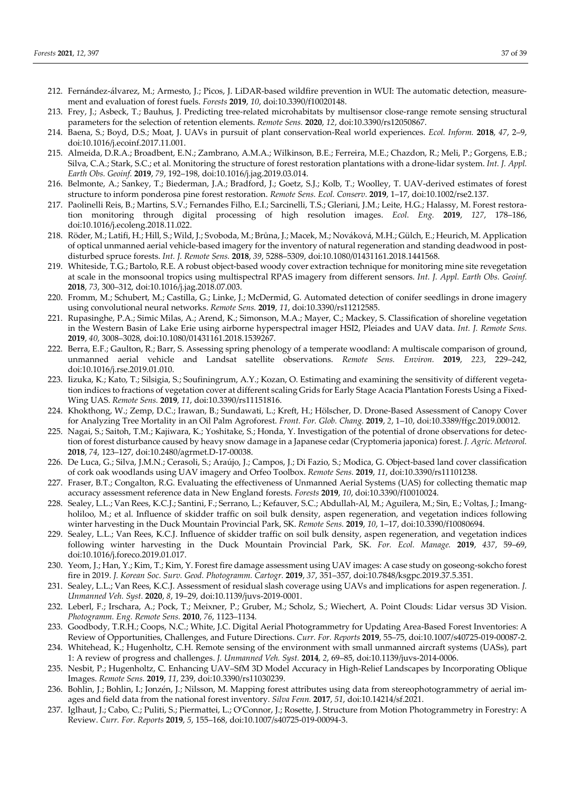- 212. Fernández-álvarez, M.; Armesto, J.; Picos, J. LiDAR-based wildfire prevention in WUI: The automatic detection, measurement and evaluation of forest fuels. *Forests* **2019**, *10*, doi:10.3390/f10020148.
- 213. Frey, J.; Asbeck, T.; Bauhus, J. Predicting tree-related microhabitats by multisensor close-range remote sensing structural parameters for the selection of retention elements. *Remote Sens.* **2020**, *12*, doi:10.3390/rs12050867.
- 214. Baena, S.; Boyd, D.S.; Moat, J. UAVs in pursuit of plant conservation-Real world experiences. *Ecol. Inform.* **2018**, *47*, 2–9, doi:10.1016/j.ecoinf.2017.11.001.
- 215. Almeida, D.R.A.; Broadbent, E.N.; Zambrano, A.M.A.; Wilkinson, B.E.; Ferreira, M.E.; Chazdon, R.; Meli, P.; Gorgens, E.B.; Silva, C.A.; Stark, S.C.; et al. Monitoring the structure of forest restoration plantations with a drone-lidar system. *Int. J. Appl. Earth Obs. Geoinf.* **2019**, *79*, 192–198, doi:10.1016/j.jag.2019.03.014.
- 216. Belmonte, A.; Sankey, T.; Biederman, J.A.; Bradford, J.; Goetz, S.J.; Kolb, T.; Woolley, T. UAV-derived estimates of forest structure to inform ponderosa pine forest restoration. *Remote Sens. Ecol. Conserv.* **2019**, 1–17, doi:10.1002/rse2.137.
- 217. Paolinelli Reis, B.; Martins, S.V.; Fernandes Filho, E.I.; Sarcinelli, T.S.; Gleriani, J.M.; Leite, H.G.; Halassy, M. Forest restoration monitoring through digital processing of high resolution images. *Ecol. Eng.* **2019**, *127*, 178–186, doi:10.1016/j.ecoleng.2018.11.022.
- 218. Röder, M.; Latifi, H.; Hill, S.; Wild, J.; Svoboda, M.; Brůna, J.; Macek, M.; Nováková, M.H.; Gülch, E.; Heurich, M. Application of optical unmanned aerial vehicle-based imagery for the inventory of natural regeneration and standing deadwood in postdisturbed spruce forests. *Int. J. Remote Sens.* **2018**, *39*, 5288–5309, doi:10.1080/01431161.2018.1441568.
- 219. Whiteside, T.G.; Bartolo, R.E. A robust object-based woody cover extraction technique for monitoring mine site revegetation at scale in the monsoonal tropics using multispectral RPAS imagery from different sensors. *Int. J. Appl. Earth Obs. Geoinf.* **2018**, *73*, 300–312, doi:10.1016/j.jag.2018.07.003.
- 220. Fromm, M.; Schubert, M.; Castilla, G.; Linke, J.; McDermid, G. Automated detection of conifer seedlings in drone imagery using convolutional neural networks. *Remote Sens.* **2019**, *11*, doi:10.3390/rs11212585.
- 221. Rupasinghe, P.A.; Simic Milas, A.; Arend, K.; Simonson, M.A.; Mayer, C.; Mackey, S. Classification of shoreline vegetation in the Western Basin of Lake Erie using airborne hyperspectral imager HSI2, Pleiades and UAV data. *Int. J. Remote Sens.* **2019**, *40*, 3008–3028, doi:10.1080/01431161.2018.1539267.
- 222. Berra, E.F.; Gaulton, R.; Barr, S. Assessing spring phenology of a temperate woodland: A multiscale comparison of ground, unmanned aerial vehicle and Landsat satellite observations. *Remote Sens. Environ.* **2019**, *223*, 229–242, doi:10.1016/j.rse.2019.01.010.
- 223. Iizuka, K.; Kato, T.; Silsigia, S.; Soufiningrum, A.Y.; Kozan, O. Estimating and examining the sensitivity of different vegetation indices to fractions of vegetation cover at different scaling Grids for Early Stage Acacia Plantation Forests Using a Fixed-Wing UAS. *Remote Sens.* **2019**, *11*, doi:10.3390/rs11151816.
- 224. Khokthong, W.; Zemp, D.C.; Irawan, B.; Sundawati, L.; Kreft, H.; Hölscher, D. Drone-Based Assessment of Canopy Cover for Analyzing Tree Mortality in an Oil Palm Agroforest. *Front. For. Glob. Chang.* **2019**, *2*, 1–10, doi:10.3389/ffgc.2019.00012.
- 225. Nagai, S.; Saitoh, T.M.; Kajiwara, K.; Yoshitake, S.; Honda, Y. Investigation of the potential of drone observations for detection of forest disturbance caused by heavy snow damage in a Japanese cedar (Cryptomeria japonica) forest. *J. Agric. Meteorol.* **2018**, *74*, 123–127, doi:10.2480/agrmet.D-17-00038.
- 226. De Luca, G.; Silva, J.M.N.; Cerasoli, S.; Araújo, J.; Campos, J.; Di Fazio, S.; Modica, G. Object-based land cover classification of cork oak woodlands using UAV imagery and Orfeo Toolbox. *Remote Sens.* **2019**, *11*, doi:10.3390/rs11101238.
- 227. Fraser, B.T.; Congalton, R.G. Evaluating the effectiveness of Unmanned Aerial Systems (UAS) for collecting thematic map accuracy assessment reference data in New England forests. *Forests* **2019**, *10*, doi:10.3390/f10010024.
- 228. Sealey, L.L.; Van Rees, K.C.J.; Santini, F.; Serrano, L.; Kefauver, S.C.; Abdullah-Al, M.; Aguilera, M.; Sin, E.; Voltas, J.; Imangholiloo, M.; et al. Influence of skidder traffic on soil bulk density, aspen regeneration, and vegetation indices following winter harvesting in the Duck Mountain Provincial Park, SK. *Remote Sens.* **2019**, *10*, 1–17, doi:10.3390/f10080694.
- 229. Sealey, L.L.; Van Rees, K.C.J. Influence of skidder traffic on soil bulk density, aspen regeneration, and vegetation indices following winter harvesting in the Duck Mountain Provincial Park, SK. *For. Ecol. Manage.* **2019**, *437*, 59–69, doi:10.1016/j.foreco.2019.01.017.
- 230. Yeom, J.; Han, Y.; Kim, T.; Kim, Y. Forest fire damage assessment using UAV images: A case study on goseong-sokcho forest fire in 2019. *J. Korean Soc. Surv. Geod. Photogramm. Cartogr.* **2019**, *37*, 351–357, doi:10.7848/ksgpc.2019.37.5.351.
- 231. Sealey, L.L.; Van Rees, K.C.J. Assessment of residual slash coverage using UAVs and implications for aspen regeneration. *J. Unmanned Veh. Syst.* **2020**, *8*, 19–29, doi:10.1139/juvs-2019-0001.
- 232. Leberl, F.; Irschara, A.; Pock, T.; Meixner, P.; Gruber, M.; Scholz, S.; Wiechert, A. Point Clouds: Lidar versus 3D Vision. *Photogramm. Eng. Remote Sens.* **2010**, *76*, 1123–1134.
- 233. Goodbody, T.R.H.; Coops, N.C.; White, J.C. Digital Aerial Photogrammetry for Updating Area-Based Forest Inventories: A Review of Opportunities, Challenges, and Future Directions. *Curr. For. Reports* **2019**, 55–75, doi:10.1007/s40725-019-00087-2.
- 234. Whitehead, K.; Hugenholtz, C.H. Remote sensing of the environment with small unmanned aircraft systems (UASs), part 1: A review of progress and challenges. *J. Unmanned Veh. Syst.* **2014**, *2*, 69–85, doi:10.1139/juvs-2014-0006.
- 235. Nesbit, P.; Hugenholtz, C. Enhancing UAV–SfM 3D Model Accuracy in High-Relief Landscapes by Incorporating Oblique Images. *Remote Sens.* **2019**, *11*, 239, doi:10.3390/rs11030239.
- 236. Bohlin, J.; Bohlin, I.; Jonzén, J.; Nilsson, M. Mapping forest attributes using data from stereophotogrammetry of aerial images and field data from the national forest inventory. *Silva Fenn.* **2017**, *51*, doi:10.14214/sf.2021.
- 237. Iglhaut, J.; Cabo, C.; Puliti, S.; Piermattei, L.; O'Connor, J.; Rosette, J. Structure from Motion Photogrammetry in Forestry: A Review. *Curr. For. Reports* **2019**, *5*, 155–168, doi:10.1007/s40725-019-00094-3.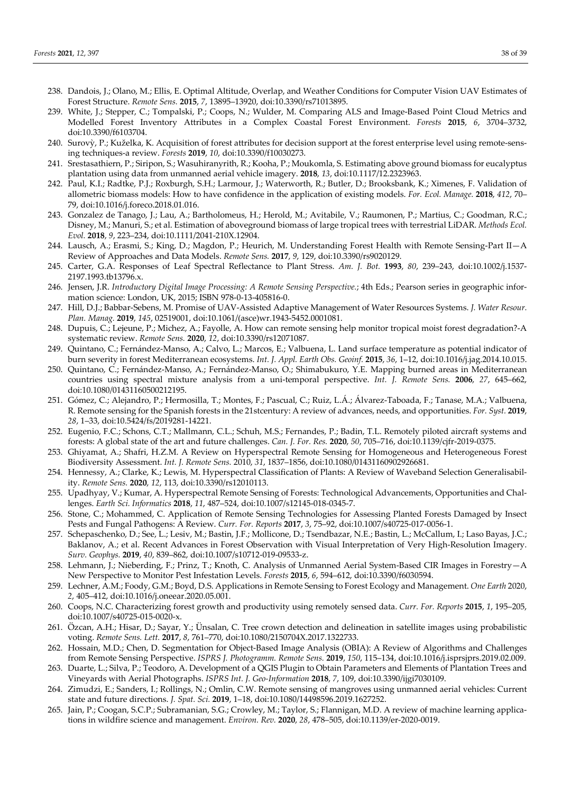- 238. Dandois, J.; Olano, M.; Ellis, E. Optimal Altitude, Overlap, and Weather Conditions for Computer Vision UAV Estimates of Forest Structure. *Remote Sens.* **2015**, *7*, 13895–13920, doi:10.3390/rs71013895.
- 239. White, J.; Stepper, C.; Tompalski, P.; Coops, N.; Wulder, M. Comparing ALS and Image-Based Point Cloud Metrics and Modelled Forest Inventory Attributes in a Complex Coastal Forest Environment. *Forests* **2015**, *6*, 3704–3732, doi:10.3390/f6103704.
- 240. Surovỳ, P.; Kuželka, K. Acquisition of forest attributes for decision support at the forest enterprise level using remote-sensing techniques-a review. *Forests* **2019**, *10*, doi:10.3390/f10030273.
- 241. Srestasathiern, P.; Siripon, S.; Wasuhiranyrith, R.; Kooha, P.; Moukomla, S. Estimating above ground biomass for eucalyptus plantation using data from unmanned aerial vehicle imagery. **2018**, *13*, doi:10.1117/12.2323963.
- 242. Paul, K.I.; Radtke, P.J.; Roxburgh, S.H.; Larmour, J.; Waterworth, R.; Butler, D.; Brooksbank, K.; Ximenes, F. Validation of allometric biomass models: How to have confidence in the application of existing models. *For. Ecol. Manage.* **2018**, *412*, 70– 79, doi:10.1016/j.foreco.2018.01.016.
- 243. Gonzalez de Tanago, J.; Lau, A.; Bartholomeus, H.; Herold, M.; Avitabile, V.; Raumonen, P.; Martius, C.; Goodman, R.C.; Disney, M.; Manuri, S.; et al. Estimation of aboveground biomass of large tropical trees with terrestrial LiDAR. *Methods Ecol. Evol.* **2018**, *9*, 223–234, doi:10.1111/2041-210X.12904.
- 244. Lausch, A.; Erasmi, S.; King, D.; Magdon, P.; Heurich, M. Understanding Forest Health with Remote Sensing-Part II—A Review of Approaches and Data Models. *Remote Sens.* **2017**, *9*, 129, doi:10.3390/rs9020129.
- 245. Carter, G.A. Responses of Leaf Spectral Reflectance to Plant Stress. *Am. J. Bot.* **1993**, *80*, 239–243, doi:10.1002/j.1537- 2197.1993.tb13796.x.
- 246. Jensen, J.R. *Introductory Digital Image Processing: A Remote Sensing Perspective.*; 4th Eds.; Pearson series in geographic information science: London, UK, 2015; ISBN 978-0-13-405816-0.
- 247. Hill, D.J.; Babbar-Sebens, M. Promise of UAV-Assisted Adaptive Management of Water Resources Systems. *J. Water Resour. Plan. Manag.* **2019**, *145*, 02519001, doi:10.1061/(asce)wr.1943-5452.0001081.
- 248. Dupuis, C.; Lejeune, P.; Michez, A.; Fayolle, A. How can remote sensing help monitor tropical moist forest degradation?-A systematic review. *Remote Sens.* **2020**, *12*, doi:10.3390/rs12071087.
- 249. Quintano, C.; Fernández-Manso, A.; Calvo, L.; Marcos, E.; Valbuena, L. Land surface temperature as potential indicator of burn severity in forest Mediterranean ecosystems. *Int. J. Appl. Earth Obs. Geoinf.* **2015**, *36*, 1–12, doi:10.1016/j.jag.2014.10.015.
- 250. Quintano, C.; Fernández-Manso, A.; Fernández-Manso, O.; Shimabukuro, Y.E. Mapping burned areas in Mediterranean countries using spectral mixture analysis from a uni-temporal perspective. *Int. J. Remote Sens.* **2006**, *27*, 645–662, doi:10.1080/01431160500212195.
- 251. Gómez, C.; Alejandro, P.; Hermosilla, T.; Montes, F.; Pascual, C.; Ruiz, L.Á.; Álvarez-Taboada, F.; Tanase, M.A.; Valbuena, R. Remote sensing for the Spanish forests in the 21stcentury: A review of advances, needs, and opportunities. *For. Syst.* **2019**, *28*, 1–33, doi:10.5424/fs/2019281-14221.
- 252. Eugenio, F.C.; Schons, C.T.; Mallmann, C.L.; Schuh, M.S.; Fernandes, P.; Badin, T.L. Remotely piloted aircraft systems and forests: A global state of the art and future challenges. *Can. J. For. Res.* **2020**, *50*, 705–716, doi:10.1139/cjfr-2019-0375.
- 253. Ghiyamat, A.; Shafri, H.Z.M. A Review on Hyperspectral Remote Sensing for Homogeneous and Heterogeneous Forest Biodiversity Assessment. *Int. J. Remote Sens.* 2010, *31*, 1837–1856, doi:10.1080/01431160902926681.
- 254. Hennessy, A.; Clarke, K.; Lewis, M. Hyperspectral Classification of Plants: A Review of Waveband Selection Generalisability. *Remote Sens.* **2020**, *12*, 113, doi:10.3390/rs12010113.
- 255. Upadhyay, V.; Kumar, A. Hyperspectral Remote Sensing of Forests: Technological Advancements, Opportunities and Challenges. *Earth Sci. Informatics* **2018**, *11*, 487–524, doi:10.1007/s12145-018-0345-7.
- 256. Stone, C.; Mohammed, C. Application of Remote Sensing Technologies for Assessing Planted Forests Damaged by Insect Pests and Fungal Pathogens: A Review. *Curr. For. Reports* **2017**, *3*, 75–92, doi:10.1007/s40725-017-0056-1.
- 257. Schepaschenko, D.; See, L.; Lesiv, M.; Bastin, J.F.; Mollicone, D.; Tsendbazar, N.E.; Bastin, L.; McCallum, I.; Laso Bayas, J.C.; Baklanov, A.; et al. Recent Advances in Forest Observation with Visual Interpretation of Very High-Resolution Imagery. *Surv. Geophys.* **2019**, *40*, 839–862, doi:10.1007/s10712-019-09533-z.
- 258. Lehmann, J.; Nieberding, F.; Prinz, T.; Knoth, C. Analysis of Unmanned Aerial System-Based CIR Images in Forestry—A New Perspective to Monitor Pest Infestation Levels. *Forests* **2015**, *6*, 594–612, doi:10.3390/f6030594.
- 259. Lechner, A.M.; Foody, G.M.; Boyd, D.S. Applications in Remote Sensing to Forest Ecology and Management. *One Earth* 2020, *2*, 405–412, doi:10.1016/j.oneear.2020.05.001.
- 260. Coops, N.C. Characterizing forest growth and productivity using remotely sensed data. *Curr. For. Reports* **2015**, *1*, 195–205, doi:10.1007/s40725-015-0020-x.
- 261. Özcan, A.H.; Hisar, D.; Sayar, Y.; Ünsalan, C. Tree crown detection and delineation in satellite images using probabilistic voting. *Remote Sens. Lett.* **2017**, *8*, 761–770, doi:10.1080/2150704X.2017.1322733.
- 262. Hossain, M.D.; Chen, D. Segmentation for Object-Based Image Analysis (OBIA): A Review of Algorithms and Challenges from Remote Sensing Perspective. *ISPRS J. Photogramm. Remote Sens.* **2019**, *150*, 115–134, doi:10.1016/j.isprsjprs.2019.02.009.
- 263. Duarte, L.; Silva, P.; Teodoro, A. Development of a QGIS Plugin to Obtain Parameters and Elements of Plantation Trees and Vineyards with Aerial Photographs. *ISPRS Int. J. Geo-Information* **2018**, *7*, 109, doi:10.3390/ijgi7030109.
- 264. Zimudzi, E.; Sanders, I.; Rollings, N.; Omlin, C.W. Remote sensing of mangroves using unmanned aerial vehicles: Current state and future directions. *J. Spat. Sci.* **2019**, 1–18, doi:10.1080/14498596.2019.1627252.
- 265. Jain, P.; Coogan, S.C.P.; Subramanian, S.G.; Crowley, M.; Taylor, S.; Flannigan, M.D. A review of machine learning applications in wildfire science and management. *Environ. Rev.* **2020**, *28*, 478–505, doi:10.1139/er-2020-0019.